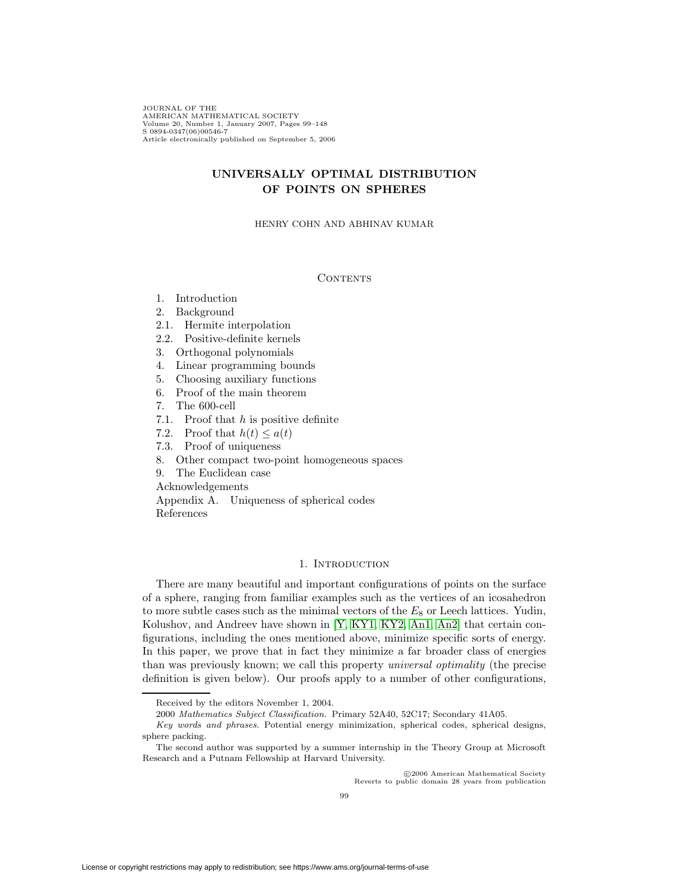JOURNAL OF THE AMERICAN MATHEMATICAL SOCIETY Volume 20, Number 1, January 2007, Pages 99–148 S 0894-0347(06)00546-7 Article electronically published on September 5, 2006

# **UNIVERSALLY OPTIMAL DISTRIBUTION OF POINTS ON SPHERES**

HENRY COHN AND ABHINAV KUMAR

## **CONTENTS**

- 1. Introduction
- 2. Background
- 2.1. Hermite interpolation
- 2.2. Positive-definite kernels
- 3. Orthogonal polynomials
- 4. Linear programming bounds
- 5. Choosing auxiliary functions
- 6. Proof of the main theorem
- 7. The 600-cell
- 7.1. Proof that  $h$  is positive definite
- 7.2. Proof that  $h(t) \leq a(t)$
- 7.3. Proof of uniqueness
- 8. Other compact two-point homogeneous spaces
- 9. The Euclidean case

Acknowledgements

Appendix A. Uniqueness of spherical codes References

## 1. INTRODUCTION

<span id="page-0-0"></span>There are many beautiful and important configurations of points on the surface of a sphere, ranging from familiar examples such as the vertices of an icosahedron to more subtle cases such as the minimal vectors of the  $E_8$  or Leech lattices. Yudin, Kolushov, and Andreev have shown in [\[Y,](#page-49-0) [KY1,](#page-48-0) [KY2,](#page-48-1) [An1,](#page-47-0) [An2\]](#page-47-1) that certain configurations, including the ones mentioned above, minimize specific sorts of energy. In this paper, we prove that in fact they minimize a far broader class of energies than was previously known; we call this property universal optimality (the precise definition is given below). Our proofs apply to a number of other configurations,

c 2006 American Mathematical Society Reverts to public domain 28 years from publication

Received by the editors November 1, 2004.

<sup>2000</sup> Mathematics Subject Classification. Primary 52A40, 52C17; Secondary 41A05.

Key words and phrases. Potential energy minimization, spherical codes, spherical designs, sphere packing.

The second author was supported by a summer internship in the Theory Group at Microsoft Research and a Putnam Fellowship at Harvard University.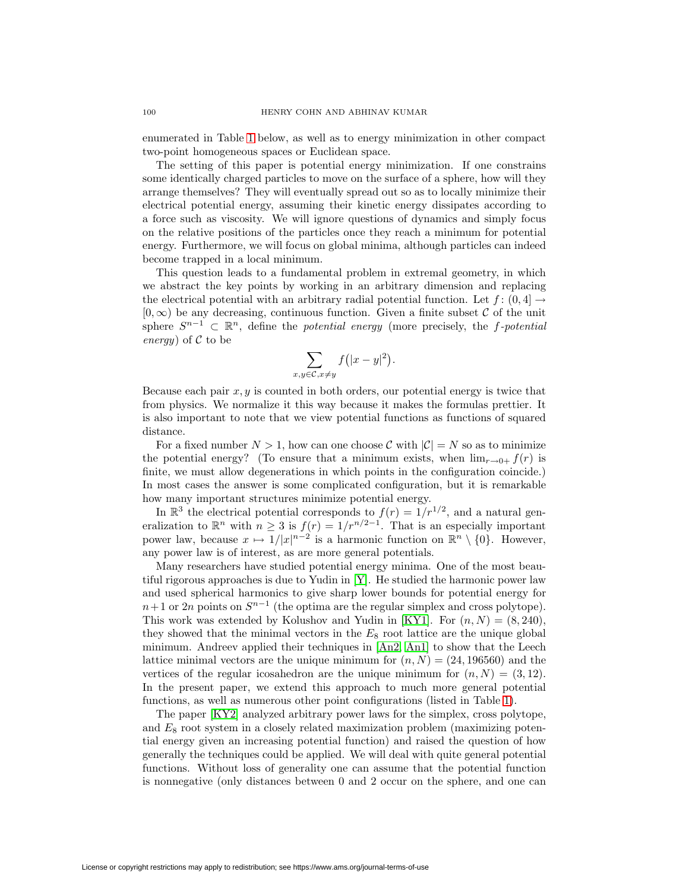enumerated in Table [1](#page-3-0) below, as well as to energy minimization in other compact two-point homogeneous spaces or Euclidean space.

The setting of this paper is potential energy minimization. If one constrains some identically charged particles to move on the surface of a sphere, how will they arrange themselves? They will eventually spread out so as to locally minimize their electrical potential energy, assuming their kinetic energy dissipates according to a force such as viscosity. We will ignore questions of dynamics and simply focus on the relative positions of the particles once they reach a minimum for potential energy. Furthermore, we will focus on global minima, although particles can indeed become trapped in a local minimum.

This question leads to a fundamental problem in extremal geometry, in which we abstract the key points by working in an arbitrary dimension and replacing the electrical potential with an arbitrary radial potential function. Let  $f: (0, 4] \rightarrow$  $[0, \infty)$  be any decreasing, continuous function. Given a finite subset C of the unit sphere  $S^{n-1} \subset \mathbb{R}^n$ , define the *potential energy* (more precisely, the f-potential energy) of  $C$  to be

$$
\sum_{x,y\in\mathcal{C},x\neq y}f(|x-y|^2).
$$

Because each pair  $x, y$  is counted in both orders, our potential energy is twice that from physics. We normalize it this way because it makes the formulas prettier. It is also important to note that we view potential functions as functions of squared distance.

For a fixed number  $N > 1$ , how can one choose C with  $|\mathcal{C}| = N$  so as to minimize the potential energy? (To ensure that a minimum exists, when  $\lim_{r\to 0+} f(r)$  is finite, we must allow degenerations in which points in the configuration coincide.) In most cases the answer is some complicated configuration, but it is remarkable how many important structures minimize potential energy.

In  $\mathbb{R}^3$  the electrical potential corresponds to  $f(r)=1/r^{1/2}$ , and a natural generalization to  $\mathbb{R}^n$  with  $n \geq 3$  is  $f(r)=1/r^{n/2-1}$ . That is an especially important power law, because  $x \mapsto 1/|x|^{n-2}$  is a harmonic function on  $\mathbb{R}^n \setminus \{0\}$ . However, any power law is of interest, as are more general potentials.

Many researchers have studied potential energy minima. One of the most beautiful rigorous approaches is due to Yudin in [\[Y\]](#page-49-0). He studied the harmonic power law and used spherical harmonics to give sharp lower bounds for potential energy for  $n+1$  or 2n points on  $S^{n-1}$  (the optima are the regular simplex and cross polytope). This work was extended by Kolushov and Yudin in [\[KY1\]](#page-48-0). For  $(n, N) = (8, 240)$ , they showed that the minimal vectors in the  $E_8$  root lattice are the unique global minimum. Andreev applied their techniques in [\[An2,](#page-47-1) [An1\]](#page-47-0) to show that the Leech lattice minimal vectors are the unique minimum for  $(n, N) = (24, 196560)$  and the vertices of the regular icosahedron are the unique minimum for  $(n, N) = (3, 12)$ . In the present paper, we extend this approach to much more general potential functions, as well as numerous other point configurations (listed in Table [1\)](#page-3-0).

The paper [\[KY2\]](#page-48-1) analyzed arbitrary power laws for the simplex, cross polytope, and  $E_8$  root system in a closely related maximization problem (maximizing potential energy given an increasing potential function) and raised the question of how generally the techniques could be applied. We will deal with quite general potential functions. Without loss of generality one can assume that the potential function is nonnegative (only distances between 0 and 2 occur on the sphere, and one can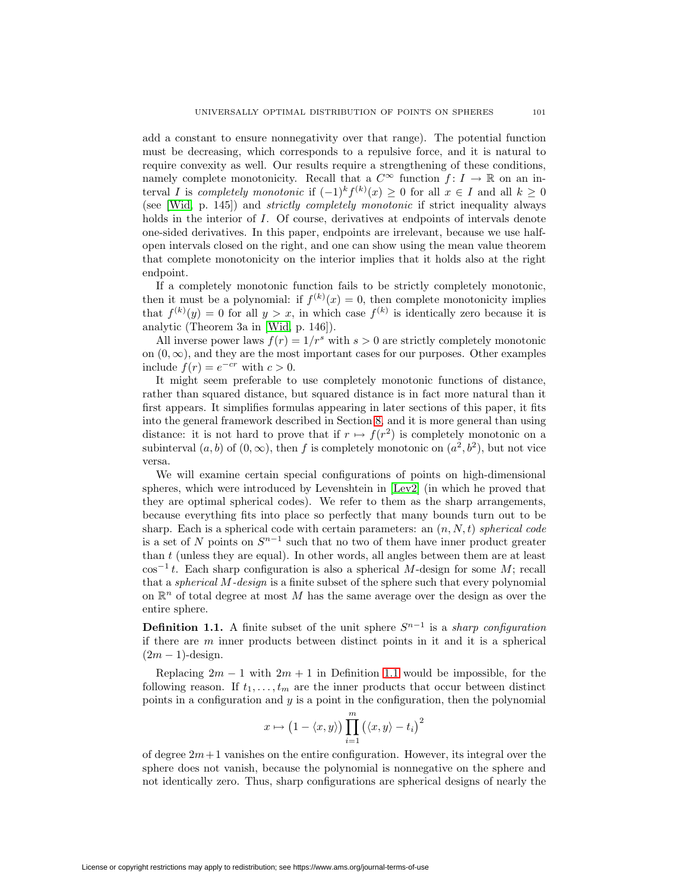add a constant to ensure nonnegativity over that range). The potential function must be decreasing, which corresponds to a repulsive force, and it is natural to require convexity as well. Our results require a strengthening of these conditions, namely complete monotonicity. Recall that a  $C^{\infty}$  function  $f: I \to \mathbb{R}$  on an interval I is completely monotonic if  $(-1)^k f^{(k)}(x) \geq 0$  for all  $x \in I$  and all  $k \geq 0$ (see [\[Wid,](#page-49-1) p. 145]) and strictly completely monotonic if strict inequality always holds in the interior of I. Of course, derivatives at endpoints of intervals denote one-sided derivatives. In this paper, endpoints are irrelevant, because we use halfopen intervals closed on the right, and one can show using the mean value theorem that complete monotonicity on the interior implies that it holds also at the right endpoint.

If a completely monotonic function fails to be strictly completely monotonic, then it must be a polynomial: if  $f^{(k)}(x) = 0$ , then complete monotonicity implies that  $f^{(k)}(y) = 0$  for all  $y > x$ , in which case  $f^{(k)}$  is identically zero because it is analytic (Theorem 3a in [\[Wid,](#page-49-1) p. 146]).

All inverse power laws  $f(r)=1/r^s$  with  $s > 0$  are strictly completely monotonic on  $(0, \infty)$ , and they are the most important cases for our purposes. Other examples include  $f(r) = e^{-cr}$  with  $c > 0$ .

It might seem preferable to use completely monotonic functions of distance, rather than squared distance, but squared distance is in fact more natural than it first appears. It simplifies formulas appearing in later sections of this paper, it fits into the general framework described in Section [8,](#page-30-0) and it is more general than using distance: it is not hard to prove that if  $r \mapsto f(r^2)$  is completely monotonic on a subinterval  $(a, b)$  of  $(0, \infty)$ , then f is completely monotonic on  $(a^2, b^2)$ , but not vice versa.

We will examine certain special configurations of points on high-dimensional spheres, which were introduced by Levenshtein in [\[Lev2\]](#page-48-2) (in which he proved that they are optimal spherical codes). We refer to them as the sharp arrangements, because everything fits into place so perfectly that many bounds turn out to be sharp. Each is a spherical code with certain parameters: an  $(n, N, t)$  spherical code is a set of N points on  $S^{n-1}$  such that no two of them have inner product greater than  $t$  (unless they are equal). In other words, all angles between them are at least  $\cos^{-1} t$ . Each sharp configuration is also a spherical M-design for some M; recall that a spherical M-design is a finite subset of the sphere such that every polynomial on  $\mathbb{R}^n$  of total degree at most M has the same average over the design as over the entire sphere.

<span id="page-2-0"></span>**Definition 1.1.** A finite subset of the unit sphere  $S^{n-1}$  is a *sharp configuration* if there are  $m$  inner products between distinct points in it and it is a spherical  $(2m - 1)$ -design.

Replacing  $2m - 1$  with  $2m + 1$  in Definition [1.1](#page-2-0) would be impossible, for the following reason. If  $t_1, \ldots, t_m$  are the inner products that occur between distinct points in a configuration and  $y$  is a point in the configuration, then the polynomial

$$
x \mapsto (1 - \langle x, y \rangle) \prod_{i=1}^{m} (\langle x, y \rangle - t_i)^2
$$

of degree  $2m+1$  vanishes on the entire configuration. However, its integral over the sphere does not vanish, because the polynomial is nonnegative on the sphere and not identically zero. Thus, sharp configurations are spherical designs of nearly the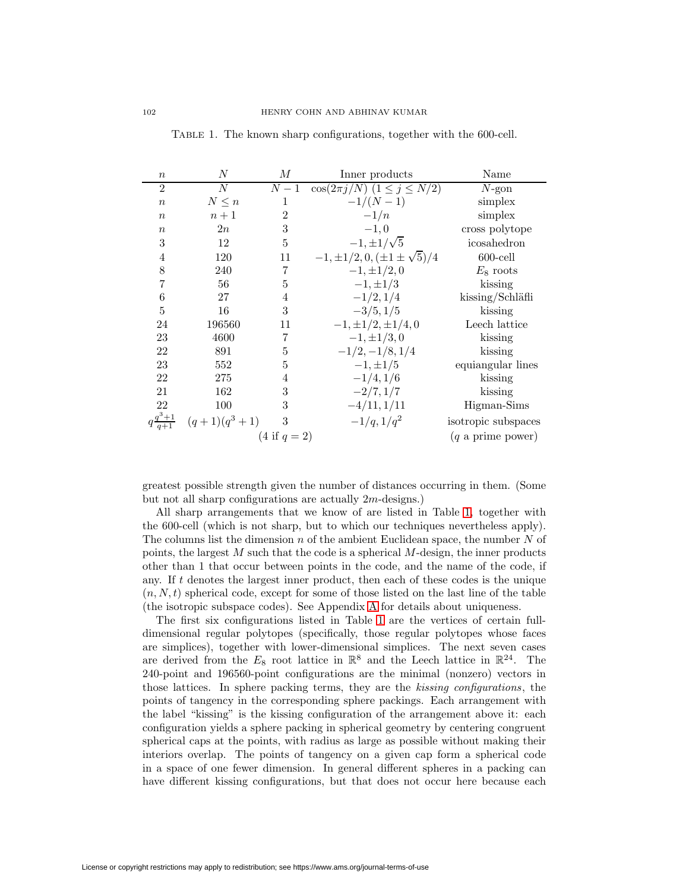| $\boldsymbol{n}$ | N                | М              | Inner products                           | Name                |
|------------------|------------------|----------------|------------------------------------------|---------------------|
| $\overline{2}$   | $\boldsymbol{N}$ | $N-1$          | $\cos(2\pi j/N)$ $(1 \leq j \leq N/2)$   | $N$ -gon            |
| $\boldsymbol{n}$ | $N\leq n$        | 1              | $-1/(N-1)$                               | simplex             |
| $\boldsymbol{n}$ | $n+1$            | $\overline{2}$ | $-1/n$                                   | simplex             |
| $\boldsymbol{n}$ | 2n               | 3              | $-1,0$                                   | cross polytope      |
| 3                | 12               | 5              | $-1, \pm 1/\sqrt{5}$                     | icosahedron         |
| 4                | 120              | 11             | $-1, \pm 1/2, 0, (\pm 1 \pm \sqrt{5})/4$ | $600$ -cell         |
| 8                | 240              | 7              | $-1, \pm 1/2, 0$                         | $E_8$ roots         |
| 7                | 56               | 5              | $-1, \pm 1/3$                            | kissing             |
| 6                | 27               | 4              | $-1/2, 1/4$                              | kissing/Schläfli    |
| 5                | 16               | 3              | $-3/5, 1/5$                              | kissing             |
| 24               | 196560           | 11             | $-1, \pm 1/2, \pm 1/4, 0$                | Leech lattice       |
| 23               | 4600             | 7              | $-1, \pm 1/3, 0$                         | kissing             |
| 22               | 891              | 5              | $-1/2, -1/8, 1/4$                        | kissing             |
| 23               | 552              | $\overline{5}$ | $-1, \pm 1/5$                            | equiangular lines   |
| 22               | 275              | 4              | $-1/4, 1/6$                              | kissing             |
| 21               | 162              | 3              | $-2/7, 1/7$                              | kissing             |
| 22               | 100              | 3              | $-4/11, 1/11$                            | Higman-Sims         |
|                  | $(q+1)(q^3+1)$   | 3              | $-1/q, 1/q2$                             | isotropic subspaces |
|                  |                  | $(4 if q = 2)$ |                                          | $(q$ a prime power) |

<span id="page-3-0"></span>Table 1. The known sharp configurations, together with the 600-cell.

greatest possible strength given the number of distances occurring in them. (Some but not all sharp configurations are actually 2m-designs.)

All sharp arrangements that we know of are listed in Table [1,](#page-3-0) together with the 600-cell (which is not sharp, but to which our techniques nevertheless apply). The columns list the dimension  $n$  of the ambient Euclidean space, the number  $N$  of points, the largest  $M$  such that the code is a spherical  $M$ -design, the inner products other than 1 that occur between points in the code, and the name of the code, if any. If t denotes the largest inner product, then each of these codes is the unique  $(n, N, t)$  spherical code, except for some of those listed on the last line of the table (the isotropic subspace codes). See Appendix [A](#page-46-0) for details about uniqueness.

The first six configurations listed in Table [1](#page-3-0) are the vertices of certain fulldimensional regular polytopes (specifically, those regular polytopes whose faces are simplices), together with lower-dimensional simplices. The next seven cases are derived from the  $E_8$  root lattice in  $\mathbb{R}^8$  and the Leech lattice in  $\mathbb{R}^{24}$ . The 240-point and 196560-point configurations are the minimal (nonzero) vectors in those lattices. In sphere packing terms, they are the kissing configurations, the points of tangency in the corresponding sphere packings. Each arrangement with the label "kissing" is the kissing configuration of the arrangement above it: each configuration yields a sphere packing in spherical geometry by centering congruent spherical caps at the points, with radius as large as possible without making their interiors overlap. The points of tangency on a given cap form a spherical code in a space of one fewer dimension. In general different spheres in a packing can have different kissing configurations, but that does not occur here because each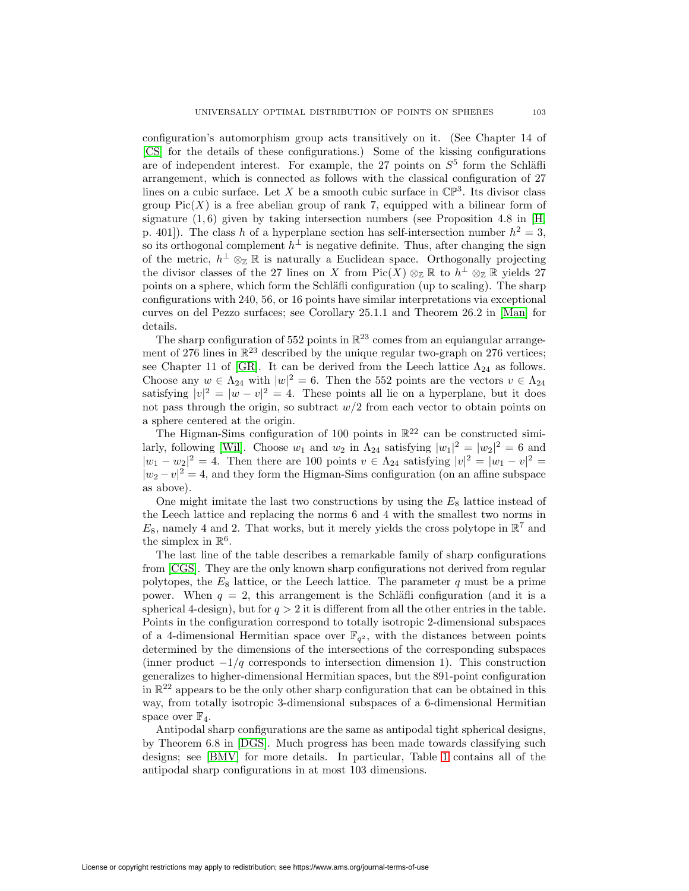configuration's automorphism group acts transitively on it. (See Chapter 14 of [\[CS\]](#page-47-2) for the details of these configurations.) Some of the kissing configurations are of independent interest. For example, the 27 points on  $S<sup>5</sup>$  form the Schläfli arrangement, which is connected as follows with the classical configuration of 27 lines on a cubic surface. Let X be a smooth cubic surface in  $\mathbb{CP}^3$ . Its divisor class group  $Pic(X)$  is a free abelian group of rank 7, equipped with a bilinear form of signature  $(1, 6)$  given by taking intersection numbers (see Proposition 4.8 in [\[H,](#page-48-3) p. 401]). The class h of a hyperplane section has self-intersection number  $h^2 = 3$ , so its orthogonal complement  $h^{\perp}$  is negative definite. Thus, after changing the sign of the metric,  $h^{\perp} \otimes_{\mathbb{Z}} \mathbb{R}$  is naturally a Euclidean space. Orthogonally projecting the divisor classes of the 27 lines on X from Pic(X)  $\otimes_{\mathbb{Z}} \mathbb{R}$  to  $h^{\perp} \otimes_{\mathbb{Z}} \mathbb{R}$  yields 27 points on a sphere, which form the Schläfli configuration (up to scaling). The sharp configurations with 240, 56, or 16 points have similar interpretations via exceptional curves on del Pezzo surfaces; see Corollary 25.1.1 and Theorem 26.2 in [\[Man\]](#page-48-4) for details.

The sharp configuration of 552 points in  $\mathbb{R}^{23}$  comes from an equiangular arrangement of 276 lines in  $\mathbb{R}^{23}$  described by the unique regular two-graph on 276 vertices; see Chapter 11 of [\[GR\]](#page-48-5). It can be derived from the Leech lattice  $\Lambda_{24}$  as follows. Choose any  $w \in \Lambda_{24}$  with  $|w|^2 = 6$ . Then the 552 points are the vectors  $v \in \Lambda_{24}$ satisfying  $|v|^2 = |w - v|^2 = 4$ . These points all lie on a hyperplane, but it does not pass through the origin, so subtract  $w/2$  from each vector to obtain points on a sphere centered at the origin.

The Higman-Sims configuration of 100 points in  $\mathbb{R}^{22}$  can be constructed simi-larly, following [\[Wil\]](#page-49-2). Choose  $w_1$  and  $w_2$  in  $\Lambda_{24}$  satisfying  $|w_1|^2 = |w_2|^2 = 6$  and  $|w_1 - w_2|^2 = 4$ . Then there are 100 points  $v \in \Lambda_{24}$  satisfying  $|v|^2 = |w_1 - v|^2 =$  $|w_2 - v|^2 = 4$ , and they form the Higman-Sims configuration (on an affine subspace as above).

One might imitate the last two constructions by using the  $E_8$  lattice instead of the Leech lattice and replacing the norms 6 and 4 with the smallest two norms in  $E_8$ , namely 4 and 2. That works, but it merely yields the cross polytope in  $\mathbb{R}^7$  and the simplex in  $\mathbb{R}^6$ .

The last line of the table describes a remarkable family of sharp configurations from [\[CGS\]](#page-47-3). They are the only known sharp configurations not derived from regular polytopes, the  $E_8$  lattice, or the Leech lattice. The parameter q must be a prime power. When  $q = 2$ , this arrangement is the Schläfli configuration (and it is a spherical 4-design), but for  $q > 2$  it is different from all the other entries in the table. Points in the configuration correspond to totally isotropic 2-dimensional subspaces of a 4-dimensional Hermitian space over  $\mathbb{F}_{q^2}$ , with the distances between points determined by the dimensions of the intersections of the corresponding subspaces (inner product  $-1/q$  corresponds to intersection dimension 1). This construction generalizes to higher-dimensional Hermitian spaces, but the 891-point configuration in  $\mathbb{R}^{22}$  appears to be the only other sharp configuration that can be obtained in this way, from totally isotropic 3-dimensional subspaces of a 6-dimensional Hermitian space over  $\mathbb{F}_4$ .

Antipodal sharp configurations are the same as antipodal tight spherical designs, by Theorem 6.8 in [\[DGS\]](#page-48-6). Much progress has been made towards classifying such designs; see [\[BMV\]](#page-47-4) for more details. In particular, Table [1](#page-3-0) contains all of the antipodal sharp configurations in at most 103 dimensions.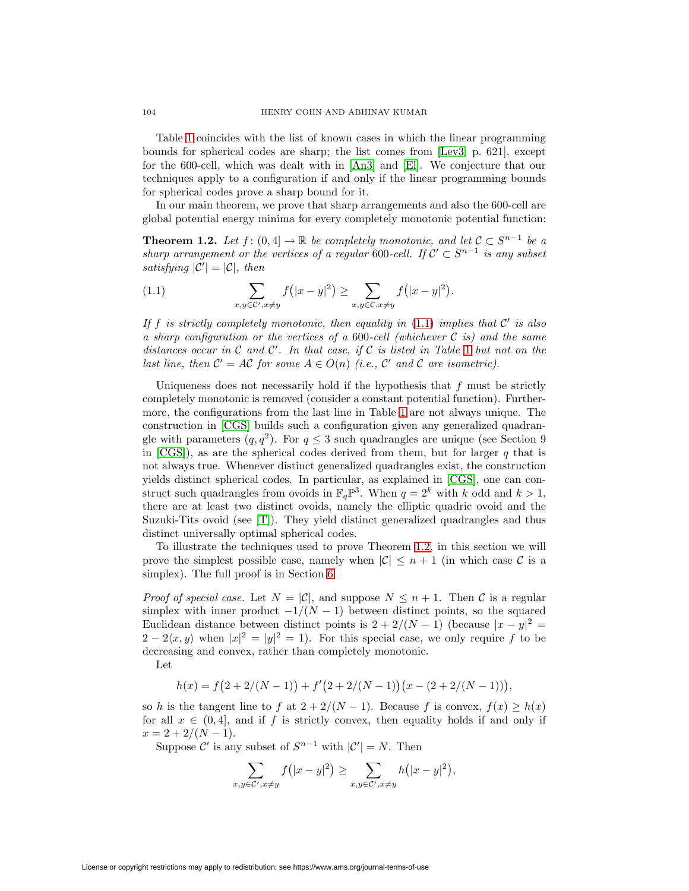Table [1](#page-3-0) coincides with the list of known cases in which the linear programming bounds for spherical codes are sharp; the list comes from [\[Lev3,](#page-48-7) p. 621], except for the 600-cell, which was dealt with in [\[An3\]](#page-47-5) and [\[El\]](#page-48-8). We conjecture that our techniques apply to a configuration if and only if the linear programming bounds for spherical codes prove a sharp bound for it.

<span id="page-5-1"></span>In our main theorem, we prove that sharp arrangements and also the 600-cell are global potential energy minima for every completely monotonic potential function:

**Theorem 1.2.** Let  $f : (0,4] \to \mathbb{R}$  be completely monotonic, and let  $C \subset S^{n-1}$  be a sharp arrangement or the vertices of a regular 600-cell. If  $\mathcal{C}' \subset S^{n-1}$  is any subset satisfying  $|\mathcal{C}'| = |\mathcal{C}|$ , then

<span id="page-5-0"></span>(1.1) 
$$
\sum_{x,y \in \mathcal{C}', x \neq y} f(|x-y|^2) \geq \sum_{x,y \in \mathcal{C}, x \neq y} f(|x-y|^2).
$$

If f is strictly completely monotonic, then equality in  $(1.1)$  implies that C' is also a sharp configuration or the vertices of a 600-cell (whichever  $\mathcal C$  is) and the same distances occur in  $\mathcal C$  and  $\mathcal C'$ . In that case, if  $\mathcal C$  is listed in Table [1](#page-3-0) but not on the last line, then  $C' = AC$  for some  $A \in O(n)$  (i.e., C' and C are isometric).

Uniqueness does not necessarily hold if the hypothesis that  $f$  must be strictly completely monotonic is removed (consider a constant potential function). Furthermore, the configurations from the last line in Table [1](#page-3-0) are not always unique. The construction in [\[CGS\]](#page-47-3) builds such a configuration given any generalized quadrangle with parameters  $(q, q^2)$ . For  $q \leq 3$  such quadrangles are unique (see Section 9) in  $[CGS]$ , as are the spherical codes derived from them, but for larger q that is not always true. Whenever distinct generalized quadrangles exist, the construction yields distinct spherical codes. In particular, as explained in [\[CGS\]](#page-47-3), one can construct such quadrangles from ovoids in  $\mathbb{F}_q\mathbb{P}^3$ . When  $q = 2^k$  with k odd and  $k > 1$ , there are at least two distinct ovoids, namely the elliptic quadric ovoid and the Suzuki-Tits ovoid (see [\[T\]](#page-49-3)). They yield distinct generalized quadrangles and thus distinct universally optimal spherical codes.

To illustrate the techniques used to prove Theorem [1.2,](#page-5-1) in this section we will prove the simplest possible case, namely when  $|\mathcal{C}| \leq n+1$  (in which case C is a simplex). The full proof is in Section [6.](#page-24-0)

*Proof of special case.* Let  $N = |\mathcal{C}|$ , and suppose  $N \leq n+1$ . Then C is a regular simplex with inner product  $-1/(N-1)$  between distinct points, so the squared Euclidean distance between distinct points is  $2 + 2/(N - 1)$  (because  $|x - y|^2 =$  $2-2\langle x,y\rangle$  when  $|x|^2=|y|^2=1$ ). For this special case, we only require f to be decreasing and convex, rather than completely monotonic.

Let

$$
h(x) = f(2 + 2/(N - 1)) + f'(2 + 2/(N - 1))(x - (2 + 2/(N - 1))),
$$

so h is the tangent line to f at  $2 + 2/(N-1)$ . Because f is convex,  $f(x) \ge h(x)$ for all  $x \in (0, 4]$ , and if f is strictly convex, then equality holds if and only if  $x = 2 + 2/(N - 1).$ 

Suppose  $\mathcal{C}'$  is any subset of  $S^{n-1}$  with  $|\mathcal{C}'|=N$ . Then

$$
\sum_{x,y \in \mathcal{C}', x \neq y} f(|x-y|^2) \ge \sum_{x,y \in \mathcal{C}', x \neq y} h(|x-y|^2),
$$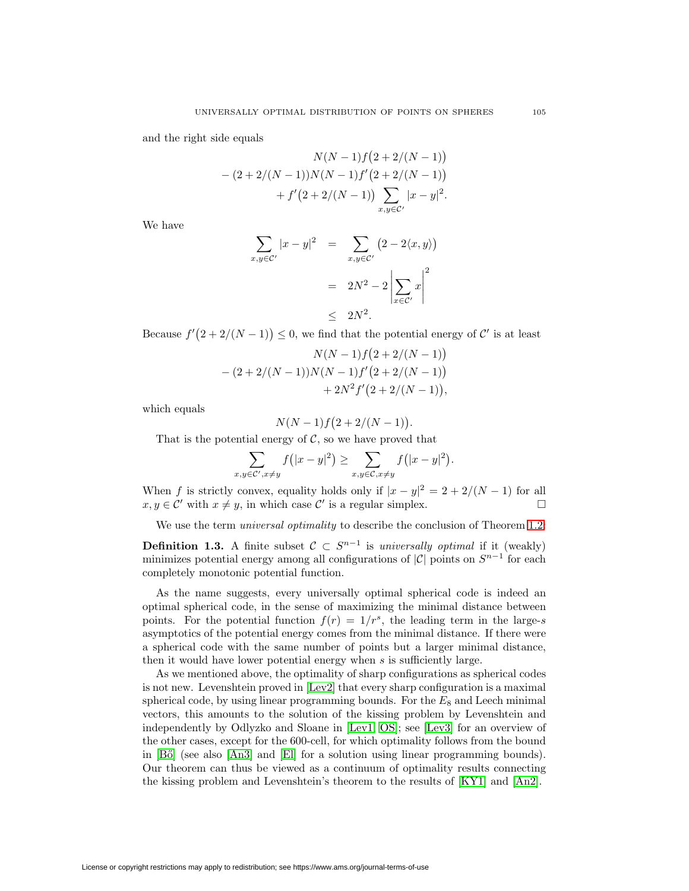and the right side equals

$$
N(N-1) f (2 + 2/(N-1))
$$
  
- (2+2/(N-1))N(N-1) f' (2+2/(N-1))  
+ f' (2+2/(N-1))  $\sum_{x,y \in C'} |x-y|^2$ .

We have

$$
\sum_{x,y \in \mathcal{C}'} |x - y|^2 = \sum_{x,y \in \mathcal{C}'} (2 - 2\langle x, y \rangle)
$$

$$
= 2N^2 - 2 \left| \sum_{x \in \mathcal{C}'} x \right|^2
$$

$$
\leq 2N^2.
$$

Because  $f'(2+2/(N-1)) \leq 0$ , we find that the potential energy of C' is at least

$$
N(N-1) f (2 + 2/(N-1))
$$
  
- (2+2/(N-1))N(N-1) f' (2+2/(N-1))  
+ 2N<sup>2</sup> f' (2+2/(N-1)),

which equals

$$
N(N-1)f(2+2/(N-1))
$$

.

That is the potential energy of  $C$ , so we have proved that

$$
\sum_{x,y\in\mathcal{C}',x\neq y}f(|x-y|^2)\geq \sum_{x,y\in\mathcal{C},x\neq y}f(|x-y|^2).
$$

When f is strictly convex, equality holds only if  $|x - y|^2 = 2 + 2/(N - 1)$  for all  $x, y \in \mathcal{C}'$  with  $x \neq y$ , in which case  $\mathcal{C}'$  is a regular simplex.

We use the term *universal optimality* to describe the conclusion of Theorem [1.2:](#page-5-1)

**Definition 1.3.** A finite subset  $C \subset S^{n-1}$  is universally optimal if it (weakly) minimizes potential energy among all configurations of  $|\mathcal{C}|$  points on  $S^{n-1}$  for each completely monotonic potential function.

As the name suggests, every universally optimal spherical code is indeed an optimal spherical code, in the sense of maximizing the minimal distance between points. For the potential function  $f(r)=1/r^s$ , the leading term in the large-s asymptotics of the potential energy comes from the minimal distance. If there were a spherical code with the same number of points but a larger minimal distance, then it would have lower potential energy when  $s$  is sufficiently large.

As we mentioned above, the optimality of sharp configurations as spherical codes is not new. Levenshtein proved in [\[Lev2\]](#page-48-2) that every sharp configuration is a maximal spherical code, by using linear programming bounds. For the  $E_8$  and Leech minimal vectors, this amounts to the solution of the kissing problem by Levenshtein and independently by Odlyzko and Sloane in [\[Lev1,](#page-48-9) [OS\]](#page-48-10); see [\[Lev3\]](#page-48-7) for an overview of the other cases, except for the 600-cell, for which optimality follows from the bound in [Bő] (see also [\[An3\]](#page-47-5) and [\[El\]](#page-48-8) for a solution using linear programming bounds). Our theorem can thus be viewed as a continuum of optimality results connecting the kissing problem and Levenshtein's theorem to the results of [\[KY1\]](#page-48-0) and [\[An2\]](#page-47-1).

License or copyright restrictions may apply to redistribution; see https://www.ams.org/journal-terms-of-use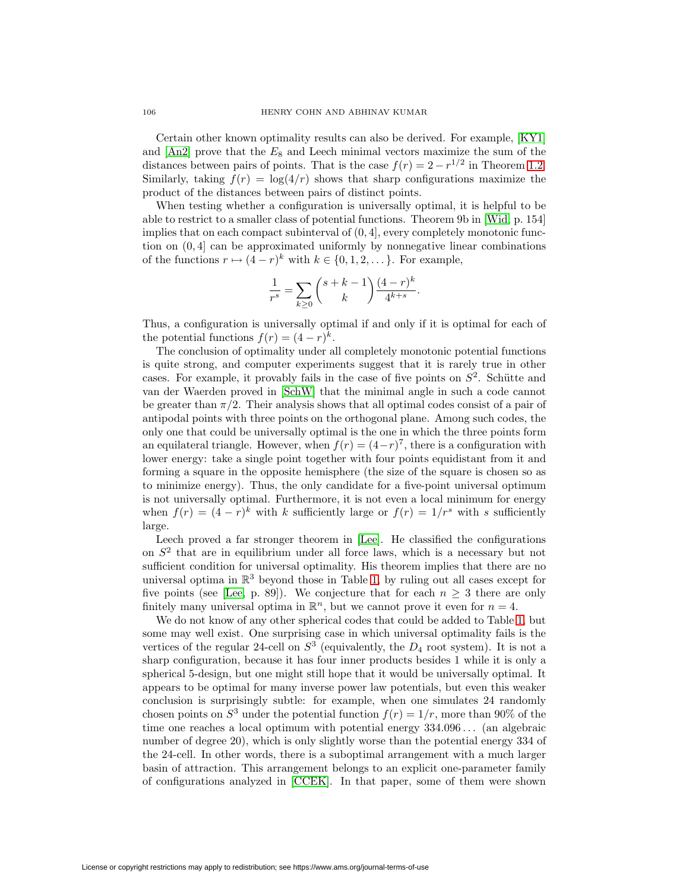Certain other known optimality results can also be derived. For example, [\[KY1\]](#page-48-0) and  $[An2]$  prove that the  $E_8$  and Leech minimal vectors maximize the sum of the distances between pairs of points. That is the case  $f(r)=2 - r^{1/2}$  in Theorem [1.2.](#page-5-1) Similarly, taking  $f(r) = \log(4/r)$  shows that sharp configurations maximize the product of the distances between pairs of distinct points.

When testing whether a configuration is universally optimal, it is helpful to be able to restrict to a smaller class of potential functions. Theorem 9b in [\[Wid,](#page-49-1) p. 154] implies that on each compact subinterval of  $(0, 4]$ , every completely monotonic function on  $(0, 4]$  can be approximated uniformly by nonnegative linear combinations of the functions  $r \mapsto (4 - r)^k$  with  $k \in \{0, 1, 2, \dots\}$ . For example,

$$
\frac{1}{r^{s}} = \sum_{k \ge 0} {s + k - 1 \choose k} \frac{(4 - r)^{k}}{4^{k + s}}.
$$

Thus, a configuration is universally optimal if and only if it is optimal for each of the potential functions  $f(r) = (4 - r)^k$ .

The conclusion of optimality under all completely monotonic potential functions is quite strong, and computer experiments suggest that it is rarely true in other cases. For example, it provably fails in the case of five points on  $S<sup>2</sup>$ . Schütte and van der Waerden proved in [\[SchW\]](#page-49-4) that the minimal angle in such a code cannot be greater than  $\pi/2$ . Their analysis shows that all optimal codes consist of a pair of antipodal points with three points on the orthogonal plane. Among such codes, the only one that could be universally optimal is the one in which the three points form an equilateral triangle. However, when  $f(r) = (4-r)^7$ , there is a configuration with lower energy: take a single point together with four points equidistant from it and forming a square in the opposite hemisphere (the size of the square is chosen so as to minimize energy). Thus, the only candidate for a five-point universal optimum is not universally optimal. Furthermore, it is not even a local minimum for energy when  $f(r) = (4 - r)^k$  with k sufficiently large or  $f(r) = 1/r^s$  with s sufficiently large.

Leech proved a far stronger theorem in [\[Lee\]](#page-48-11). He classified the configurations on  $S<sup>2</sup>$  that are in equilibrium under all force laws, which is a necessary but not sufficient condition for universal optimality. His theorem implies that there are no universal optima in  $\mathbb{R}^3$  beyond those in Table [1,](#page-3-0) by ruling out all cases except for five points (see [\[Lee,](#page-48-11) p. 89]). We conjecture that for each  $n \geq 3$  there are only finitely many universal optima in  $\mathbb{R}^n$ , but we cannot prove it even for  $n = 4$ .

We do not know of any other spherical codes that could be added to Table [1,](#page-3-0) but some may well exist. One surprising case in which universal optimality fails is the vertices of the regular 24-cell on  $S<sup>3</sup>$  (equivalently, the  $D<sub>4</sub>$  root system). It is not a sharp configuration, because it has four inner products besides 1 while it is only a spherical 5-design, but one might still hope that it would be universally optimal. It appears to be optimal for many inverse power law potentials, but even this weaker conclusion is surprisingly subtle: for example, when one simulates 24 randomly chosen points on  $S^3$  under the potential function  $f(r)=1/r$ , more than 90% of the time one reaches a local optimum with potential energy 334.096 ... (an algebraic number of degree 20), which is only slightly worse than the potential energy 334 of the 24-cell. In other words, there is a suboptimal arrangement with a much larger basin of attraction. This arrangement belongs to an explicit one-parameter family of configurations analyzed in [\[CCEK\]](#page-47-7). In that paper, some of them were shown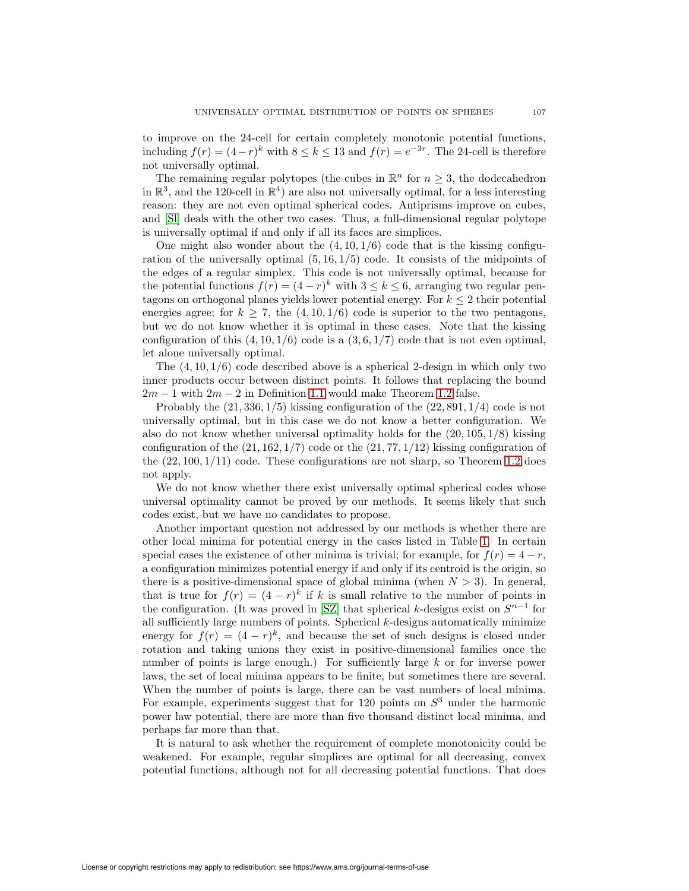to improve on the 24-cell for certain completely monotonic potential functions, including  $f(r) = (4-r)^k$  with  $8 \le k \le 13$  and  $f(r) = e^{-3r}$ . The 24-cell is therefore not universally optimal.

The remaining regular polytopes (the cubes in  $\mathbb{R}^n$  for  $n \geq 3$ , the dodecahedron in  $\mathbb{R}^3$ , and the 120-cell in  $\mathbb{R}^4$ ) are also not universally optimal, for a less interesting reason: they are not even optimal spherical codes. Antiprisms improve on cubes, and [\[Sl\]](#page-49-5) deals with the other two cases. Thus, a full-dimensional regular polytope is universally optimal if and only if all its faces are simplices.

One might also wonder about the  $(4, 10, 1/6)$  code that is the kissing configuration of the universally optimal  $(5, 16, 1/5)$  code. It consists of the midpoints of the edges of a regular simplex. This code is not universally optimal, because for the potential functions  $f(r) = (4 - r)^k$  with  $3 \le k \le 6$ , arranging two regular pentagons on orthogonal planes yields lower potential energy. For  $k \leq 2$  their potential energies agree; for  $k \geq 7$ , the  $(4, 10, 1/6)$  code is superior to the two pentagons, but we do not know whether it is optimal in these cases. Note that the kissing configuration of this  $(4, 10, 1/6)$  code is a  $(3, 6, 1/7)$  code that is not even optimal, let alone universally optimal.

The  $(4, 10, 1/6)$  code described above is a spherical 2-design in which only two inner products occur between distinct points. It follows that replacing the bound  $2m - 1$  with  $2m - 2$  in Definition [1.1](#page-2-0) would make Theorem [1.2](#page-5-1) false.

Probably the  $(21, 336, 1/5)$  kissing configuration of the  $(22, 891, 1/4)$  code is not universally optimal, but in this case we do not know a better configuration. We also do not know whether universal optimality holds for the  $(20, 105, 1/8)$  kissing configuration of the  $(21, 162, 1/7)$  code or the  $(21, 77, 1/12)$  kissing configuration of the  $(22, 100, 1/11)$  code. These configurations are not sharp, so Theorem [1.2](#page-5-1) does not apply.

We do not know whether there exist universally optimal spherical codes whose universal optimality cannot be proved by our methods. It seems likely that such codes exist, but we have no candidates to propose.

Another important question not addressed by our methods is whether there are other local minima for potential energy in the cases listed in Table [1.](#page-3-0) In certain special cases the existence of other minima is trivial; for example, for  $f(r)=4 - r$ , a configuration minimizes potential energy if and only if its centroid is the origin, so there is a positive-dimensional space of global minima (when  $N > 3$ ). In general, that is true for  $f(r) = (4 - r)^k$  if k is small relative to the number of points in the configuration. (It was proved in [\[SZ\]](#page-49-6) that spherical k-designs exist on  $S^{n-1}$  for all sufficiently large numbers of points. Spherical  $k$ -designs automatically minimize energy for  $f(r) = (4 - r)^k$ , and because the set of such designs is closed under rotation and taking unions they exist in positive-dimensional families once the number of points is large enough.) For sufficiently large k or for inverse power laws, the set of local minima appears to be finite, but sometimes there are several. When the number of points is large, there can be vast numbers of local minima. For example, experiments suggest that for 120 points on  $S<sup>3</sup>$  under the harmonic power law potential, there are more than five thousand distinct local minima, and perhaps far more than that.

It is natural to ask whether the requirement of complete monotonicity could be weakened. For example, regular simplices are optimal for all decreasing, convex potential functions, although not for all decreasing potential functions. That does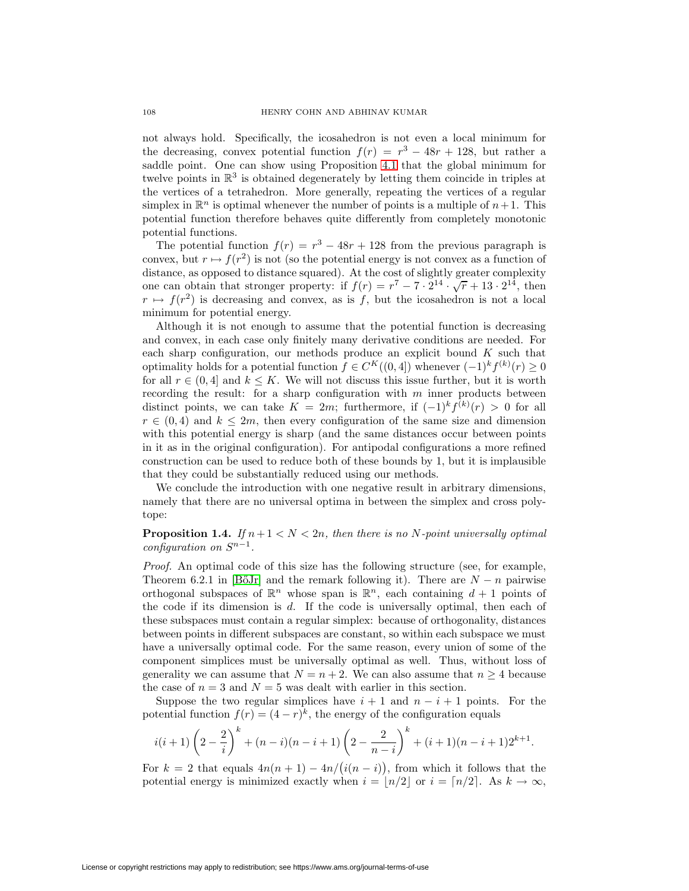not always hold. Specifically, the icosahedron is not even a local minimum for the decreasing, convex potential function  $f(r) = r^3 - 48r + 128$ , but rather a saddle point. One can show using Proposition [4.1](#page-20-0) that the global minimum for twelve points in  $\mathbb{R}^3$  is obtained degenerately by letting them coincide in triples at the vertices of a tetrahedron. More generally, repeating the vertices of a regular simplex in  $\mathbb{R}^n$  is optimal whenever the number of points is a multiple of  $n+1$ . This potential function therefore behaves quite differently from completely monotonic potential functions.

The potential function  $f(r) = r^3 - 48r + 128$  from the previous paragraph is convex, but  $r \mapsto f(r^2)$  is not (so the potential energy is not convex as a function of distance, as opposed to distance squared). At the cost of slightly greater complexity one can obtain that stronger property: if  $f(r) = r^7 - 7 \cdot 2^{14} \cdot \sqrt{r} + 13 \cdot 2^{14}$ , then  $r \mapsto f(r^2)$  is decreasing and convex, as is f, but the icosahedron is not a local minimum for potential energy.

Although it is not enough to assume that the potential function is decreasing and convex, in each case only finitely many derivative conditions are needed. For each sharp configuration, our methods produce an explicit bound  $K$  such that optimality holds for a potential function  $f \in C^K((0, 4])$  whenever  $(-1)^k f^{(k)}(r) \geq 0$ for all  $r \in (0, 4]$  and  $k \leq K$ . We will not discuss this issue further, but it is worth recording the result: for a sharp configuration with  $m$  inner products between distinct points, we can take  $K = 2m$ ; furthermore, if  $(-1)^k f^{(k)}(r) > 0$  for all  $r \in (0, 4)$  and  $k \leq 2m$ , then every configuration of the same size and dimension with this potential energy is sharp (and the same distances occur between points in it as in the original configuration). For antipodal configurations a more refined construction can be used to reduce both of these bounds by 1, but it is implausible that they could be substantially reduced using our methods.

We conclude the introduction with one negative result in arbitrary dimensions, namely that there are no universal optima in between the simplex and cross polytope:

**Proposition 1.4.** If  $n+1 < N < 2n$ , then there is no N-point universally optimal configuration on  $S^{n-1}$ .

Proof. An optimal code of this size has the following structure (see, for example, Theorem 6.2.1 in [BőJr] and the remark following it). There are  $N - n$  pairwise orthogonal subspaces of  $\mathbb{R}^n$  whose span is  $\mathbb{R}^n$ , each containing  $d+1$  points of the code if its dimension is  $d$ . If the code is universally optimal, then each of these subspaces must contain a regular simplex: because of orthogonality, distances between points in different subspaces are constant, so within each subspace we must have a universally optimal code. For the same reason, every union of some of the component simplices must be universally optimal as well. Thus, without loss of generality we can assume that  $N = n + 2$ . We can also assume that  $n \geq 4$  because the case of  $n = 3$  and  $N = 5$  was dealt with earlier in this section.

Suppose the two regular simplices have  $i + 1$  and  $n - i + 1$  points. For the potential function  $f(r) = (4 - r)^k$ , the energy of the configuration equals

$$
i(i+1)\left(2-\frac{2}{i}\right)^k + (n-i)(n-i+1)\left(2-\frac{2}{n-i}\right)^k + (i+1)(n-i+1)2^{k+1}.
$$

For  $k = 2$  that equals  $4n(n + 1) - 4n/(i(n - i))$ , from which it follows that the potential energy is minimized exactly when  $i = |n/2|$  or  $i = \lceil n/2 \rceil$ . As  $k \to \infty$ ,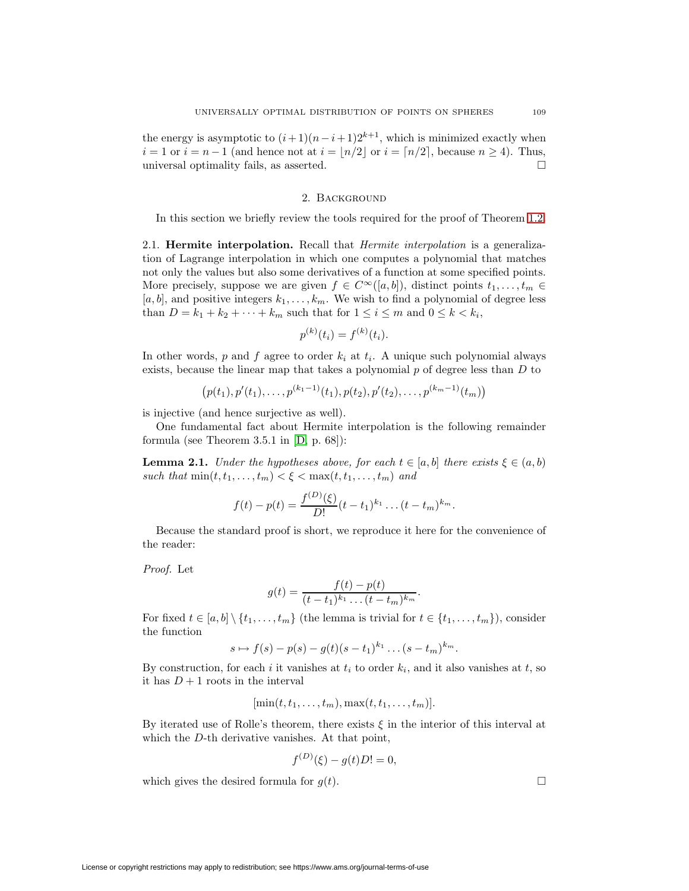the energy is asymptotic to  $(i+1)(n-i+1)2^{k+1}$ , which is minimized exactly when  $i = 1$  or  $i = n - 1$  (and hence not at  $i = \lfloor n/2 \rfloor$  or  $i = \lfloor n/2 \rfloor$ , because  $n \ge 4$ ). Thus, universal optimality fails, as asserted.

## 2. Background

In this section we briefly review the tools required for the proof of Theorem [1.2.](#page-5-1)

2.1. **Hermite interpolation.** Recall that Hermite interpolation is a generalization of Lagrange interpolation in which one computes a polynomial that matches not only the values but also some derivatives of a function at some specified points. More precisely, suppose we are given  $f \in C^{\infty}([a, b])$ , distinct points  $t_1, \ldots, t_m \in$  $[a, b]$ , and positive integers  $k_1, \ldots, k_m$ . We wish to find a polynomial of degree less than  $D = k_1 + k_2 + \cdots + k_m$  such that for  $1 \leq i \leq m$  and  $0 \leq k < k_i$ ,

$$
p^{(k)}(t_i) = f^{(k)}(t_i).
$$

In other words, p and f agree to order  $k_i$  at  $t_i$ . A unique such polynomial always exists, because the linear map that takes a polynomial  $p$  of degree less than  $D$  to

$$
(p(t_1), p'(t_1), \ldots, p^{(k_1-1)}(t_1), p(t_2), p'(t_2), \ldots, p^{(k_m-1)}(t_m))
$$

is injective (and hence surjective as well).

<span id="page-10-0"></span>One fundamental fact about Hermite interpolation is the following remainder formula (see Theorem 3.5.1 in [\[D,](#page-48-12) p. 68]):

**Lemma 2.1.** Under the hypotheses above, for each  $t \in [a, b]$  there exists  $\xi \in (a, b)$ such that  $\min(t, t_1, \ldots, t_m) < \xi < \max(t, t_1, \ldots, t_m)$  and

$$
f(t) - p(t) = \frac{f^{(D)}(\xi)}{D!}(t - t_1)^{k_1} \dots (t - t_m)^{k_m}.
$$

Because the standard proof is short, we reproduce it here for the convenience of the reader:

Proof. Let

$$
g(t) = \frac{f(t) - p(t)}{(t - t_1)^{k_1} \dots (t - t_m)^{k_m}}.
$$

For fixed  $t \in [a, b] \setminus \{t_1, \ldots, t_m\}$  (the lemma is trivial for  $t \in \{t_1, \ldots, t_m\}$ ), consider the function

$$
s\mapsto f(s)-p(s)-g(t)(s-t_1)^{k_1}\ldots(s-t_m)^{k_m}.
$$

By construction, for each i it vanishes at  $t_i$  to order  $k_i$ , and it also vanishes at  $t$ , so it has  $D+1$  roots in the interval

$$
[\min(t, t_1, \ldots, t_m), \max(t, t_1, \ldots, t_m)].
$$

By iterated use of Rolle's theorem, there exists  $\xi$  in the interior of this interval at which the D-th derivative vanishes. At that point,

$$
f^{(D)}(\xi) - g(t)D! = 0,
$$

which gives the desired formula for  $q(t)$ .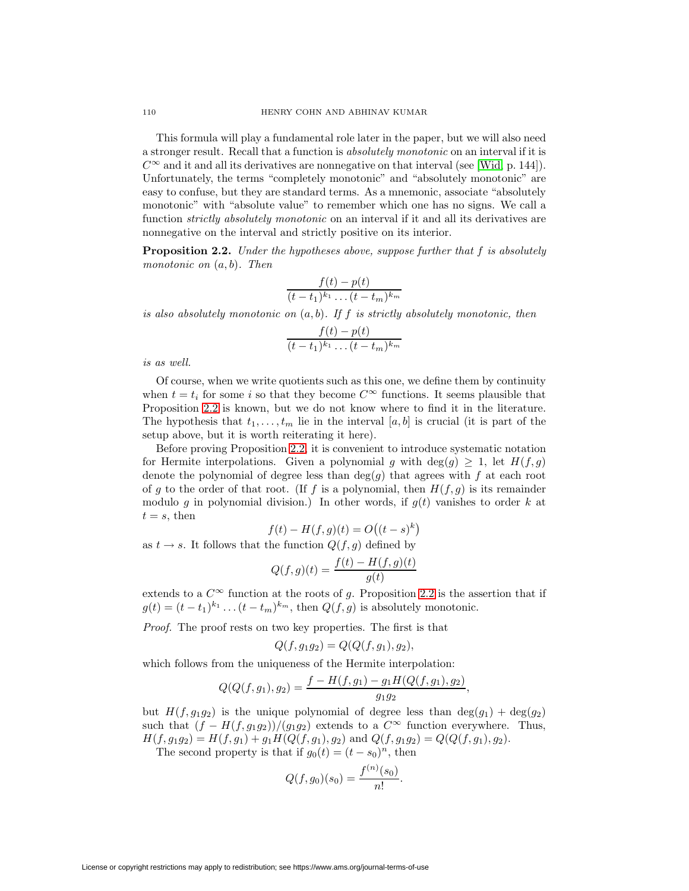This formula will play a fundamental role later in the paper, but we will also need a stronger result. Recall that a function is absolutely monotonic on an interval if it is  $C^{\infty}$  and it and all its derivatives are nonnegative on that interval (see [\[Wid,](#page-49-1) p. 144]). Unfortunately, the terms "completely monotonic" and "absolutely monotonic" are easy to confuse, but they are standard terms. As a mnemonic, associate "absolutely monotonic" with "absolute value" to remember which one has no signs. We call a function *strictly absolutely monotonic* on an interval if it and all its derivatives are nonnegative on the interval and strictly positive on its interior.

<span id="page-11-0"></span>**Proposition 2.2.** Under the hypotheses above, suppose further that f is absolutely monotonic on  $(a, b)$ . Then

$$
\frac{f(t)-p(t)}{(t-t_1)^{k_1}\dots(t-t_m)^{k_m}}
$$

is also absolutely monotonic on  $(a, b)$ . If f is strictly absolutely monotonic, then

$$
\frac{f(t)-p(t)}{(t-t_1)^{k_1}\dots(t-t_m)^{k_m}}
$$

is as well.

Of course, when we write quotients such as this one, we define them by continuity when  $t = t_i$  for some i so that they become  $C^{\infty}$  functions. It seems plausible that Proposition [2.2](#page-11-0) is known, but we do not know where to find it in the literature. The hypothesis that  $t_1,\ldots,t_m$  lie in the interval [a, b] is crucial (it is part of the setup above, but it is worth reiterating it here).

Before proving Proposition [2.2,](#page-11-0) it is convenient to introduce systematic notation for Hermite interpolations. Given a polynomial g with  $\deg(g) \geq 1$ , let  $H(f,g)$ denote the polynomial of degree less than  $deg(g)$  that agrees with f at each root of g to the order of that root. (If f is a polynomial, then  $H(f,g)$  is its remainder modulo g in polynomial division.) In other words, if  $g(t)$  vanishes to order k at  $t = s$ , then

$$
f(t) - H(f, g)(t) = O((t - s)^k)
$$

as  $t \to s$ . It follows that the function  $Q(f, g)$  defined by

$$
Q(f,g)(t) = \frac{f(t) - H(f,g)(t)}{g(t)}
$$

extends to a  $C^{\infty}$  function at the roots of g. Proposition [2.2](#page-11-0) is the assertion that if  $g(t)=(t-t_1)^{k_1} \dots (t-t_m)^{k_m}$ , then  $Q(f,g)$  is absolutely monotonic.

Proof. The proof rests on two key properties. The first is that

$$
Q(f, g_1g_2) = Q(Q(f, g_1), g_2),
$$

which follows from the uniqueness of the Hermite interpolation:

$$
Q(Q(f,g_1),g_2) = \frac{f - H(f,g_1) - g_1 H(Q(f,g_1),g_2)}{g_1 g_2},
$$

but  $H(f,g_1g_2)$  is the unique polynomial of degree less than  $deg(g_1) + deg(g_2)$ such that  $(f - H(f, g_1g_2))/(g_1g_2)$  extends to a  $C^{\infty}$  function everywhere. Thus,  $H(f,g_1g_2) = H(f,g_1) + g_1H(Q(f,g_1),g_2)$  and  $Q(f,g_1g_2) = Q(Q(f,g_1),g_2)$ .

The second property is that if  $g_0(t)=(t - s_0)^n$ , then

$$
Q(f, g_0)(s_0) = \frac{f^{(n)}(s_0)}{n!}.
$$

License or copyright restrictions may apply to redistribution; see https://www.ams.org/journal-terms-of-use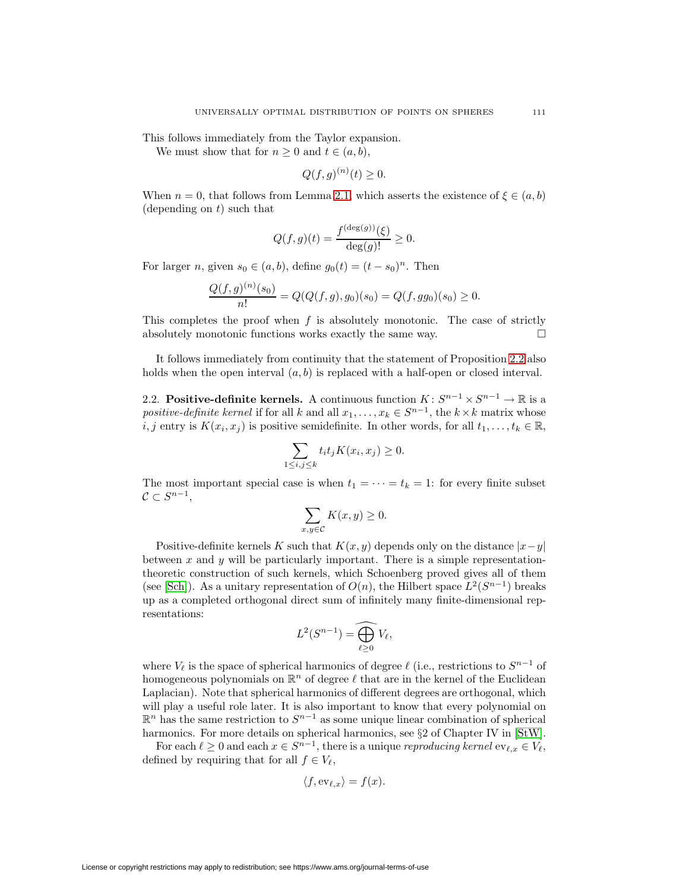This follows immediately from the Taylor expansion.

We must show that for  $n \geq 0$  and  $t \in (a, b)$ ,

$$
Q(f,g)^{(n)}(t) \ge 0.
$$

When  $n = 0$ , that follows from Lemma [2.1,](#page-10-0) which asserts the existence of  $\xi \in (a, b)$ (depending on  $t$ ) such that

$$
Q(f,g)(t) = \frac{f^{(\deg(g))}(\xi)}{\deg(g)!} \ge 0.
$$

For larger n, given  $s_0 \in (a, b)$ , define  $g_0(t)=(t - s_0)^n$ . Then

$$
\frac{Q(f,g)^{(n)}(s_0)}{n!} = Q(Q(f,g),g_0)(s_0) = Q(f,gg_0)(s_0) \ge 0.
$$

This completes the proof when  $f$  is absolutely monotonic. The case of strictly absolutely monotonic functions works exactly the same way.  $\Box$ 

It follows immediately from continuity that the statement of Proposition [2.2](#page-11-0) also holds when the open interval  $(a, b)$  is replaced with a half-open or closed interval.

<span id="page-12-0"></span>2.2. **Positive-definite kernels.** A continuous function  $K: S^{n-1} \times S^{n-1} \to \mathbb{R}$  is a positive-definite kernel if for all k and all  $x_1, \ldots, x_k \in S^{n-1}$ , the  $k \times k$  matrix whose i, j entry is  $K(x_i, x_j)$  is positive semidefinite. In other words, for all  $t_1, \ldots, t_k \in \mathbb{R}$ ,

$$
\sum_{1 \le i,j \le k} t_i t_j K(x_i, x_j) \ge 0.
$$

The most important special case is when  $t_1 = \cdots = t_k = 1$ : for every finite subset  $C \subset S^{n-1}$ ,

$$
\sum_{x,y \in \mathcal{C}} K(x,y) \ge 0.
$$

Positive-definite kernels K such that  $K(x, y)$  depends only on the distance  $|x-y|$ between x and y will be particularly important. There is a simple representationtheoretic construction of such kernels, which Schoenberg proved gives all of them (see [\[Sch\]](#page-49-7)). As a unitary representation of  $O(n)$ , the Hilbert space  $L^2(S^{n-1})$  breaks up as a completed orthogonal direct sum of infinitely many finite-dimensional representations:

$$
L^2(S^{n-1}) = \widehat{\bigoplus_{\ell \ge 0} V_{\ell}},
$$

where  $V_{\ell}$  is the space of spherical harmonics of degree  $\ell$  (i.e., restrictions to  $S^{n-1}$  of homogeneous polynomials on  $\mathbb{R}^n$  of degree  $\ell$  that are in the kernel of the Euclidean Laplacian). Note that spherical harmonics of different degrees are orthogonal, which will play a useful role later. It is also important to know that every polynomial on  $\mathbb{R}^n$  has the same restriction to  $S^{n-1}$  as some unique linear combination of spherical harmonics. For more details on spherical harmonics, see §2 of Chapter IV in [\[StW\]](#page-49-8).

For each  $\ell \geq 0$  and each  $x \in S^{n-1}$ , there is a unique *reproducing kernel* ev<sub> $\ell, x \in V_{\ell}$ ,</sub> defined by requiring that for all  $f \in V_{\ell}$ ,

$$
\langle f, \text{ev}_{\ell,x} \rangle = f(x).
$$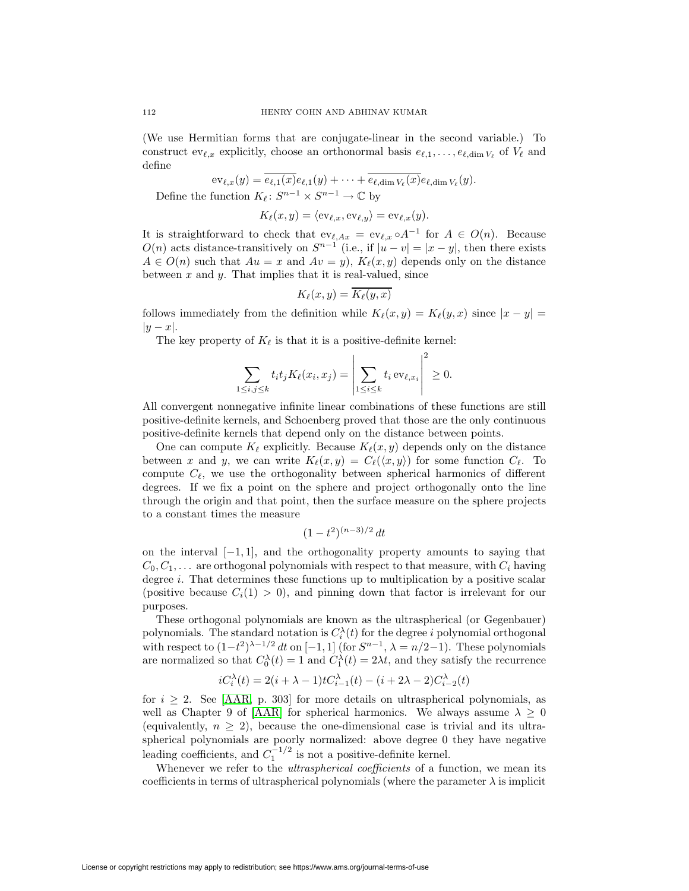(We use Hermitian forms that are conjugate-linear in the second variable.) To construct  $ev_{\ell,x}$  explicitly, choose an orthonormal basis  $e_{\ell,1},\ldots,e_{\ell,\dim V_{\ell}}$  of  $V_{\ell}$  and define

$$
\mathrm{ev}_{\ell,x}(y) = \overline{e_{\ell,1}(x)} e_{\ell,1}(y) + \cdots + \overline{e_{\ell,\dim V_{\ell}}(x)} e_{\ell,\dim V_{\ell}}(y).
$$

Define the function  $K_{\ell}: S^{n-1} \times S^{n-1} \to \mathbb{C}$  by

$$
K_{\ell}(x, y) = \langle \text{ev}_{\ell,x}, \text{ev}_{\ell,y} \rangle = \text{ev}_{\ell,x}(y).
$$

It is straightforward to check that  $ev_{\ell,Ax} = ev_{\ell,x} \circ A^{-1}$  for  $A \in O(n)$ . Because  $O(n)$  acts distance-transitively on  $S^{n-1}$  (i.e., if  $|u - v| = |x - y|$ , then there exists  $A \in O(n)$  such that  $Au = x$  and  $Av = y$ ,  $K_{\ell}(x, y)$  depends only on the distance between  $x$  and  $y$ . That implies that it is real-valued, since

$$
K_{\ell}(x,y) = K_{\ell}(y,x)
$$

follows immediately from the definition while  $K_{\ell}(x, y) = K_{\ell}(y, x)$  since  $|x - y|$  $|y-x|$ .

The key property of  $K_{\ell}$  is that it is a positive-definite kernel:

$$
\sum_{1 \le i,j \le k} t_i t_j K_\ell(x_i, x_j) = \left| \sum_{1 \le i \le k} t_i \operatorname{ev}_{\ell,x_i} \right|^2 \ge 0.
$$

All convergent nonnegative infinite linear combinations of these functions are still positive-definite kernels, and Schoenberg proved that those are the only continuous positive-definite kernels that depend only on the distance between points.

One can compute  $K_{\ell}$  explicitly. Because  $K_{\ell}(x, y)$  depends only on the distance between x and y, we can write  $K_{\ell}(x, y) = C_{\ell}(\langle x, y \rangle)$  for some function  $C_{\ell}$ . To compute  $C_{\ell}$ , we use the orthogonality between spherical harmonics of different degrees. If we fix a point on the sphere and project orthogonally onto the line through the origin and that point, then the surface measure on the sphere projects to a constant times the measure

$$
(1-t^2)^{(n-3)/2} dt
$$

on the interval  $[-1, 1]$ , and the orthogonality property amounts to saying that  $C_0, C_1, \ldots$  are orthogonal polynomials with respect to that measure, with  $C_i$  having degree *i*. That determines these functions up to multiplication by a positive scalar (positive because  $C_i(1) > 0$ ), and pinning down that factor is irrelevant for our purposes.

These orthogonal polynomials are known as the ultraspherical (or Gegenbauer) polynomials. The standard notation is  $C_i^{\lambda}(t)$  for the degree i polynomial orthogonal with respect to  $(1-t^2)^{\lambda-1/2} dt$  on  $[-1,1]$  (for  $S^{n-1}, \lambda = n/2-1$ ). These polynomials are normalized so that  $C_0^{\lambda}(t) = 1$  and  $C_1^{\lambda}(t) = 2\lambda t$ , and they satisfy the recurrence

$$
iC_i^{\lambda}(t) = 2(i + \lambda - 1)tC_{i-1}^{\lambda}(t) - (i + 2\lambda - 2)C_{i-2}^{\lambda}(t)
$$

for  $i \geq 2$ . See [\[AAR,](#page-47-9) p. 303] for more details on ultraspherical polynomials, as well as Chapter 9 of [\[AAR\]](#page-47-9) for spherical harmonics. We always assume  $\lambda \geq 0$ (equivalently,  $n \geq 2$ ), because the one-dimensional case is trivial and its ultraspherical polynomials are poorly normalized: above degree 0 they have negative leading coefficients, and  $C_1^{-1/2}$  is not a positive-definite kernel.

Whenever we refer to the *ultraspherical coefficients* of a function, we mean its coefficients in terms of ultraspherical polynomials (where the parameter  $\lambda$  is implicit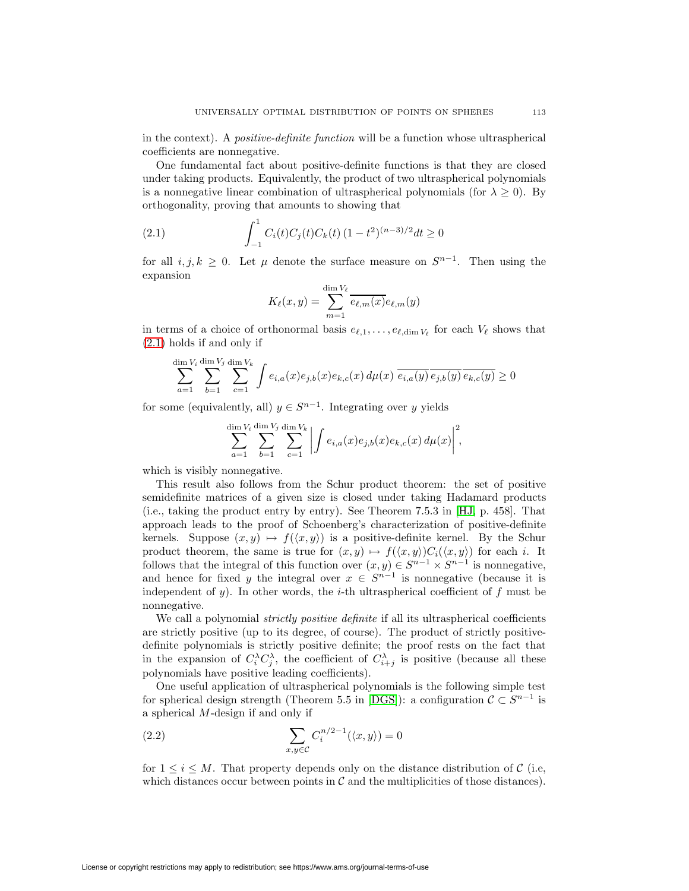in the context). A positive-definite function will be a function whose ultraspherical coefficients are nonnegative.

One fundamental fact about positive-definite functions is that they are closed under taking products. Equivalently, the product of two ultraspherical polynomials is a nonnegative linear combination of ultraspherical polynomials (for  $\lambda \geq 0$ ). By orthogonality, proving that amounts to showing that

(2.1) 
$$
\int_{-1}^{1} C_i(t)C_j(t)C_k(t) (1-t^2)^{(n-3)/2} dt \ge 0
$$

for all *i*, *j*,  $k \geq 0$ . Let  $\mu$  denote the surface measure on  $S^{n-1}$ . Then using the expansion

<span id="page-14-0"></span>
$$
K_{\ell}(x,y) = \sum_{m=1}^{\dim V_{\ell}} \overline{e_{\ell,m}(x)} e_{\ell,m}(y)
$$

in terms of a choice of orthonormal basis  $e_{\ell,1},\ldots,e_{\ell,\dim V_{\ell}}$  for each  $V_{\ell}$  shows that [\(2.1\)](#page-14-0) holds if and only if

$$
\sum_{a=1}^{\dim V_i} \sum_{b=1}^{\dim V_j} \sum_{c=1}^{\dim V_k} \int e_{i,a}(x) e_{j,b}(x) e_{k,c}(x) d\mu(x) \overline{e_{i,a}(y)} \overline{e_{j,b}(y)} \overline{e_{k,c}(y)} \ge 0
$$

for some (equivalently, all)  $y \in S^{n-1}$ . Integrating over y yields

$$
\sum_{a=1}^{\dim V_i} \sum_{b=1}^{\dim V_j} \sum_{c=1}^{\dim V_k} \left| \int e_{i,a}(x) e_{j,b}(x) e_{k,c}(x) \, d\mu(x) \right|^2,
$$

which is visibly nonnegative.

This result also follows from the Schur product theorem: the set of positive semidefinite matrices of a given size is closed under taking Hadamard products (i.e., taking the product entry by entry). See Theorem 7.5.3 in [\[HJ,](#page-48-13) p. 458]. That approach leads to the proof of Schoenberg's characterization of positive-definite kernels. Suppose  $(x, y) \mapsto f(\langle x, y \rangle)$  is a positive-definite kernel. By the Schur product theorem, the same is true for  $(x, y) \mapsto f(\langle x, y \rangle)C_i(\langle x, y \rangle)$  for each i. It follows that the integral of this function over  $(x, y) \in S^{n-1} \times S^{n-1}$  is nonnegative, and hence for fixed y the integral over  $x \in S^{n-1}$  is nonnegative (because it is independent of y). In other words, the *i*-th ultraspherical coefficient of f must be nonnegative.

We call a polynomial *strictly positive definite* if all its ultraspherical coefficients are strictly positive (up to its degree, of course). The product of strictly positivedefinite polynomials is strictly positive definite; the proof rests on the fact that in the expansion of  $C_i^{\lambda} C_j^{\lambda}$ , the coefficient of  $C_{i+j}^{\lambda}$  is positive (because all these polynomials have positive leading coefficients).

One useful application of ultraspherical polynomials is the following simple test for spherical design strength (Theorem 5.5 in [\[DGS\]](#page-48-6)): a configuration  $C \subset S^{n-1}$  is a spherical M-design if and only if

<span id="page-14-1"></span>(2.2) 
$$
\sum_{x,y \in \mathcal{C}} C_i^{n/2-1}(\langle x,y \rangle) = 0
$$

for  $1 \leq i \leq M$ . That property depends only on the distance distribution of C (i.e, which distances occur between points in  $\mathcal C$  and the multiplicities of those distances).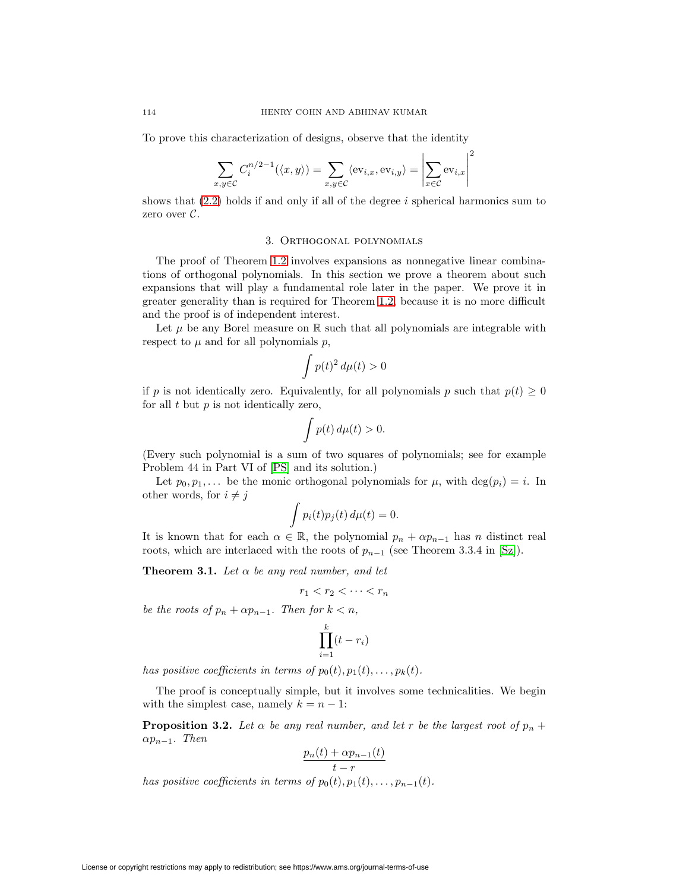To prove this characterization of designs, observe that the identity

$$
\sum_{x,y \in \mathcal{C}} C_i^{n/2-1}(\langle x,y \rangle) = \sum_{x,y \in \mathcal{C}} \langle \text{ev}_{i,x}, \text{ev}_{i,y} \rangle = \left| \sum_{x \in \mathcal{C}} \text{ev}_{i,x} \right|^2
$$

shows that  $(2.2)$  holds if and only if all of the degree i spherical harmonics sum to zero over C.

## 3. Orthogonal polynomials

The proof of Theorem [1.2](#page-5-1) involves expansions as nonnegative linear combinations of orthogonal polynomials. In this section we prove a theorem about such expansions that will play a fundamental role later in the paper. We prove it in greater generality than is required for Theorem [1.2,](#page-5-1) because it is no more difficult and the proof is of independent interest.

Let  $\mu$  be any Borel measure on  $\mathbb R$  such that all polynomials are integrable with respect to  $\mu$  and for all polynomials  $p$ ,

$$
\int p(t)^2 \, d\mu(t) > 0
$$

if p is not identically zero. Equivalently, for all polynomials p such that  $p(t) \geq 0$ for all  $t$  but  $p$  is not identically zero,

$$
\int p(t) \, d\mu(t) > 0.
$$

(Every such polynomial is a sum of two squares of polynomials; see for example Problem 44 in Part VI of [\[PS\]](#page-48-14) and its solution.)

Let  $p_0, p_1,...$  be the monic orthogonal polynomials for  $\mu$ , with  $\deg(p_i) = i$ . In other words, for  $i \neq j$ 

$$
\int p_i(t)p_j(t)\,d\mu(t)=0.
$$

<span id="page-15-1"></span>It is known that for each  $\alpha \in \mathbb{R}$ , the polynomial  $p_n + \alpha p_{n-1}$  has n distinct real roots, which are interlaced with the roots of  $p_{n-1}$  (see Theorem 3.3.4 in [\[Sz\]](#page-49-9)).

**Theorem 3.1.** Let  $\alpha$  be any real number, and let

$$
r_1 < r_2 < \cdots < r_n
$$

be the roots of  $p_n + \alpha p_{n-1}$ . Then for  $k < n$ ,

$$
\prod_{i=1}^{k} (t - r_i)
$$

has positive coefficients in terms of  $p_0(t), p_1(t), \ldots, p_k(t)$ .

<span id="page-15-0"></span>The proof is conceptually simple, but it involves some technicalities. We begin with the simplest case, namely  $k = n - 1$ :

**Proposition 3.2.** Let  $\alpha$  be any real number, and let r be the largest root of  $p_n$  +  $\alpha p_{n-1}$ . Then

$$
\frac{p_n(t) + \alpha p_{n-1}(t)}{t - r}
$$

has positive coefficients in terms of  $p_0(t), p_1(t), \ldots, p_{n-1}(t)$ .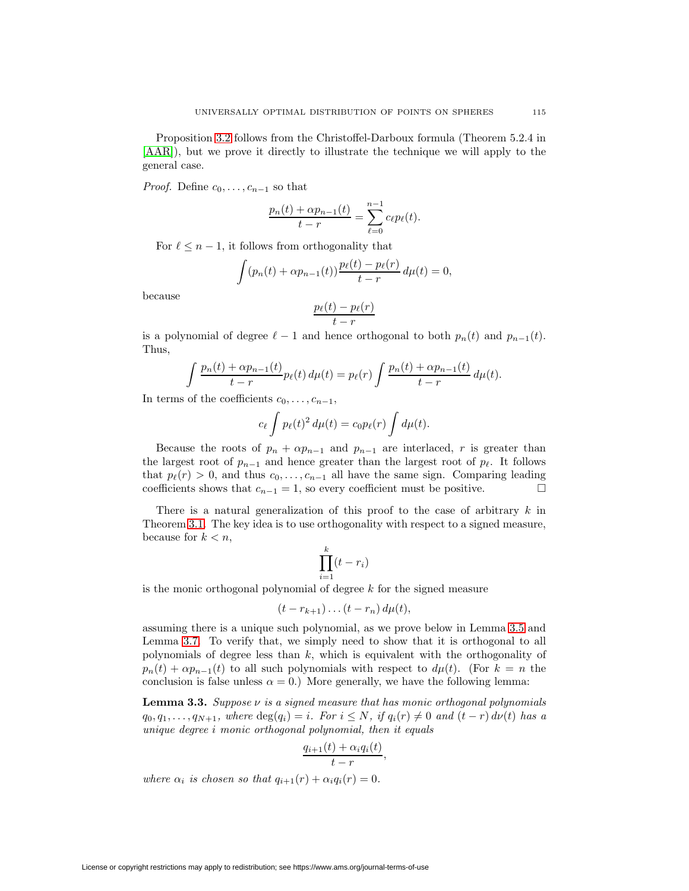Proposition [3.2](#page-15-0) follows from the Christoffel-Darboux formula (Theorem 5.2.4 in [\[AAR\]](#page-47-9)), but we prove it directly to illustrate the technique we will apply to the general case.

*Proof.* Define  $c_0, \ldots, c_{n-1}$  so that

$$
\frac{p_n(t) + \alpha p_{n-1}(t)}{t - r} = \sum_{\ell=0}^{n-1} c_{\ell} p_{\ell}(t).
$$

For  $\ell \leq n-1$ , it follows from orthogonality that

$$
\int (p_n(t) + \alpha p_{n-1}(t)) \frac{p_\ell(t) - p_\ell(r)}{t - r} d\mu(t) = 0,
$$

because

$$
\frac{p_{\ell}(t)-p_{\ell}(r)}{t-r}
$$

is a polynomial of degree  $\ell - 1$  and hence orthogonal to both  $p_n(t)$  and  $p_{n-1}(t)$ . Thus,

$$
\int \frac{p_n(t) + \alpha p_{n-1}(t)}{t - r} p_{\ell}(t) d\mu(t) = p_{\ell}(r) \int \frac{p_n(t) + \alpha p_{n-1}(t)}{t - r} d\mu(t).
$$

In terms of the coefficients  $c_0, \ldots, c_{n-1}$ ,

$$
c_{\ell} \int p_{\ell}(t)^2 d\mu(t) = c_0 p_{\ell}(r) \int d\mu(t).
$$

Because the roots of  $p_n + \alpha p_{n-1}$  and  $p_{n-1}$  are interlaced, r is greater than the largest root of  $p_{n-1}$  and hence greater than the largest root of  $p_{\ell}$ . It follows that  $p_{\ell}(r) > 0$ , and thus  $c_0, \ldots, c_{n-1}$  all have the same sign. Comparing leading coefficients shows that  $c_{n-1} = 1$ , so every coefficient must be positive.  $□$ 

There is a natural generalization of this proof to the case of arbitrary  $k$  in Theorem [3.1.](#page-15-1) The key idea is to use orthogonality with respect to a signed measure, because for  $k < n$ ,

$$
\prod_{i=1}^{k} (t - r_i)
$$

is the monic orthogonal polynomial of degree  $k$  for the signed measure

$$
(t-r_{k+1})\ldots (t-r_n) d\mu(t),
$$

assuming there is a unique such polynomial, as we prove below in Lemma [3.5](#page-17-0) and Lemma [3.7.](#page-19-0) To verify that, we simply need to show that it is orthogonal to all polynomials of degree less than k, which is equivalent with the orthogonality of  $p_n(t) + \alpha p_{n-1}(t)$  to all such polynomials with respect to  $d\mu(t)$ . (For  $k = n$  the conclusion is false unless  $\alpha = 0$ .) More generally, we have the following lemma:

<span id="page-16-0"></span>**Lemma 3.3.** Suppose  $\nu$  is a signed measure that has monic orthogonal polynomials  $q_0, q_1, \ldots, q_{N+1}$ , where  $\deg(q_i) = i$ . For  $i \leq N$ , if  $q_i(r) \neq 0$  and  $(t - r) d\nu(t)$  has a unique degree i monic orthogonal polynomial, then it equals

$$
\frac{q_{i+1}(t) + \alpha_i q_i(t)}{t-r},
$$

where  $\alpha_i$  is chosen so that  $q_{i+1}(r) + \alpha_i q_i(r) = 0$ .

License or copyright restrictions may apply to redistribution; see https://www.ams.org/journal-terms-of-use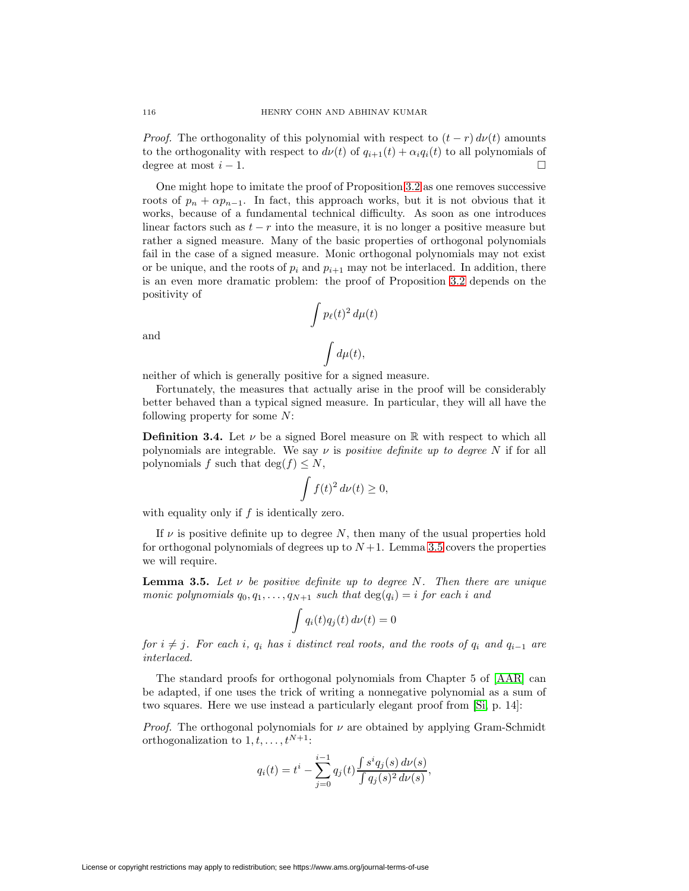*Proof.* The orthogonality of this polynomial with respect to  $(t - r) d\nu(t)$  amounts to the orthogonality with respect to  $d\nu(t)$  of  $q_{i+1}(t) + \alpha_i q_i(t)$  to all polynomials of degree at most  $i - 1$ .

One might hope to imitate the proof of Proposition [3.2](#page-15-0) as one removes successive roots of  $p_n + \alpha p_{n-1}$ . In fact, this approach works, but it is not obvious that it works, because of a fundamental technical difficulty. As soon as one introduces linear factors such as  $t - r$  into the measure, it is no longer a positive measure but rather a signed measure. Many of the basic properties of orthogonal polynomials fail in the case of a signed measure. Monic orthogonal polynomials may not exist or be unique, and the roots of  $p_i$  and  $p_{i+1}$  may not be interlaced. In addition, there is an even more dramatic problem: the proof of Proposition [3.2](#page-15-0) depends on the positivity of

$$
\int p_{\ell}(t)^2 d\mu(t)
$$

$$
\int d\mu(t),
$$

and

neither of which is generally positive for a signed measure.

Fortunately, the measures that actually arise in the proof will be considerably better behaved than a typical signed measure. In particular, they will all have the following property for some N:

**Definition 3.4.** Let  $\nu$  be a signed Borel measure on  $\mathbb{R}$  with respect to which all polynomials are integrable. We say  $\nu$  is positive definite up to degree N if for all polynomials f such that  $\deg(f) \leq N$ ,

$$
\int f(t)^2 \, d\nu(t) \ge 0,
$$

with equality only if  $f$  is identically zero.

If  $\nu$  is positive definite up to degree N, then many of the usual properties hold for orthogonal polynomials of degrees up to  $N+1$ . Lemma [3.5](#page-17-0) covers the properties we will require.

<span id="page-17-0"></span>**Lemma 3.5.** Let  $\nu$  be positive definite up to degree N. Then there are unique monic polynomials  $q_0, q_1, \ldots, q_{N+1}$  such that  $deg(q_i) = i$  for each i and

$$
\int q_i(t)q_j(t) d\nu(t) = 0
$$

for  $i \neq j$ . For each i,  $q_i$  has i distinct real roots, and the roots of  $q_i$  and  $q_{i-1}$  are interlaced.

The standard proofs for orthogonal polynomials from Chapter 5 of [\[AAR\]](#page-47-9) can be adapted, if one uses the trick of writing a nonnegative polynomial as a sum of two squares. Here we use instead a particularly elegant proof from [\[Si,](#page-49-10) p. 14]:

*Proof.* The orthogonal polynomials for  $\nu$  are obtained by applying Gram-Schmidt orthogonalization to  $1, t, \ldots, t^{N+1}$ :

$$
q_i(t) = t^i - \sum_{j=0}^{i-1} q_j(t) \frac{\int s^i q_j(s) d\nu(s)}{\int q_j(s)^2 d\nu(s)},
$$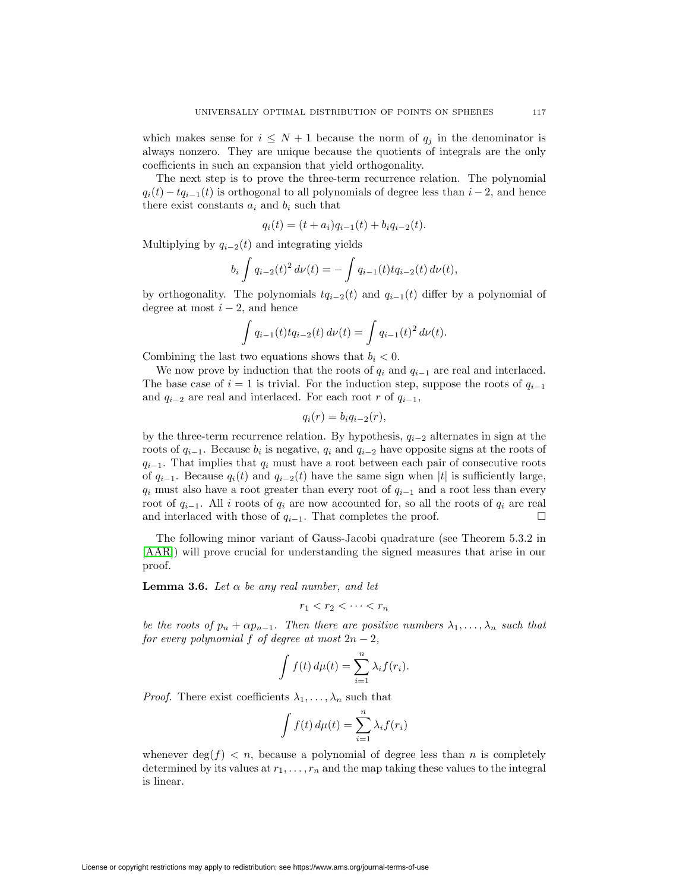which makes sense for  $i \leq N+1$  because the norm of  $q_i$  in the denominator is always nonzero. They are unique because the quotients of integrals are the only coefficients in such an expansion that yield orthogonality.

The next step is to prove the three-term recurrence relation. The polynomial  $q_i(t) - tq_{i-1}(t)$  is orthogonal to all polynomials of degree less than  $i-2$ , and hence there exist constants  $a_i$  and  $b_i$  such that

$$
q_i(t) = (t + a_i)q_{i-1}(t) + b_iq_{i-2}(t).
$$

Multiplying by  $q_{i-2}(t)$  and integrating yields

$$
b_i \int q_{i-2}(t)^2 d\nu(t) = - \int q_{i-1}(t) t q_{i-2}(t) d\nu(t),
$$

by orthogonality. The polynomials  $tq_{i-2}(t)$  and  $q_{i-1}(t)$  differ by a polynomial of degree at most  $i - 2$ , and hence

$$
\int q_{i-1}(t) t q_{i-2}(t) d\nu(t) = \int q_{i-1}(t)^2 d\nu(t).
$$

Combining the last two equations shows that  $b_i < 0$ .

We now prove by induction that the roots of  $q_i$  and  $q_{i-1}$  are real and interlaced. The base case of  $i = 1$  is trivial. For the induction step, suppose the roots of  $q_{i-1}$ and  $q_{i-2}$  are real and interlaced. For each root r of  $q_{i-1}$ ,

$$
q_i(r) = b_i q_{i-2}(r),
$$

by the three-term recurrence relation. By hypothesis,  $q_{i-2}$  alternates in sign at the roots of  $q_{i-1}$ . Because  $b_i$  is negative,  $q_i$  and  $q_{i-2}$  have opposite signs at the roots of  $q_{i-1}$ . That implies that  $q_i$  must have a root between each pair of consecutive roots of  $q_{i-1}$ . Because  $q_i(t)$  and  $q_{i-2}(t)$  have the same sign when |t| is sufficiently large,  $q_i$  must also have a root greater than every root of  $q_{i-1}$  and a root less than every root of  $q_{i-1}$ . All i roots of  $q_i$  are now accounted for, so all the roots of  $q_i$  are real and interlaced with those of  $q_{i-1}$ . That completes the proof.  $\Box$ 

The following minor variant of Gauss-Jacobi quadrature (see Theorem 5.3.2 in [\[AAR\]](#page-47-9)) will prove crucial for understanding the signed measures that arise in our proof.

<span id="page-18-0"></span>**Lemma 3.6.** Let  $\alpha$  be any real number, and let

$$
r_1 < r_2 < \cdots < r_n
$$

be the roots of  $p_n + \alpha p_{n-1}$ . Then there are positive numbers  $\lambda_1, \ldots, \lambda_n$  such that for every polynomial f of degree at most  $2n-2$ ,

$$
\int f(t) d\mu(t) = \sum_{i=1}^{n} \lambda_i f(r_i).
$$

*Proof.* There exist coefficients  $\lambda_1, \ldots, \lambda_n$  such that

$$
\int f(t) d\mu(t) = \sum_{i=1}^{n} \lambda_i f(r_i)
$$

whenever  $\deg(f) < n$ , because a polynomial of degree less than n is completely determined by its values at  $r_1, \ldots, r_n$  and the map taking these values to the integral is linear.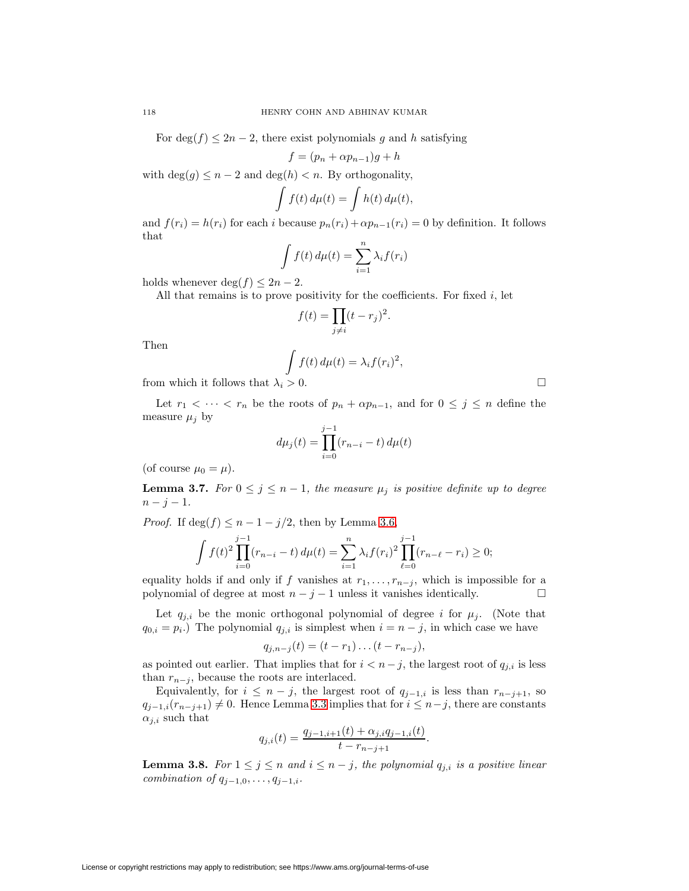For deg(f)  $\leq 2n-2$ , there exist polynomials g and h satisfying

$$
f = (p_n + \alpha p_{n-1})g + h
$$

with  $\deg(q) \leq n-2$  and  $\deg(h) < n$ . By orthogonality,  $\mathcal{L}$ 

$$
\int f(t) d\mu(t) = \int h(t) d\mu(t),
$$

and  $f(r_i) = h(r_i)$  for each i because  $p_n(r_i) + \alpha p_{n-1}(r_i) = 0$  by definition. It follows that

$$
\int f(t) d\mu(t) = \sum_{i=1}^{n} \lambda_i f(r_i)
$$

holds whenever deg( $f$ )  $\leq 2n-2$ .

All that remains is to prove positivity for the coefficients. For fixed  $i$ , let

$$
f(t) = \prod_{j \neq i} (t - r_j)^2.
$$

Then

$$
\int f(t) d\mu(t) = \lambda_i f(r_i)^2,
$$

from which it follows that  $\lambda_i > 0$ .

Let  $r_1 < \cdots < r_n$  be the roots of  $p_n + \alpha p_{n-1}$ , and for  $0 \leq j \leq n$  define the measure  $\mu_i$  by

$$
d\mu_j(t) = \prod_{i=0}^{j-1} (r_{n-i} - t) d\mu(t)
$$

<span id="page-19-0"></span>(of course  $\mu_0 = \mu$ ).

**Lemma 3.7.** For  $0 \leq j \leq n-1$ , the measure  $\mu_j$  is positive definite up to degree  $n - j - 1$ .

*Proof.* If  $\deg(f) \leq n - 1 - j/2$ , then by Lemma [3.6,](#page-18-0)

$$
\int f(t)^2 \prod_{i=0}^{j-1} (r_{n-i} - t) d\mu(t) = \sum_{i=1}^n \lambda_i f(r_i)^2 \prod_{\ell=0}^{j-1} (r_{n-\ell} - r_i) \ge 0;
$$

equality holds if and only if f vanishes at  $r_1, \ldots, r_{n-j}$ , which is impossible for a polynomial of degree at most  $n - j - 1$  unless it vanishes identically.  $\Box$ 

Let  $q_{j,i}$  be the monic orthogonal polynomial of degree i for  $\mu_j$ . (Note that  $q_{0,i} = p_i$ .) The polynomial  $q_{j,i}$  is simplest when  $i = n - j$ , in which case we have

$$
q_{j,n-j}(t) = (t - r_1) \dots (t - r_{n-j}),
$$

as pointed out earlier. That implies that for  $i < n-j$ , the largest root of  $q_{i,i}$  is less than  $r_{n-j}$ , because the roots are interlaced.

Equivalently, for  $i \leq n - j$ , the largest root of  $q_{j-1,i}$  is less than  $r_{n-j+1}$ , so  $q_{j-1,i}(r_{n-j+1}) \neq 0$ . Hence Lemma [3.3](#page-16-0) implies that for  $i \leq n-j$ , there are constants  $\alpha_{j,i}$  such that

$$
q_{j,i}(t) = \frac{q_{j-1,i+1}(t) + \alpha_{j,i}q_{j-1,i}(t)}{t - r_{n-j+1}}
$$

.

<span id="page-19-1"></span>**Lemma 3.8.** For  $1 \leq j \leq n$  and  $i \leq n - j$ , the polynomial  $q_{j,i}$  is a positive linear combination of  $q_{j-1,0},\ldots,q_{j-1,i}$ .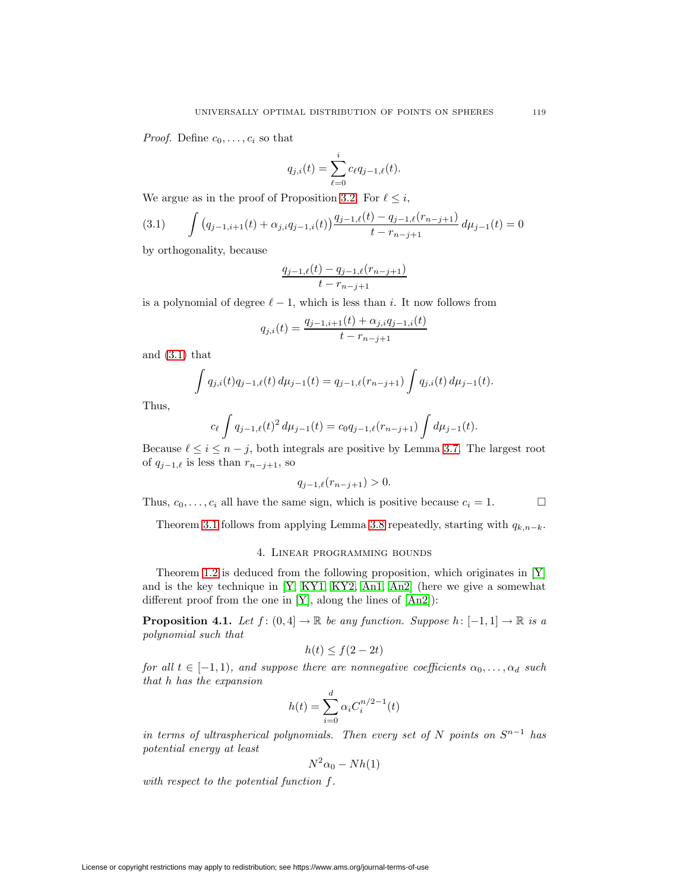*Proof.* Define  $c_0, \ldots, c_i$  so that

<span id="page-20-1"></span>
$$
q_{j,i}(t) = \sum_{\ell=0}^i c_\ell q_{j-1,\ell}(t).
$$

We argue as in the proof of Proposition [3.2.](#page-15-0) For  $\ell \leq i$ ,

$$
(3.1) \qquad \int \left( q_{j-1,i+1}(t) + \alpha_{j,i} q_{j-1,i}(t) \right) \frac{q_{j-1,\ell}(t) - q_{j-1,\ell}(r_{n-j+1})}{t - r_{n-j+1}} d\mu_{j-1}(t) = 0
$$

by orthogonality, because

$$
\frac{q_{j-1,\ell}(t) - q_{j-1,\ell}(r_{n-j+1})}{t - r_{n-j+1}}
$$

is a polynomial of degree  $\ell - 1$ , which is less than i. It now follows from

$$
q_{j,i}(t) = \frac{q_{j-1,i+1}(t) + \alpha_{j,i}q_{j-1,i}(t)}{t - r_{n-j+1}}
$$

and [\(3.1\)](#page-20-1) that

$$
\int q_{j,i}(t)q_{j-1,\ell}(t) d\mu_{j-1}(t) = q_{j-1,\ell}(r_{n-j+1}) \int q_{j,i}(t) d\mu_{j-1}(t).
$$

Thus,

$$
c_{\ell} \int q_{j-1,\ell}(t)^2 d\mu_{j-1}(t) = c_0 q_{j-1,\ell}(r_{n-j+1}) \int d\mu_{j-1}(t).
$$

Because  $\ell \leq i \leq n-j$ , both integrals are positive by Lemma [3.7.](#page-19-0) The largest root of  $q_{j-1,\ell}$  is less than  $r_{n-j+1}$ , so

$$
q_{j-1,\ell}(r_{n-j+1}) > 0.
$$

Thus,  $c_0, \ldots, c_i$  all have the same sign, which is positive because  $c_i = 1$ .

Theorem [3.1](#page-15-1) follows from applying Lemma [3.8](#page-19-1) repeatedly, starting with  $q_{k,n-k}$ .

## 4. Linear programming bounds

<span id="page-20-2"></span>Theorem [1.2](#page-5-1) is deduced from the following proposition, which originates in [\[Y\]](#page-49-0) and is the key technique in [\[Y,](#page-49-0) [KY1,](#page-48-0) [KY2,](#page-48-1) [An1,](#page-47-0) [An2\]](#page-47-1) (here we give a somewhat different proof from the one in  $[Y]$ , along the lines of  $[An2]$ :

<span id="page-20-0"></span>**Proposition 4.1.** Let  $f : (0, 4] \to \mathbb{R}$  be any function. Suppose  $h : [-1, 1] \to \mathbb{R}$  is a polynomial such that

$$
h(t) \le f(2 - 2t)
$$

for all  $t \in [-1, 1)$ , and suppose there are nonnegative coefficients  $\alpha_0, \ldots, \alpha_d$  such that h has the expansion

$$
h(t) = \sum_{i=0}^{d} \alpha_i C_i^{n/2 - 1}(t)
$$

in terms of ultraspherical polynomials. Then every set of N points on  $S^{n-1}$  has potential energy at least

$$
N^2\alpha_0 - Nh(1)
$$

with respect to the potential function f.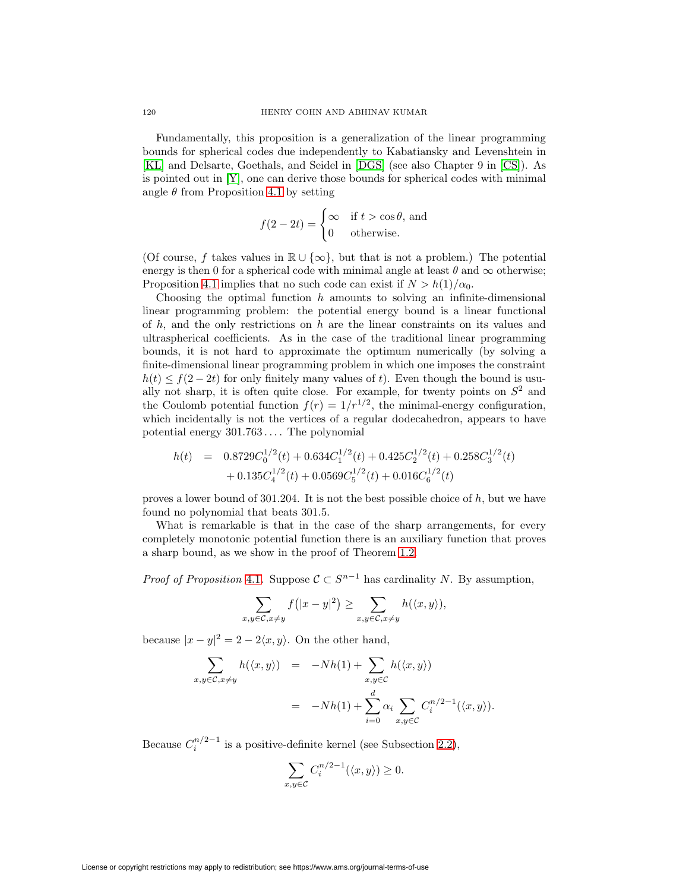Fundamentally, this proposition is a generalization of the linear programming bounds for spherical codes due independently to Kabatiansky and Levenshtein in [\[KL\]](#page-48-15) and Delsarte, Goethals, and Seidel in [\[DGS\]](#page-48-6) (see also Chapter 9 in [\[CS\]](#page-47-2)). As is pointed out in  $[Y]$ , one can derive those bounds for spherical codes with minimal angle  $\theta$  from Proposition [4.1](#page-20-0) by setting

$$
f(2 - 2t) = \begin{cases} \infty & \text{if } t > \cos \theta, \text{ and} \\ 0 & \text{otherwise.} \end{cases}
$$

(Of course, f takes values in  $\mathbb{R} \cup \{\infty\}$ , but that is not a problem.) The potential energy is then 0 for a spherical code with minimal angle at least  $\theta$  and  $\infty$  otherwise; Proposition [4.1](#page-20-0) implies that no such code can exist if  $N > h(1)/\alpha_0$ .

Choosing the optimal function  $h$  amounts to solving an infinite-dimensional linear programming problem: the potential energy bound is a linear functional of  $h$ , and the only restrictions on  $h$  are the linear constraints on its values and ultraspherical coefficients. As in the case of the traditional linear programming bounds, it is not hard to approximate the optimum numerically (by solving a finite-dimensional linear programming problem in which one imposes the constraint  $h(t) \le f(2-2t)$  for only finitely many values of t). Even though the bound is usually not sharp, it is often quite close. For example, for twenty points on  $S<sup>2</sup>$  and the Coulomb potential function  $f(r)=1/r^{1/2}$ , the minimal-energy configuration, which incidentally is not the vertices of a regular dodecahedron, appears to have potential energy 301.763 ... . The polynomial

$$
h(t) = 0.8729C_0^{1/2}(t) + 0.634C_1^{1/2}(t) + 0.425C_2^{1/2}(t) + 0.258C_3^{1/2}(t) + 0.135C_4^{1/2}(t) + 0.0569C_5^{1/2}(t) + 0.016C_6^{1/2}(t)
$$

proves a lower bound of 301.204. It is not the best possible choice of  $h$ , but we have found no polynomial that beats 301.5.

What is remarkable is that in the case of the sharp arrangements, for every completely monotonic potential function there is an auxiliary function that proves a sharp bound, as we show in the proof of Theorem [1.2.](#page-5-1)

*Proof of Proposition* [4.1](#page-20-0). Suppose  $C \subset S^{n-1}$  has cardinality N. By assumption,

$$
\sum_{x,y\in\mathcal{C},x\neq y} f(|x-y|^2) \ge \sum_{x,y\in\mathcal{C},x\neq y} h(\langle x,y\rangle),
$$

because  $|x-y|^2 = 2 - 2\langle x, y \rangle$ . On the other hand,

$$
\sum_{x,y \in \mathcal{C}, x \neq y} h(\langle x, y \rangle) = -Nh(1) + \sum_{x,y \in \mathcal{C}} h(\langle x, y \rangle)
$$
  
=  $-Nh(1) + \sum_{i=0}^{d} \alpha_i \sum_{x,y \in \mathcal{C}} C_i^{n/2-1}(\langle x, y \rangle).$ 

Because  $C_i^{n/2-1}$  is a positive-definite kernel (see Subsection [2.2\)](#page-12-0),

$$
\sum_{x,y\in\mathcal{C}}C_i^{n/2-1}(\langle x,y\rangle)\geq 0.
$$

License or copyright restrictions may apply to redistribution; see https://www.ams.org/journal-terms-of-use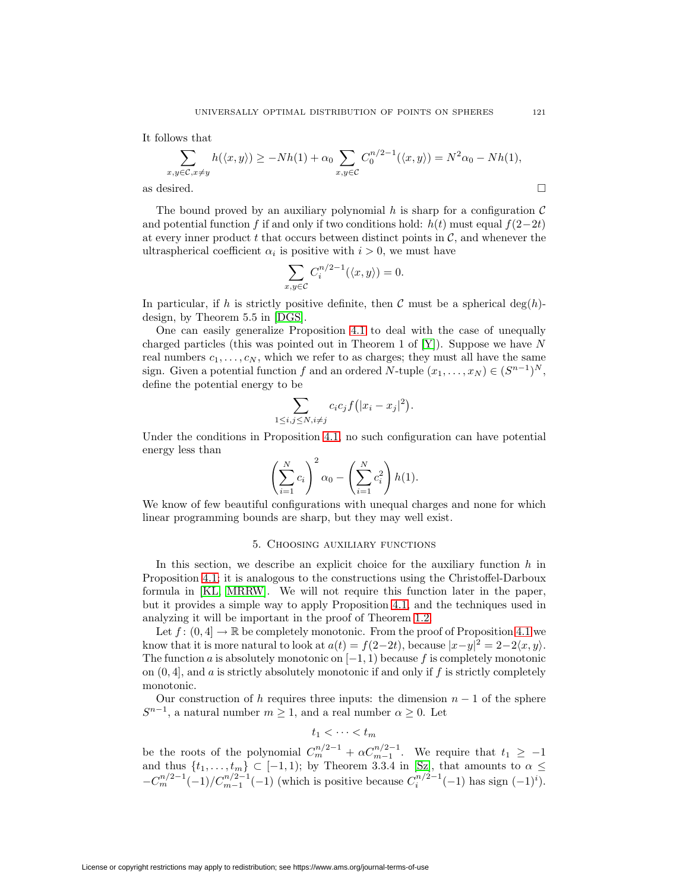It follows that

$$
\sum_{x,y\in\mathcal{C},x\neq y} h(\langle x,y\rangle) \ge -Nh(1) + \alpha_0 \sum_{x,y\in\mathcal{C}} C_0^{n/2-1}(\langle x,y\rangle) = N^2 \alpha_0 - Nh(1),
$$
as desired.

The bound proved by an auxiliary polynomial h is sharp for a configuration  $\mathcal C$ and potential function f if and only if two conditions hold:  $h(t)$  must equal  $f(2-2t)$ at every inner product t that occurs between distinct points in  $\mathcal{C}$ , and whenever the ultraspherical coefficient  $\alpha_i$  is positive with  $i > 0$ , we must have

$$
\sum_{x,y \in \mathcal{C}} C_i^{n/2 - 1}(\langle x, y \rangle) = 0.
$$

In particular, if h is strictly positive definite, then C must be a spherical deg(h)design, by Theorem 5.5 in [\[DGS\]](#page-48-6).

One can easily generalize Proposition [4.1](#page-20-0) to deal with the case of unequally charged particles (this was pointed out in Theorem 1 of  $[Y]$ ). Suppose we have N real numbers  $c_1, \ldots, c_N$ , which we refer to as charges; they must all have the same sign. Given a potential function f and an ordered N-tuple  $(x_1, \ldots, x_N) \in (S^{n-1})^N$ , define the potential energy to be

$$
\sum_{1 \le i,j \le N, i \ne j} c_i c_j f(|x_i - x_j|^2).
$$

Under the conditions in Proposition [4.1,](#page-20-0) no such configuration can have potential energy less than

$$
\left(\sum_{i=1}^N c_i\right)^2 \alpha_0 - \left(\sum_{i=1}^N c_i^2\right) h(1).
$$

<span id="page-22-0"></span>We know of few beautiful configurations with unequal charges and none for which linear programming bounds are sharp, but they may well exist.

## 5. Choosing auxiliary functions

In this section, we describe an explicit choice for the auxiliary function  $h$  in Proposition [4.1;](#page-20-0) it is analogous to the constructions using the Christoffel-Darboux formula in [\[KL,](#page-48-15) [MRRW\]](#page-48-16). We will not require this function later in the paper, but it provides a simple way to apply Proposition [4.1,](#page-20-0) and the techniques used in analyzing it will be important in the proof of Theorem [1.2.](#page-5-1)

Let  $f : (0, 4] \to \mathbb{R}$  be completely monotonic. From the proof of Proposition [4.1](#page-20-0) we know that it is more natural to look at  $a(t) = f(2-2t)$ , because  $|x-y|^2 = 2-2\langle x, y \rangle$ . The function a is absolutely monotonic on  $[-1, 1)$  because f is completely monotonic on  $(0, 4]$ , and a is strictly absolutely monotonic if and only if f is strictly completely monotonic.

Our construction of h requires three inputs: the dimension  $n-1$  of the sphere  $S^{n-1}$ , a natural number  $m \ge 1$ , and a real number  $\alpha \ge 0$ . Let

$$
t_1 < \cdots < t_m
$$

be the roots of the polynomial  $C_m^{n/2-1} + \alpha C_{m-1}^{n/2-1}$ . We require that  $t_1 \geq -1$ and thus  $\{t_1,\ldots,t_m\} \subset [-1,1)$ ; by Theorem 3.3.4 in [\[Sz\]](#page-49-9), that amounts to  $\alpha \leq$  $-C_m^{n/2-1}(-1)/C_{m-1}^{n/2-1}(-1)$  (which is positive because  $C_i^{n/2-1}(-1)$  has sign  $(-1)^i$ ).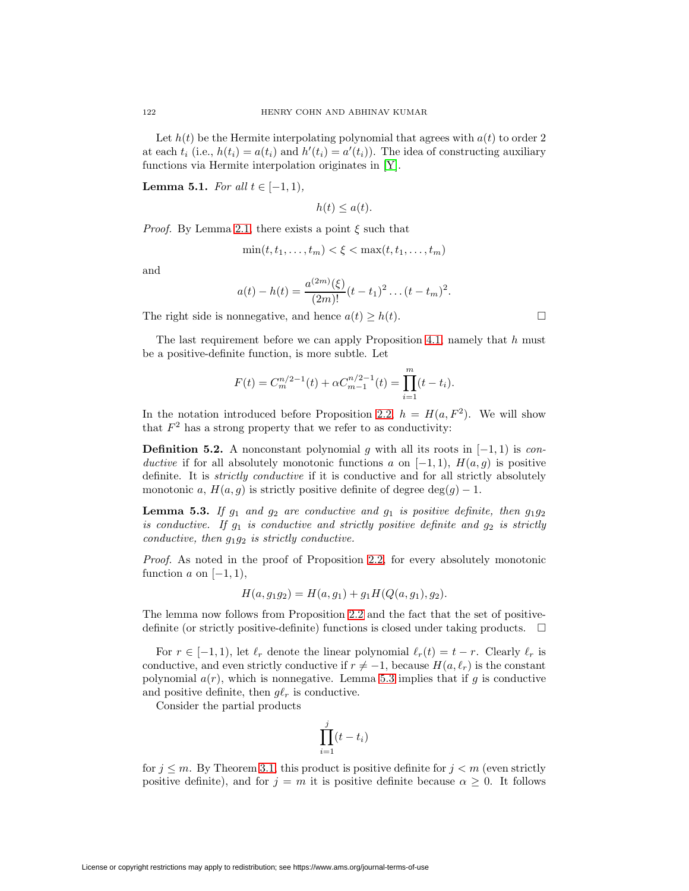Let  $h(t)$  be the Hermite interpolating polynomial that agrees with  $a(t)$  to order 2 at each  $t_i$  (i.e.,  $h(t_i) = a(t_i)$  and  $h'(t_i) = a'(t_i)$ ). The idea of constructing auxiliary functions via Hermite interpolation originates in [\[Y\]](#page-49-0).

<span id="page-23-1"></span>**Lemma 5.1.** For all  $t \in [-1, 1)$ ,

 $h(t) \leq a(t)$ .

*Proof.* By Lemma [2.1,](#page-10-0) there exists a point  $\xi$  such that

$$
\min(t, t_1, \dots, t_m) < \xi < \max(t, t_1, \dots, t_m)
$$

and

$$
a(t) - h(t) = \frac{a^{(2m)}(\xi)}{(2m)!} (t - t_1)^2 \dots (t - t_m)^2.
$$

The right side is nonnegative, and hence  $a(t) \geq h(t)$ .

The last requirement before we can apply Proposition [4.1,](#page-20-0) namely that  $h$  must be a positive-definite function, is more subtle. Let

$$
F(t) = C_m^{n/2-1}(t) + \alpha C_{m-1}^{n/2-1}(t) = \prod_{i=1}^m (t - t_i).
$$

In the notation introduced before Proposition [2.2,](#page-11-0)  $h = H(a, F^2)$ . We will show that  $F<sup>2</sup>$  has a strong property that we refer to as conductivity:

**Definition 5.2.** A nonconstant polynomial g with all its roots in  $[-1, 1)$  is conductive if for all absolutely monotonic functions a on  $[-1,1)$ ,  $H(a,g)$  is positive definite. It is strictly conductive if it is conductive and for all strictly absolutely monotonic a,  $H(a, g)$  is strictly positive definite of degree  $\deg(g) - 1$ .

<span id="page-23-0"></span>**Lemma 5.3.** If  $g_1$  and  $g_2$  are conductive and  $g_1$  is positive definite, then  $g_1g_2$ is conductive. If  $g_1$  is conductive and strictly positive definite and  $g_2$  is strictly conductive, then  $g_1g_2$  is strictly conductive.

Proof. As noted in the proof of Proposition [2.2,](#page-11-0) for every absolutely monotonic function  $a$  on  $[-1, 1)$ ,

$$
H(a, g_1g_2) = H(a, g_1) + g_1H(Q(a, g_1), g_2).
$$

The lemma now follows from Proposition [2.2](#page-11-0) and the fact that the set of positivedefinite (or strictly positive-definite) functions is closed under taking products.  $\Box$ 

For  $r \in [-1, 1)$ , let  $\ell_r$  denote the linear polynomial  $\ell_r(t) = t - r$ . Clearly  $\ell_r$  is conductive, and even strictly conductive if  $r \neq -1$ , because  $H(a, \ell_r)$  is the constant polynomial  $a(r)$ , which is nonnegative. Lemma [5.3](#page-23-0) implies that if g is conductive and positive definite, then  $g\ell_r$  is conductive.

Consider the partial products

$$
\prod_{i=1}^j (t - t_i)
$$

for  $j \leq m$ . By Theorem [3.1,](#page-15-1) this product is positive definite for  $j < m$  (even strictly positive definite), and for  $j = m$  it is positive definite because  $\alpha \geq 0$ . It follows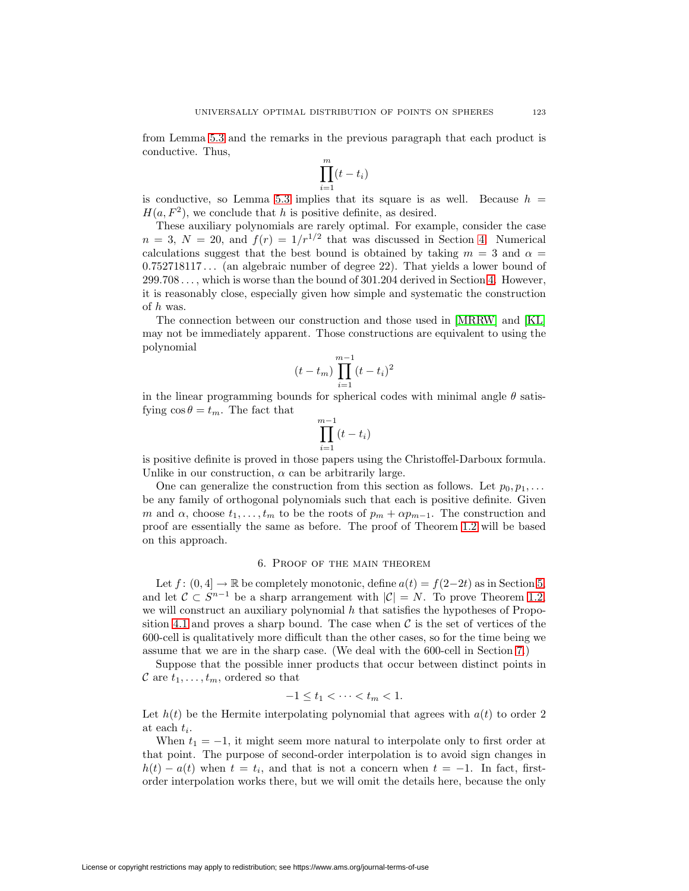from Lemma [5.3](#page-23-0) and the remarks in the previous paragraph that each product is conductive. Thus,

$$
\prod_{i=1}^{m} (t - t_i)
$$

is conductive, so Lemma [5.3](#page-23-0) implies that its square is as well. Because  $h =$  $H(a, F<sup>2</sup>)$ , we conclude that h is positive definite, as desired.

These auxiliary polynomials are rarely optimal. For example, consider the case  $n = 3$ ,  $N = 20$ , and  $f(r) = 1/r^{1/2}$  that was discussed in Section [4.](#page-20-2) Numerical calculations suggest that the best bound is obtained by taking  $m = 3$  and  $\alpha =$ 0.752718117 ... (an algebraic number of degree 22). That yields a lower bound of 299.708 ... , which is worse than the bound of 301.204 derived in Section [4.](#page-20-2) However, it is reasonably close, especially given how simple and systematic the construction of h was.

The connection between our construction and those used in [\[MRRW\]](#page-48-16) and [\[KL\]](#page-48-15) may not be immediately apparent. Those constructions are equivalent to using the polynomial

$$
(t - t_m) \prod_{i=1}^{m-1} (t - t_i)^2
$$

in the linear programming bounds for spherical codes with minimal angle  $\theta$  satisfying  $\cos \theta = t_m$ . The fact that

$$
\prod_{i=1}^{m-1} (t - t_i)
$$

is positive definite is proved in those papers using the Christoffel-Darboux formula. Unlike in our construction,  $\alpha$  can be arbitrarily large.

One can generalize the construction from this section as follows. Let  $p_0, p_1, \ldots$ be any family of orthogonal polynomials such that each is positive definite. Given m and  $\alpha$ , choose  $t_1, \ldots, t_m$  to be the roots of  $p_m + \alpha p_{m-1}$ . The construction and proof are essentially the same as before. The proof of Theorem [1.2](#page-5-1) will be based on this approach.

#### 6. Proof of the main theorem

<span id="page-24-0"></span>Let  $f: (0, 4] \to \mathbb{R}$  be completely monotonic, define  $a(t) = f(2-2t)$  as in Section [5,](#page-22-0) and let  $C \subset S^{n-1}$  be a sharp arrangement with  $|C| = N$ . To prove Theorem [1.2,](#page-5-1) we will construct an auxiliary polynomial  $h$  that satisfies the hypotheses of Propo-sition [4.1](#page-20-0) and proves a sharp bound. The case when  $\mathcal C$  is the set of vertices of the 600-cell is qualitatively more difficult than the other cases, so for the time being we assume that we are in the sharp case. (We deal with the 600-cell in Section [7.](#page-27-0))

Suppose that the possible inner products that occur between distinct points in C are  $t_1,\ldots,t_m$ , ordered so that

$$
-1 \leq t_1 < \cdots < t_m < 1.
$$

Let  $h(t)$  be the Hermite interpolating polynomial that agrees with  $a(t)$  to order 2 at each  $t_i$ .

When  $t_1 = -1$ , it might seem more natural to interpolate only to first order at that point. The purpose of second-order interpolation is to avoid sign changes in  $h(t) - a(t)$  when  $t = t_i$ , and that is not a concern when  $t = -1$ . In fact, firstorder interpolation works there, but we will omit the details here, because the only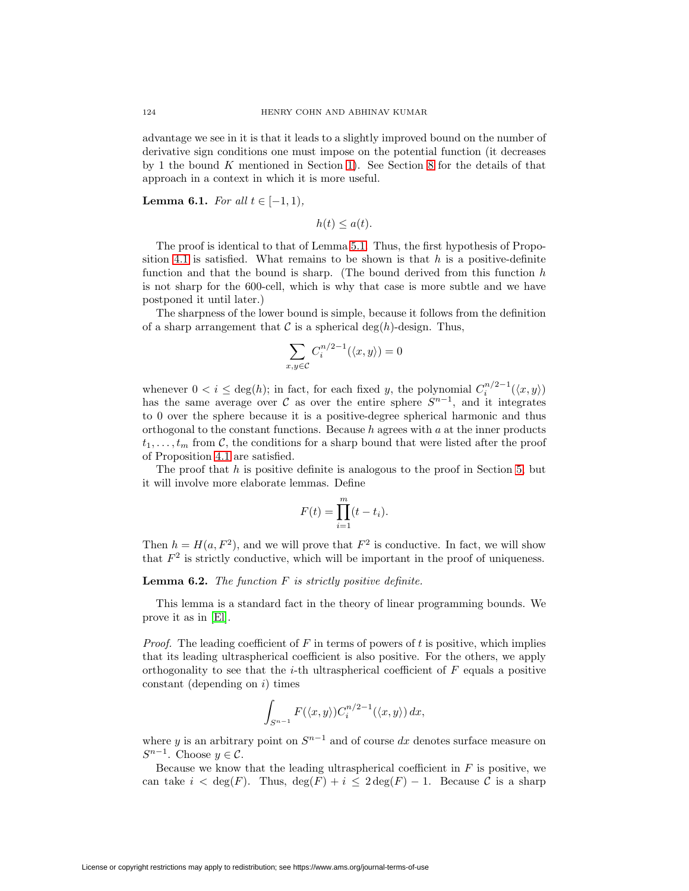advantage we see in it is that it leads to a slightly improved bound on the number of derivative sign conditions one must impose on the potential function (it decreases by 1 the bound K mentioned in Section [1\)](#page-0-0). See Section [8](#page-30-0) for the details of that approach in a context in which it is more useful.

<span id="page-25-1"></span>**Lemma 6.1.** For all  $t \in [-1, 1)$ ,

 $h(t) \leq a(t)$ .

The proof is identical to that of Lemma [5.1.](#page-23-1) Thus, the first hypothesis of Propo-sition [4.1](#page-20-0) is satisfied. What remains to be shown is that  $h$  is a positive-definite function and that the bound is sharp. (The bound derived from this function  $h$ is not sharp for the 600-cell, which is why that case is more subtle and we have postponed it until later.)

The sharpness of the lower bound is simple, because it follows from the definition of a sharp arrangement that  $\mathcal C$  is a spherical deg(h)-design. Thus,

$$
\sum_{x,y \in \mathcal{C}} C_i^{n/2-1}(\langle x,y \rangle) = 0
$$

whenever  $0 < i \leq \deg(h)$ ; in fact, for each fixed y, the polynomial  $C_i^{n/2-1}(\langle x, y \rangle)$ has the same average over C as over the entire sphere  $S^{n-1}$ , and it integrates to 0 over the sphere because it is a positive-degree spherical harmonic and thus orthogonal to the constant functions. Because  $h$  agrees with  $a$  at the inner products  $t_1,\ldots,t_m$  from C, the conditions for a sharp bound that were listed after the proof of Proposition [4.1](#page-20-0) are satisfied.

The proof that  $h$  is positive definite is analogous to the proof in Section [5,](#page-22-0) but it will involve more elaborate lemmas. Define

$$
F(t) = \prod_{i=1}^{m} (t - t_i).
$$

<span id="page-25-0"></span>Then  $h = H(a, F^2)$ , and we will prove that  $F^2$  is conductive. In fact, we will show that  $F<sup>2</sup>$  is strictly conductive, which will be important in the proof of uniqueness.

**Lemma 6.2.** The function F is strictly positive definite.

This lemma is a standard fact in the theory of linear programming bounds. We prove it as in [\[El\]](#page-48-8).

*Proof.* The leading coefficient of  $F$  in terms of powers of  $t$  is positive, which implies that its leading ultraspherical coefficient is also positive. For the others, we apply orthogonality to see that the *i*-th ultraspherical coefficient of  $F$  equals a positive constant (depending on  $i$ ) times

$$
\int_{S^{n-1}} F(\langle x, y \rangle) C_i^{n/2-1}(\langle x, y \rangle) dx,
$$

where y is an arbitrary point on  $S^{n-1}$  and of course dx denotes surface measure on  $S^{n-1}$ . Choose  $y \in \mathcal{C}$ .

Because we know that the leading ultraspherical coefficient in  $F$  is positive, we can take  $i < \deg(F)$ . Thus,  $\deg(F) + i \leq 2 \deg(F) - 1$ . Because C is a sharp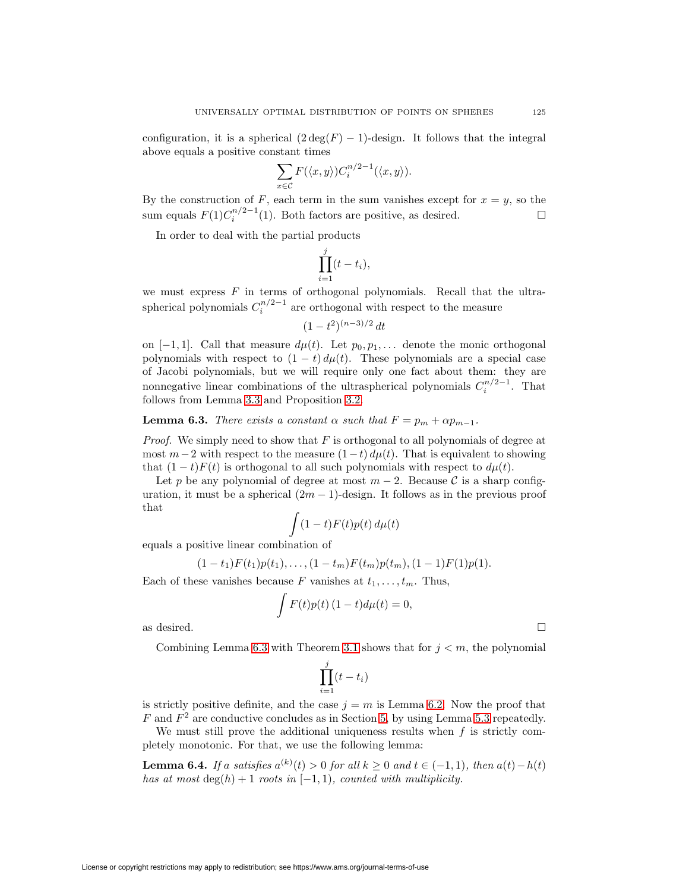configuration, it is a spherical  $(2 \deg(F) - 1)$ -design. It follows that the integral above equals a positive constant times

$$
\sum_{x \in \mathcal{C}} F(\langle x, y \rangle) C_i^{n/2 - 1}(\langle x, y \rangle).
$$

By the construction of F, each term in the sum vanishes except for  $x = y$ , so the sum equals  $F(1)C_i^{n/2-1}(1)$ . Both factors are positive, as desired.  $\Box$ 

In order to deal with the partial products

$$
\prod_{i=1}^j (t-t_i),
$$

we must express  $F$  in terms of orthogonal polynomials. Recall that the ultraspherical polynomials  $C_i^{n/2-1}$  are orthogonal with respect to the measure

$$
(1-t^2)^{(n-3)/2} dt
$$

on [-1, 1]. Call that measure  $d\mu(t)$ . Let  $p_0, p_1,...$  denote the monic orthogonal polynomials with respect to  $(1 - t) d\mu(t)$ . These polynomials are a special case of Jacobi polynomials, but we will require only one fact about them: they are nonnegative linear combinations of the ultraspherical polynomials  $C_i^{n/2-1}$ . That follows from Lemma [3.3](#page-16-0) and Proposition [3.2.](#page-15-0)

<span id="page-26-0"></span>**Lemma 6.3.** There exists a constant  $\alpha$  such that  $F = p_m + \alpha p_{m-1}$ .

*Proof.* We simply need to show that  $F$  is orthogonal to all polynomials of degree at most  $m-2$  with respect to the measure  $(1-t) d\mu(t)$ . That is equivalent to showing that  $(1-t)F(t)$  is orthogonal to all such polynomials with respect to  $d\mu(t)$ .

Let p be any polynomial of degree at most  $m-2$ . Because C is a sharp configuration, it must be a spherical  $(2m - 1)$ -design. It follows as in the previous proof that

$$
\int (1-t)F(t)p(t)\,d\mu(t)
$$

equals a positive linear combination of

$$
(1-t1)F(t1)p(t1),...,(1-tm)F(tm)p(tm),(1-1)F(1)p(1).
$$

Each of these vanishes because F vanishes at  $t_1, \ldots, t_m$ . Thus,

$$
\int F(t)p(t) (1-t)d\mu(t) = 0,
$$

as desired.  $\Box$ 

Combining Lemma [6.3](#page-26-0) with Theorem [3.1](#page-15-1) shows that for  $j < m$ , the polynomial

$$
\prod_{i=1}^{j} (t - t_i)
$$

is strictly positive definite, and the case  $j = m$  is Lemma [6.2.](#page-25-0) Now the proof that F and  $F^2$  are conductive concludes as in Section [5,](#page-22-0) by using Lemma [5.3](#page-23-0) repeatedly.

We must still prove the additional uniqueness results when  $f$  is strictly completely monotonic. For that, we use the following lemma:

**Lemma 6.4.** If a satisfies  $a^{(k)}(t) > 0$  for all  $k \ge 0$  and  $t \in (-1,1)$ , then  $a(t) - h(t)$ has at most  $\deg(h)+1$  roots in  $[-1, 1)$ , counted with multiplicity.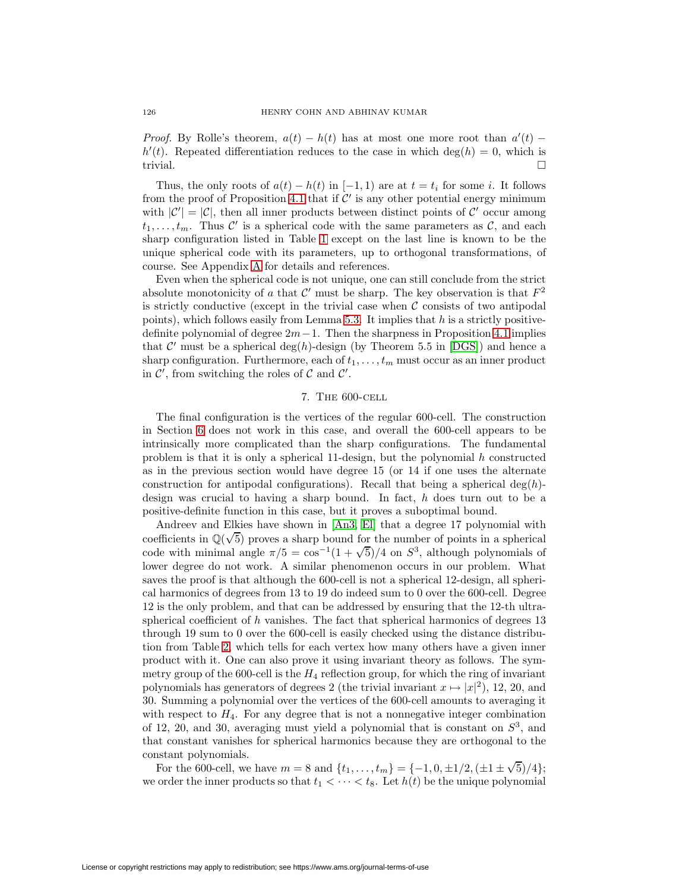*Proof.* By Rolle's theorem,  $a(t) - h(t)$  has at most one more root than  $a'(t)$  –  $h'(t)$ . Repeated differentiation reduces to the case in which deg(h) = 0, which is trivial.

Thus, the only roots of  $a(t) - h(t)$  in  $[-1, 1)$  are at  $t = t_i$  for some i. It follows from the proof of Proposition [4.1](#page-20-0) that if  $\mathcal{C}'$  is any other potential energy minimum with  $|\mathcal{C}'| = |\mathcal{C}|$ , then all inner products between distinct points of  $\mathcal{C}'$  occur among  $t_1,\ldots,t_m$ . Thus C' is a spherical code with the same parameters as C, and each sharp configuration listed in Table [1](#page-3-0) except on the last line is known to be the unique spherical code with its parameters, up to orthogonal transformations, of course. See Appendix [A](#page-46-0) for details and references.

Even when the spherical code is not unique, one can still conclude from the strict absolute monotonicity of a that  $\mathcal{C}'$  must be sharp. The key observation is that  $F^2$ is strictly conductive (except in the trivial case when  $\mathcal C$  consists of two antipodal points), which follows easily from Lemma [5.3.](#page-23-0) It implies that  $h$  is a strictly positivedefinite polynomial of degree  $2m-1$ . Then the sharpness in Proposition [4.1](#page-20-0) implies that C' must be a spherical deg(h)-design (by Theorem 5.5 in [\[DGS\]](#page-48-6)) and hence a sharp configuration. Furthermore, each of  $t_1, \ldots, t_m$  must occur as an inner product in  $\mathcal{C}'$ , from switching the roles of  $\mathcal C$  and  $\mathcal C'$ .

### 7. The 600-cell

<span id="page-27-0"></span>The final configuration is the vertices of the regular 600-cell. The construction in Section [6](#page-24-0) does not work in this case, and overall the 600-cell appears to be intrinsically more complicated than the sharp configurations. The fundamental problem is that it is only a spherical 11-design, but the polynomial  $h$  constructed as in the previous section would have degree 15 (or 14 if one uses the alternate construction for antipodal configurations). Recall that being a spherical deg(h)design was crucial to having a sharp bound. In fact, h does turn out to be a positive-definite function in this case, but it proves a suboptimal bound.

Andreev and Elkies have shown in [\[An3,](#page-47-5) [El\]](#page-48-8) that a degree 17 polynomial with Andreev and Eikles have shown in [An3, Ei] that a degree 17 polynomial with coefficients in  $\mathbb{Q}(\sqrt{5})$  proves a sharp bound for the number of points in a spherical coencients in  $\mathbb{Q}(\sqrt{3})$  proves a snarp bound for the number of points in a spherical code with minimal angle  $\pi/5 = \cos^{-1}(1 + \sqrt{5})/4$  on  $S^3$ , although polynomials of lower degree do not work. A similar phenomenon occurs in our problem. What saves the proof is that although the 600-cell is not a spherical 12-design, all spherical harmonics of degrees from 13 to 19 do indeed sum to 0 over the 600-cell. Degree 12 is the only problem, and that can be addressed by ensuring that the 12-th ultraspherical coefficient of  $h$  vanishes. The fact that spherical harmonics of degrees 13 through 19 sum to 0 over the 600-cell is easily checked using the distance distribution from Table [2,](#page-28-0) which tells for each vertex how many others have a given inner product with it. One can also prove it using invariant theory as follows. The symmetry group of the 600-cell is the  $H_4$  reflection group, for which the ring of invariant polynomials has generators of degrees 2 (the trivial invariant  $x \mapsto |x|^2$ ), 12, 20, and 30. Summing a polynomial over the vertices of the 600-cell amounts to averaging it with respect to  $H_4$ . For any degree that is not a nonnegative integer combination of 12, 20, and 30, averaging must yield a polynomial that is constant on  $S<sup>3</sup>$ , and that constant vanishes for spherical harmonics because they are orthogonal to the constant polynomials.

For the 600-cell, we have  $m = 8$  and  $\{t_1, \ldots, t_m\} = \{-1, 0, \pm 1/2, (\pm 1 \pm \sqrt{5})/4\};$ we order the inner products so that  $t_1 < \cdots < t_8$ . Let  $h(t)$  be the unique polynomial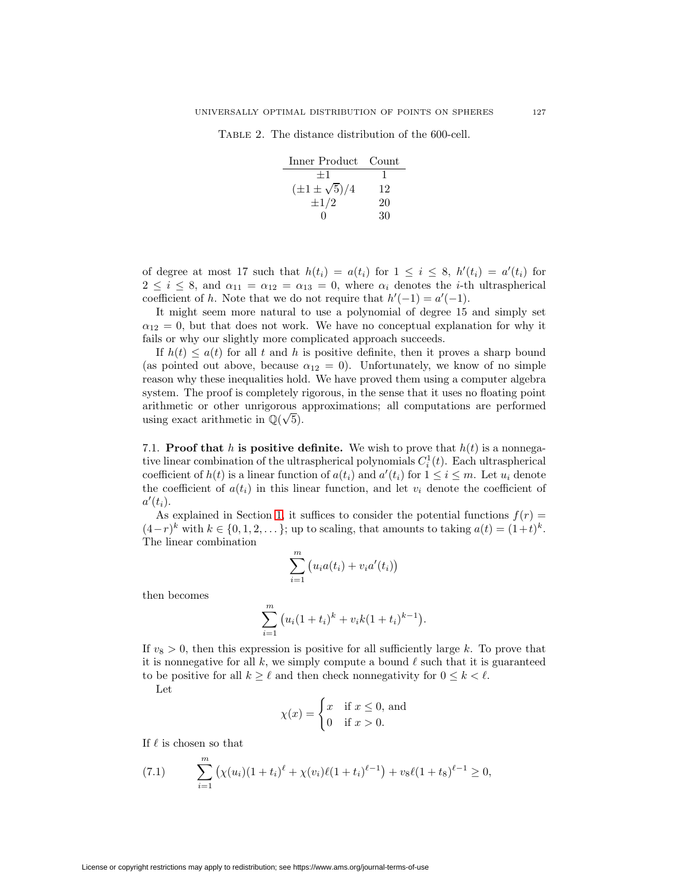<span id="page-28-0"></span>Table 2. The distance distribution of the 600-cell.

| Inner Product Count      |    |
|--------------------------|----|
| $+1$                     |    |
| $(\pm 1 \pm \sqrt{5})/4$ | 12 |
| $\pm 1/2$                | 20 |
|                          | 30 |

of degree at most 17 such that  $h(t_i) = a(t_i)$  for  $1 \leq i \leq 8$ ,  $h'(t_i) = a'(t_i)$  for  $2 \leq i \leq 8$ , and  $\alpha_{11} = \alpha_{12} = \alpha_{13} = 0$ , where  $\alpha_i$  denotes the *i*-th ultraspherical coefficient of h. Note that we do not require that  $h'(-1) = a'(-1)$ .

It might seem more natural to use a polynomial of degree 15 and simply set  $\alpha_{12} = 0$ , but that does not work. We have no conceptual explanation for why it fails or why our slightly more complicated approach succeeds.

If  $h(t) \leq a(t)$  for all t and h is positive definite, then it proves a sharp bound (as pointed out above, because  $\alpha_{12} = 0$ ). Unfortunately, we know of no simple reason why these inequalities hold. We have proved them using a computer algebra system. The proof is completely rigorous, in the sense that it uses no floating point arithmetic or other unrigorous approximations; all computations are performed arithmetic or other unrigorous a<br>using exact arithmetic in  $\mathbb{Q}(\sqrt{5})$ .

7.1. **Proof that** h **is positive definite.** We wish to prove that  $h(t)$  is a nonnegative linear combination of the ultraspherical polynomials  $C_i^1(t)$ . Each ultraspherical coefficient of  $h(t)$  is a linear function of  $a(t_i)$  and  $a'(t_i)$  for  $1 \leq i \leq m$ . Let  $u_i$  denote the coefficient of  $a(t_i)$  in this linear function, and let  $v_i$  denote the coefficient of  $a'(t_i)$ .

As explained in Section [1,](#page-0-0) it suffices to consider the potential functions  $f(r)$  =  $(4-r)^k$  with  $k \in \{0, 1, 2, \ldots\}$ ; up to scaling, that amounts to taking  $a(t) = (1+t)^k$ . The linear combination

$$
\sum_{i=1}^{m} (u_i a(t_i) + v_i a'(t_i))
$$

then becomes

$$
\sum_{i=1}^{m} (u_i(1+t_i)^k + v_i k(1+t_i)^{k-1}).
$$

If  $v_8 > 0$ , then this expression is positive for all sufficiently large k. To prove that it is nonnegative for all k, we simply compute a bound  $\ell$  such that it is guaranteed to be positive for all  $k \geq \ell$  and then check nonnegativity for  $0 \leq k < \ell$ .

Let

$$
\chi(x) = \begin{cases} x & \text{if } x \le 0, \text{ and} \\ 0 & \text{if } x > 0. \end{cases}
$$

<span id="page-28-1"></span>If  $\ell$  is chosen so that

(7.1) 
$$
\sum_{i=1}^{m} (\chi(u_i)(1+t_i)^{\ell} + \chi(v_i)\ell(1+t_i)^{\ell-1}) + v_8\ell(1+t_8)^{\ell-1} \geq 0,
$$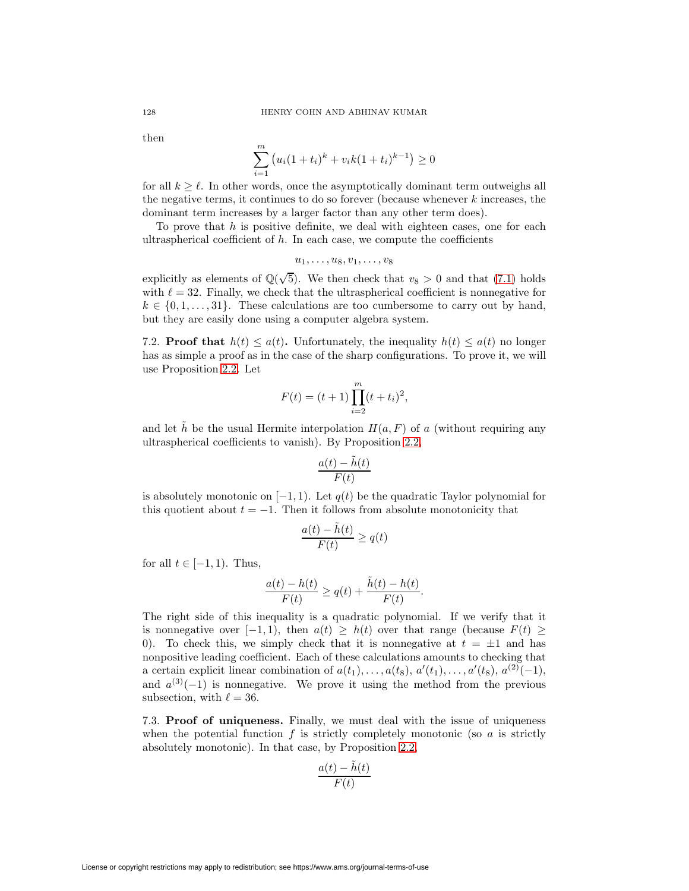then

$$
\sum_{i=1}^{m} (u_i(1+t_i)^k + v_i k(1+t_i)^{k-1}) \ge 0
$$

for all  $k \geq \ell$ . In other words, once the asymptotically dominant term outweighs all the negative terms, it continues to do so forever (because whenever  $k$  increases, the dominant term increases by a larger factor than any other term does).

To prove that  $h$  is positive definite, we deal with eighteen cases, one for each ultraspherical coefficient of  $h$ . In each case, we compute the coefficients

$$
u_1,\ldots,u_8,v_1,\ldots,v_8
$$

explicitly as elements of  $\mathbb{Q}(\sqrt{5})$ . We then check that  $v_8 > 0$  and that [\(7.1\)](#page-28-1) holds with  $\ell = 32$ . Finally, we check that the ultraspherical coefficient is nonnegative for  $k \in \{0, 1, \ldots, 31\}$ . These calculations are too cumbersome to carry out by hand, but they are easily done using a computer algebra system.

7.2. **Proof that**  $h(t) \leq a(t)$ . Unfortunately, the inequality  $h(t) \leq a(t)$  no longer has as simple a proof as in the case of the sharp configurations. To prove it, we will use Proposition [2.2.](#page-11-0) Let

$$
F(t) = (t+1) \prod_{i=2}^{m} (t+t_i)^2,
$$

and let h be the usual Hermite interpolation  $H(a, F)$  of a (without requiring any ultraspherical coefficients to vanish). By Proposition [2.2,](#page-11-0)

$$
\frac{a(t)-\tilde{h}(t)}{F(t)}
$$

is absolutely monotonic on  $[-1, 1)$ . Let  $q(t)$  be the quadratic Taylor polynomial for this quotient about  $t = -1$ . Then it follows from absolute monotonicity that

$$
\frac{a(t)-\tilde{h}(t)}{F(t)}\geq q(t)
$$

for all  $t \in [-1, 1)$ . Thus,

$$
\frac{a(t) - h(t)}{F(t)} \ge q(t) + \frac{\tilde{h}(t) - h(t)}{F(t)}.
$$

The right side of this inequality is a quadratic polynomial. If we verify that it is nonnegative over  $[-1, 1)$ , then  $a(t) \geq h(t)$  over that range (because  $F(t) \geq$ 0). To check this, we simply check that it is nonnegative at  $t = \pm 1$  and has nonpositive leading coefficient. Each of these calculations amounts to checking that a certain explicit linear combination of  $a(t_1),..., a(t_8), a'(t_1),..., a'(t_8), a^{(2)}(-1),$ and  $a^{(3)}(-1)$  is nonnegative. We prove it using the method from the previous subsection, with  $\ell = 36$ .

7.3. **Proof of uniqueness.** Finally, we must deal with the issue of uniqueness when the potential function f is strictly completely monotonic (so a is strictly absolutely monotonic). In that case, by Proposition [2.2,](#page-11-0)

$$
\frac{a(t) - \tilde{h}(t)}{F(t)}
$$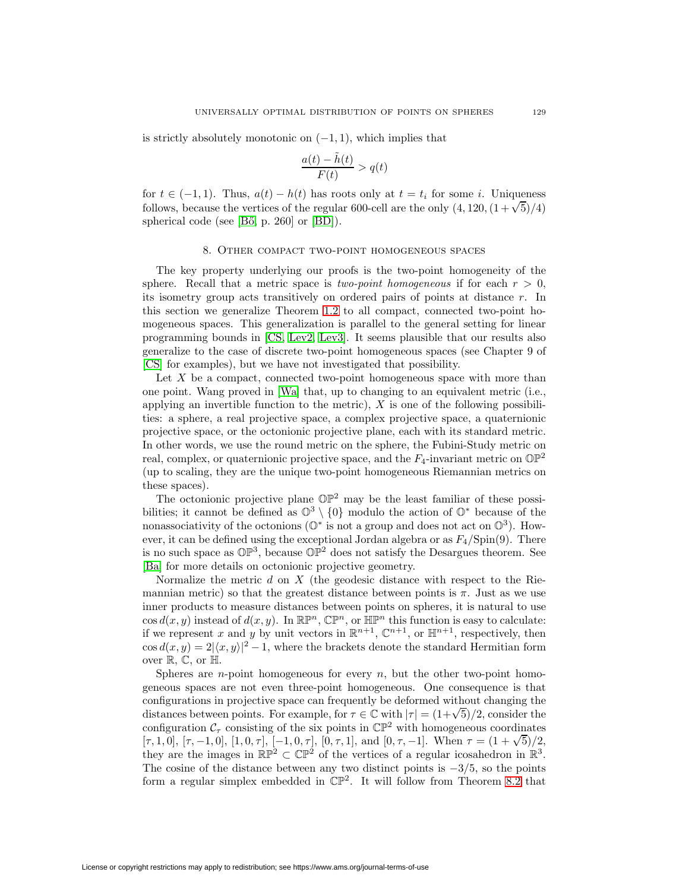is strictly absolutely monotonic on  $(-1, 1)$ , which implies that

$$
\frac{a(t) - \tilde{h}(t)}{F(t)} > q(t)
$$

for  $t \in (-1, 1)$ . Thus,  $a(t) - h(t)$  has roots only at  $t = t_i$  for some i. Uniqueness follows, because the vertices of the regular 600-cell are the only  $(4, 120, (1+\sqrt{5})/4)$ spherical code (see [Bő, p. 260] or [\[BD\]](#page-47-10)).

### 8. Other compact two-point homogeneous spaces

<span id="page-30-0"></span>The key property underlying our proofs is the two-point homogeneity of the sphere. Recall that a metric space is *two-point homogeneous* if for each  $r > 0$ , its isometry group acts transitively on ordered pairs of points at distance r. In this section we generalize Theorem [1.2](#page-5-1) to all compact, connected two-point homogeneous spaces. This generalization is parallel to the general setting for linear programming bounds in [\[CS,](#page-47-2) [Lev2,](#page-48-2) [Lev3\]](#page-48-7). It seems plausible that our results also generalize to the case of discrete two-point homogeneous spaces (see Chapter 9 of [\[CS\]](#page-47-2) for examples), but we have not investigated that possibility.

Let  $X$  be a compact, connected two-point homogeneous space with more than one point. Wang proved in [\[Wa\]](#page-49-11) that, up to changing to an equivalent metric (i.e., applying an invertible function to the metric),  $X$  is one of the following possibilities: a sphere, a real projective space, a complex projective space, a quaternionic projective space, or the octonionic projective plane, each with its standard metric. In other words, we use the round metric on the sphere, the Fubini-Study metric on real, complex, or quaternionic projective space, and the  $F_4$ -invariant metric on  $\mathbb{OP}^2$ (up to scaling, they are the unique two-point homogeneous Riemannian metrics on these spaces).

The octonionic projective plane  $\mathbb{OP}^2$  may be the least familiar of these possibilities; it cannot be defined as  $\mathbb{O}^3 \setminus \{0\}$  modulo the action of  $\mathbb{O}^*$  because of the nonassociativity of the octonions ( $\mathbb{O}^*$  is not a group and does not act on  $\mathbb{O}^3$ ). However, it can be defined using the exceptional Jordan algebra or as  $F_4/\text{Spin}(9)$ . There is no such space as  $\mathbb{OP}^3$ , because  $\mathbb{OP}^2$  does not satisfy the Desargues theorem. See [\[Ba\]](#page-47-11) for more details on octonionic projective geometry.

Normalize the metric  $d$  on  $X$  (the geodesic distance with respect to the Riemannian metric) so that the greatest distance between points is  $\pi$ . Just as we use inner products to measure distances between points on spheres, it is natural to use  $\cos d(x, y)$  instead of  $d(x, y)$ . In  $\mathbb{R}\mathbb{P}^n$ ,  $\mathbb{C}\mathbb{P}^n$ , or  $\mathbb{H}\mathbb{P}^n$  this function is easy to calculate: if we represent x and y by unit vectors in  $\mathbb{R}^{n+1}$ ,  $\mathbb{C}^{n+1}$ , or  $\mathbb{H}^{n+1}$ , respectively, then  $\cos d(x, y)=2|\langle x, y \rangle|^2 - 1$ , where the brackets denote the standard Hermitian form over  $\mathbb{R}, \mathbb{C}$ , or  $\mathbb{H}$ .

Spheres are *n*-point homogeneous for every *n*, but the other two-point homogeneous spaces are not even three-point homogeneous. One consequence is that configurations in projective space can frequently be deformed without changing the configurations in projective space can frequently be deformed without changing the distances between points. For example, for  $\tau \in \mathbb{C}$  with  $|\tau| = (1+\sqrt{5})/2$ , consider the configuration  $C_{\tau}$  consisting of the six points in  $\mathbb{CP}^2$  with homogeneous coordinates comiguration  $C_{\tau}$  consisting of the six points in  $C_{\tau}$  with homogeneous coordinates  $[\tau, 1, 0]$ ,  $[\tau, -1, 0]$ ,  $[1, 0, \tau]$ ,  $[-1, 0, \tau]$ ,  $[0, \tau, 1]$ , and  $[0, \tau, -1]$ . When  $\tau = (1 + \sqrt{5})/2$ , they are the images in  $\mathbb{RP}^2 \subset \mathbb{CP}^2$  of the vertices of a regular icosahedron in  $\mathbb{R}^3$ . The cosine of the distance between any two distinct points is  $-3/5$ , so the points form a regular simplex embedded in  $\mathbb{CP}^2$ . It will follow from Theorem [8.2](#page-32-0) that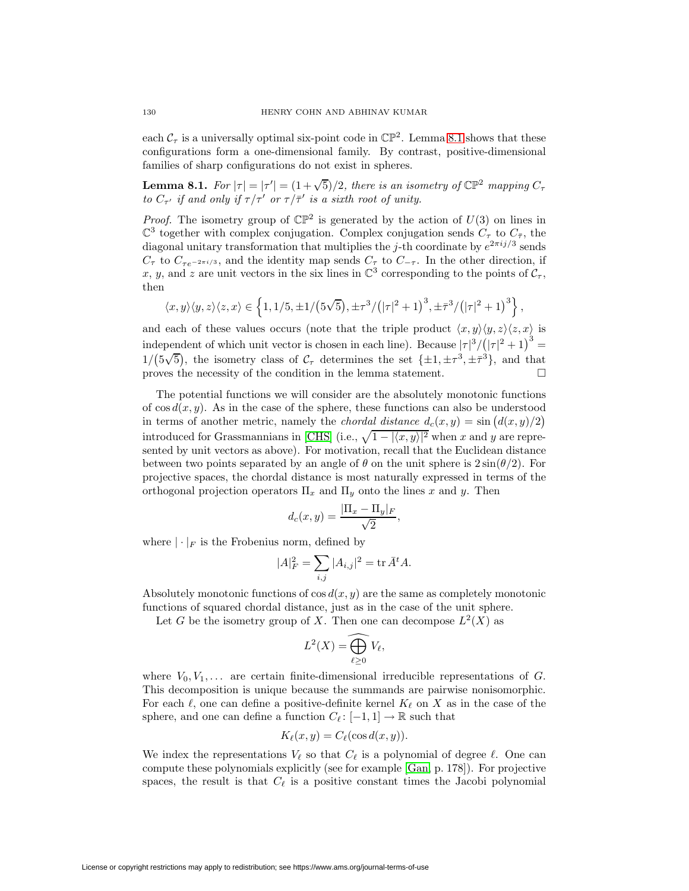each  $C_{\tau}$  is a universally optimal six-point code in  $\mathbb{CP}^2$ . Lemma [8.1](#page-31-0) shows that these configurations form a one-dimensional family. By contrast, positive-dimensional families of sharp configurations do not exist in spheres.

<span id="page-31-0"></span>**Lemma 8.1.** For  $|\tau| = |\tau'| = (1 + \sqrt{5})/2$ , there is an isometry of  $\mathbb{CP}^2$  mapping  $C_{\tau}$ to  $C_{\tau'}$  if and only if  $\tau/\tau'$  or  $\tau/\bar{\tau}'$  is a sixth root of unity.

*Proof.* The isometry group of  $\mathbb{CP}^2$  is generated by the action of  $U(3)$  on lines in  $\mathbb{C}^3$  together with complex conjugation. Complex conjugation sends  $C_{\tau}$  to  $C_{\bar{\tau}}$ , the diagonal unitary transformation that multiplies the j-th coordinate by  $e^{2\pi i j/3}$  sends  $C_{\tau}$  to  $C_{\tau e^{-2\pi i/3}}$ , and the identity map sends  $C_{\tau}$  to  $C_{-\tau}$ . In the other direction, if x, y, and z are unit vectors in the six lines in  $\mathbb{C}^3$  corresponding to the points of  $\mathcal{C}_{\tau}$ , then

$$
\langle x,y\rangle\langle y,z\rangle\langle z,x\rangle\in\left\{1,1/5,\pm 1/\big(5\sqrt{5}\big),\pm \tau^3/\big(|\tau|^2+1\big)^3,\pm \bar\tau^3/\big(|\tau|^2+1\big)^3\right\},
$$

and each of these values occurs (note that the triple product  $\langle x, y \rangle \langle y, z \rangle \langle z, x \rangle$  is independent of which unit vector is chosen in each line). Because  $|\tau|^3/(|\tau|^2+1)^3=$  $1/(5\sqrt{5})$ , the isometry class of  $C_{\tau}$  determines the set  $\{\pm 1, \pm \tau^3, \pm \bar{\tau}^3\}$ , and that proves the necessity of the condition in the lemma statement.

The potential functions we will consider are the absolutely monotonic functions of  $\cos d(x, y)$ . As in the case of the sphere, these functions can also be understood in terms of another metric, namely the *chordal distance*  $d_c(x, y) = \sin (d(x, y)/2)$ introduced for Grassmannians in [\[CHS\]](#page-47-12) (i.e.,  $\sqrt{1 - |x, y|^{2}}$  when x and y are represented by unit vectors as above). For motivation, recall that the Euclidean distance between two points separated by an angle of  $\theta$  on the unit sphere is  $2\sin(\theta/2)$ . For projective spaces, the chordal distance is most naturally expressed in terms of the orthogonal projection operators  $\Pi_x$  and  $\Pi_y$  onto the lines x and y. Then

$$
d_c(x,y) = \frac{|\Pi_x - \Pi_y|_F}{\sqrt{2}},
$$

where  $|\cdot|_F$  is the Frobenius norm, defined by

$$
|A|_F^2 = \sum_{i,j} |A_{i,j}|^2 = \text{tr}\,\bar{A}^t A.
$$

Absolutely monotonic functions of  $\cos d(x, y)$  are the same as completely monotonic functions of squared chordal distance, just as in the case of the unit sphere.

Let G be the isometry group of X. Then one can decompose  $L^2(X)$  as

$$
L^2(X) = \widehat{\bigoplus_{\ell \geq 0} V_{\ell}},
$$

where  $V_0, V_1, \ldots$  are certain finite-dimensional irreducible representations of G. This decomposition is unique because the summands are pairwise nonisomorphic. For each  $\ell$ , one can define a positive-definite kernel  $K_{\ell}$  on X as in the case of the sphere, and one can define a function  $C_{\ell}: [-1,1] \to \mathbb{R}$  such that

$$
K_{\ell}(x, y) = C_{\ell}(\cos d(x, y)).
$$

We index the representations  $V_{\ell}$  so that  $C_{\ell}$  is a polynomial of degree  $\ell$ . One can compute these polynomials explicitly (see for example [\[Gan,](#page-48-17) p. 178]). For projective spaces, the result is that  $C_{\ell}$  is a positive constant times the Jacobi polynomial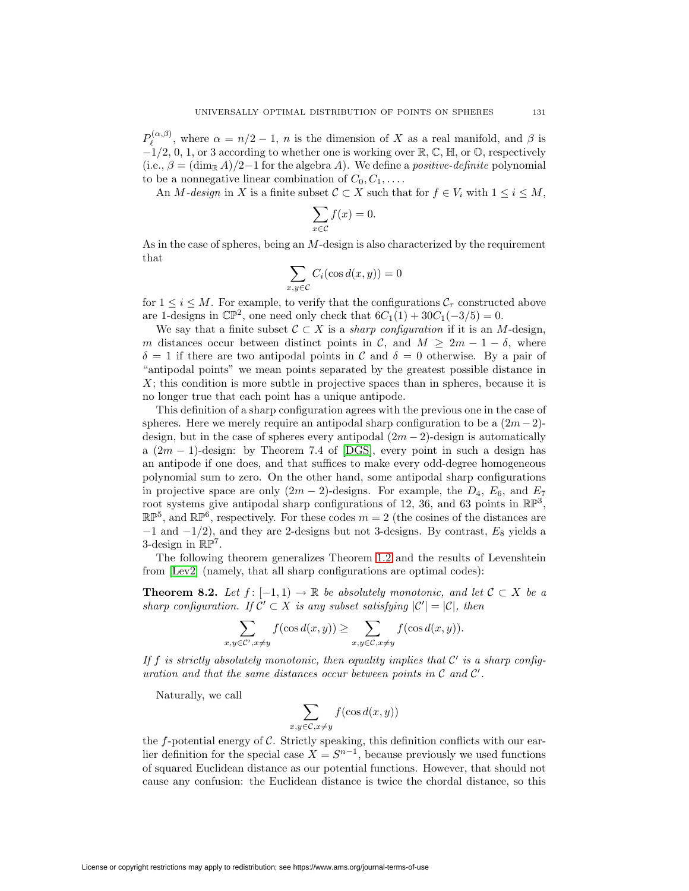$P_{\ell}^{(\alpha,\beta)}$ , where  $\alpha = n/2 - 1$ , n is the dimension of X as a real manifold, and  $\beta$  is  $-1/2$ , 0, 1, or 3 according to whether one is working over  $\mathbb{R}, \mathbb{C}, \mathbb{H}$ , or  $\mathbb{O}$ , respectively (i.e.,  $\beta = (\dim_{\mathbb{R}} A)/2-1$  for the algebra A). We define a *positive-definite* polynomial to be a nonnegative linear combination of  $C_0, C_1, \ldots$ .

An M-design in X is a finite subset  $\mathcal{C} \subset X$  such that for  $f \in V_i$  with  $1 \leq i \leq M$ ,

$$
\sum_{x \in \mathcal{C}} f(x) = 0.
$$

As in the case of spheres, being an M-design is also characterized by the requirement that

$$
\sum_{x,y \in \mathcal{C}} C_i(\cos d(x,y)) = 0
$$

for  $1 \leq i \leq M$ . For example, to verify that the configurations  $\mathcal{C}_{\tau}$  constructed above are 1-designs in  $\mathbb{CP}^2$ , one need only check that  $6C_1(1) + 30C_1(-3/5) = 0$ .

We say that a finite subset  $C \subset X$  is a *sharp configuration* if it is an M-design, m distances occur between distinct points in C, and  $M \geq 2m - 1 - \delta$ , where  $\delta = 1$  if there are two antipodal points in C and  $\delta = 0$  otherwise. By a pair of "antipodal points" we mean points separated by the greatest possible distance in  $X$ ; this condition is more subtle in projective spaces than in spheres, because it is no longer true that each point has a unique antipode.

This definition of a sharp configuration agrees with the previous one in the case of spheres. Here we merely require an antipodal sharp configuration to be a  $(2m-2)$ design, but in the case of spheres every antipodal  $(2m - 2)$ -design is automatically a  $(2m - 1)$ -design: by Theorem 7.4 of [\[DGS\]](#page-48-6), every point in such a design has an antipode if one does, and that suffices to make every odd-degree homogeneous polynomial sum to zero. On the other hand, some antipodal sharp configurations in projective space are only  $(2m - 2)$ -designs. For example, the  $D_4$ ,  $E_6$ , and  $E_7$ root systems give antipodal sharp configurations of 12, 36, and 63 points in  $\mathbb{RP}^3$ ,  $\mathbb{RP}^5$ , and  $\mathbb{RP}^6$ , respectively. For these codes  $m = 2$  (the cosines of the distances are  $-1$  and  $-1/2$ ), and they are 2-designs but not 3-designs. By contrast,  $E_8$  yields a 3-design in  $\mathbb{RP}^7$ .

<span id="page-32-0"></span>The following theorem generalizes Theorem [1.2](#page-5-1) and the results of Levenshtein from [\[Lev2\]](#page-48-2) (namely, that all sharp configurations are optimal codes):

**Theorem 8.2.** Let  $f: [-1, 1) \to \mathbb{R}$  be absolutely monotonic, and let  $C \subset X$  be a sharp configuration. If  $\mathcal{C}' \subset X$  is any subset satisfying  $|\mathcal{C}'| = |\mathcal{C}|$ , then

$$
\sum_{x,y\in\mathcal{C}',x\neq y}f(\cos d(x,y))\geq\sum_{x,y\in\mathcal{C},x\neq y}f(\cos d(x,y)).
$$

If f is strictly absolutely monotonic, then equality implies that  $\mathcal{C}'$  is a sharp configuration and that the same distances occur between points in  $C$  and  $C'$ .

Naturally, we call

$$
\sum_{y \in \mathcal{C}, x \neq y} f(\cos d(x, y))
$$

 $x, y$ 

the  $f$ -potential energy of  $\mathcal C$ . Strictly speaking, this definition conflicts with our earlier definition for the special case  $X = S^{n-1}$ , because previously we used functions of squared Euclidean distance as our potential functions. However, that should not cause any confusion: the Euclidean distance is twice the chordal distance, so this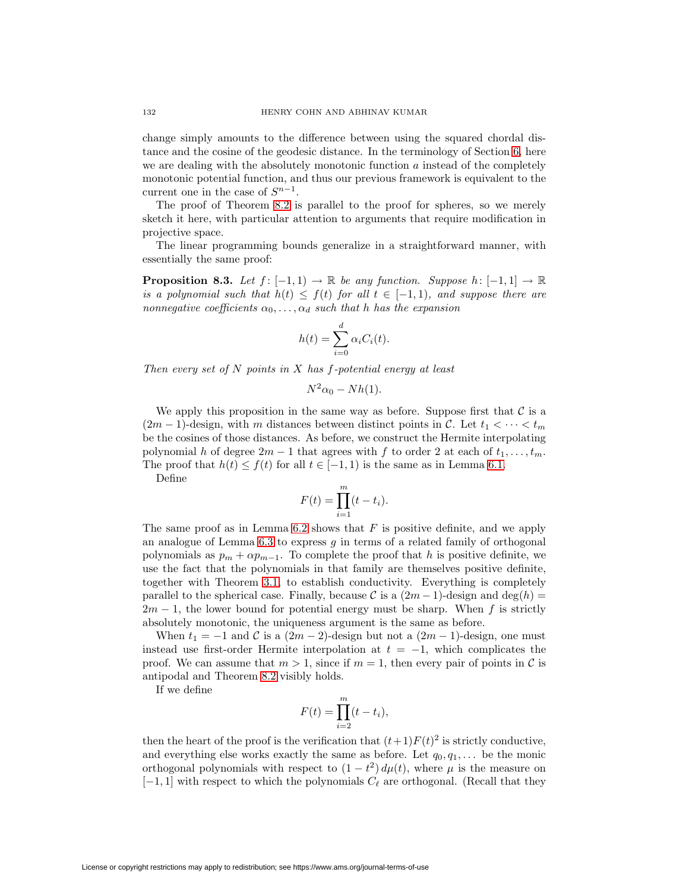change simply amounts to the difference between using the squared chordal distance and the cosine of the geodesic distance. In the terminology of Section [6,](#page-24-0) here we are dealing with the absolutely monotonic function  $a$  instead of the completely monotonic potential function, and thus our previous framework is equivalent to the current one in the case of  $S^{n-1}$ .

The proof of Theorem [8.2](#page-32-0) is parallel to the proof for spheres, so we merely sketch it here, with particular attention to arguments that require modification in projective space.

The linear programming bounds generalize in a straightforward manner, with essentially the same proof:

**Proposition 8.3.** Let  $f: [-1, 1) \rightarrow \mathbb{R}$  be any function. Suppose  $h: [-1, 1] \rightarrow \mathbb{R}$ is a polynomial such that  $h(t) \leq f(t)$  for all  $t \in [-1,1)$ , and suppose there are nonnegative coefficients  $\alpha_0, \ldots, \alpha_d$  such that h has the expansion

$$
h(t) = \sum_{i=0}^{d} \alpha_i C_i(t).
$$

Then every set of  $N$  points in  $X$  has  $f$ -potential energy at least

$$
N^2\alpha_0-Nh(1).
$$

We apply this proposition in the same way as before. Suppose first that  $\mathcal C$  is a  $(2m-1)$ -design, with m distances between distinct points in C. Let  $t_1 < \cdots < t_m$ be the cosines of those distances. As before, we construct the Hermite interpolating polynomial h of degree  $2m - 1$  that agrees with f to order 2 at each of  $t_1, \ldots, t_m$ . The proof that  $h(t) \leq f(t)$  for all  $t \in [-1, 1)$  is the same as in Lemma [6.1.](#page-25-1)

Define

$$
F(t) = \prod_{i=1}^{m} (t - t_i).
$$

The same proof as in Lemma [6.2](#page-25-0) shows that  $F$  is positive definite, and we apply an analogue of Lemma [6.3](#page-26-0) to express g in terms of a related family of orthogonal polynomials as  $p_m + \alpha p_{m-1}$ . To complete the proof that h is positive definite, we use the fact that the polynomials in that family are themselves positive definite, together with Theorem [3.1,](#page-15-1) to establish conductivity. Everything is completely parallel to the spherical case. Finally, because C is a  $(2m-1)$ -design and  $deg(h)$  =  $2m - 1$ , the lower bound for potential energy must be sharp. When f is strictly absolutely monotonic, the uniqueness argument is the same as before.

When  $t_1 = -1$  and C is a  $(2m - 2)$ -design but not a  $(2m - 1)$ -design, one must instead use first-order Hermite interpolation at  $t = -1$ , which complicates the proof. We can assume that  $m > 1$ , since if  $m = 1$ , then every pair of points in C is antipodal and Theorem [8.2](#page-32-0) visibly holds.

If we define

$$
F(t) = \prod_{i=2}^{m} (t - t_i),
$$

then the heart of the proof is the verification that  $(t+1)F(t)^2$  is strictly conductive, and everything else works exactly the same as before. Let  $q_0, q_1, \ldots$  be the monic orthogonal polynomials with respect to  $(1 - t^2) d\mu(t)$ , where  $\mu$  is the measure on  $[-1, 1]$  with respect to which the polynomials  $C_{\ell}$  are orthogonal. (Recall that they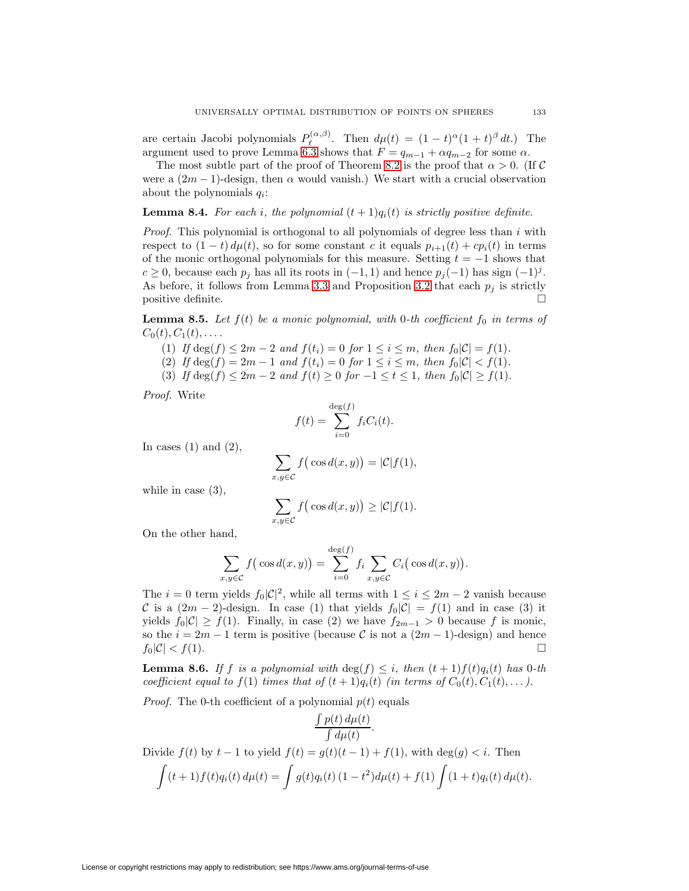are certain Jacobi polynomials  $P_{\ell}^{(\alpha,\beta)}$ . Then  $d\mu(t) = (1-t)^{\alpha}(1+t)^{\beta} dt$ .) The argument used to prove Lemma [6.3](#page-26-0) shows that  $F = q_{m-1} + \alpha q_{m-2}$  for some  $\alpha$ .

The most subtle part of the proof of Theorem [8.2](#page-32-0) is the proof that  $\alpha > 0$ . (If C were a  $(2m-1)$ -design, then  $\alpha$  would vanish.) We start with a crucial observation about the polynomials  $q_i$ :

#### <span id="page-34-2"></span>**Lemma 8.4.** For each i, the polynomial  $(t + 1)q_i(t)$  is strictly positive definite.

*Proof.* This polynomial is orthogonal to all polynomials of degree less than  $i$  with respect to  $(1-t) d\mu(t)$ , so for some constant c it equals  $p_{i+1}(t) + c p_i(t)$  in terms of the monic orthogonal polynomials for this measure. Setting  $t = -1$  shows that  $c \ge 0$ , because each  $p_j$  has all its roots in  $(-1, 1)$  and hence  $p_j(-1)$  has sign  $(-1)^j$ . As before, it follows from Lemma [3.3](#page-16-0) and Proposition [3.2](#page-15-0) that each  $p_j$  is strictly positive definite.

<span id="page-34-0"></span>**Lemma 8.5.** Let  $f(t)$  be a monic polynomial, with 0-th coefficient  $f_0$  in terms of  $C_0(t), C_1(t), \ldots$ .

- (1) If  $\deg(f) \leq 2m 2$  and  $f(t_i) = 0$  for  $1 \leq i \leq m$ , then  $f_0|\mathcal{C}| = f(1)$ .
- (2) If  $\deg(f)=2m-1$  and  $f(t_i)=0$  for  $1 \leq i \leq m$ , then  $f_0|\mathcal{C}| < f(1)$ .
- (3) If  $\deg(f) \leq 2m 2$  and  $f(t) \geq 0$  for  $-1 \leq t \leq 1$ , then  $f_0|\mathcal{C}| \geq f(1)$ .

Proof. Write

$$
f(t) = \sum_{i=0}^{\deg(f)} f_i C_i(t).
$$

In cases  $(1)$  and  $(2)$ ,

$$
\sum_{x,y \in \mathcal{C}} f\big(\cos d(x,y)\big) = |\mathcal{C}|f(1),
$$

while in case (3),

$$
\sum_{x,y \in \mathcal{C}} f\big(\cos d(x,y)\big) \ge |\mathcal{C}|f(1).
$$

On the other hand,

$$
\sum_{x,y \in C} f\big(\cos d(x,y)\big) = \sum_{i=0}^{\deg(f)} f_i \sum_{x,y \in C} C_i\big(\cos d(x,y)\big).
$$

The  $i = 0$  term yields  $f_0|\mathcal{C}|^2$ , while all terms with  $1 \leq i \leq 2m-2$  vanish because C is a  $(2m - 2)$ -design. In case (1) that yields  $f_0|\mathcal{C}| = f(1)$  and in case (3) it yields  $f_0|\mathcal{C}| \geq f(1)$ . Finally, in case (2) we have  $f_{2m-1} > 0$  because f is monic, so the  $i = 2m - 1$  term is positive (because C is not a  $(2m - 1)$ -design) and hence  $f_0|\mathcal{C}| < f(1).$ 

<span id="page-34-1"></span>**Lemma 8.6.** If f is a polynomial with  $\deg(f) \leq i$ , then  $(t + 1)f(t)q_i(t)$  has 0-th coefficient equal to  $f(1)$  times that of  $(t + 1)q_i(t)$  (in terms of  $C_0(t), C_1(t),...$ ).

*Proof.* The 0-th coefficient of a polynomial  $p(t)$  equals

$$
\frac{\int p(t) d\mu(t)}{\int d\mu(t)}.
$$
  
Divide  $f(t)$  by  $t-1$  to yield  $f(t) = g(t)(t-1) + f(1)$ , with  $\deg(g) < i$ . Then  

$$
\int (t+1) f(t) q_i(t) d\mu(t) = \int g(t) q_i(t) (1-t^2) d\mu(t) + f(1) \int (1+t) q_i(t) d\mu(t).
$$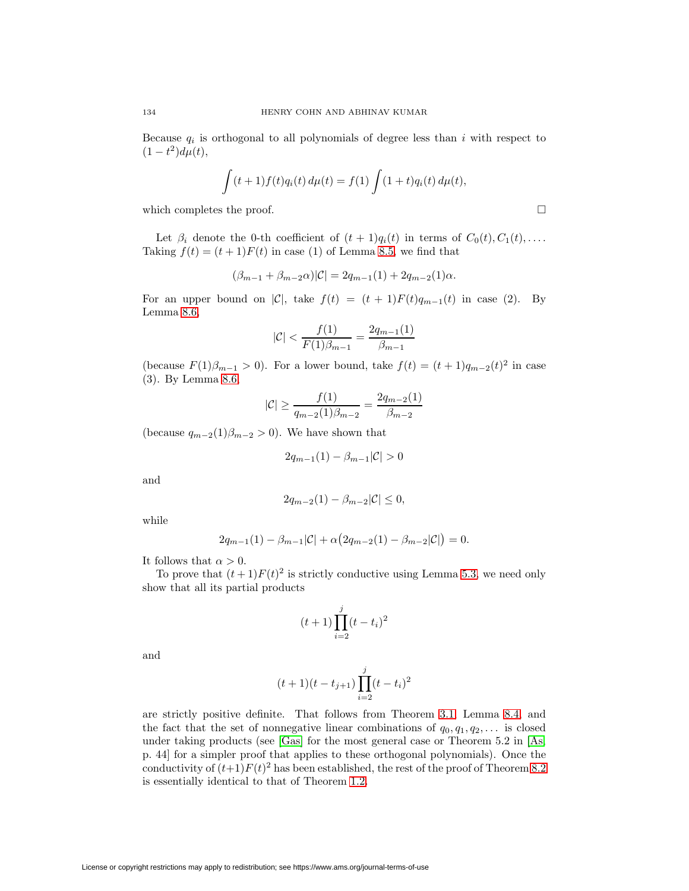Because  $q_i$  is orthogonal to all polynomials of degree less than i with respect to  $(1 - t^2)d\mu(t),$ 

$$
\int (t+1)f(t)q_i(t) d\mu(t) = f(1) \int (1+t)q_i(t) d\mu(t),
$$

which completes the proof.  $\Box$ 

Let  $\beta_i$  denote the 0-th coefficient of  $(t + 1)q_i(t)$  in terms of  $C_0(t), C_1(t), \ldots$ Taking  $f(t) = (t + 1)F(t)$  in case (1) of Lemma [8.5,](#page-34-0) we find that

$$
(\beta_{m-1} + \beta_{m-2}\alpha)|\mathcal{C}| = 2q_{m-1}(1) + 2q_{m-2}(1)\alpha.
$$

For an upper bound on  $|\mathcal{C}|$ , take  $f(t)=(t + 1)F(t)q_{m-1}(t)$  in case (2). By Lemma [8.6,](#page-34-1)

$$
|\mathcal{C}| < \frac{f(1)}{F(1)\beta_{m-1}} = \frac{2q_{m-1}(1)}{\beta_{m-1}}
$$

(because  $F(1)\beta_{m-1} > 0$ ). For a lower bound, take  $f(t)=(t + 1)q_{m-2}(t)^2$  in case (3). By Lemma [8.6,](#page-34-1)

$$
|\mathcal{C}| \ge \frac{f(1)}{q_{m-2}(1)\beta_{m-2}} = \frac{2q_{m-2}(1)}{\beta_{m-2}}
$$

(because  $q_{m-2}(1)\beta_{m-2} > 0$ ). We have shown that

$$
2q_{m-1}(1) - \beta_{m-1}|\mathcal{C}| > 0
$$

and

$$
2q_{m-2}(1) - \beta_{m-2}|\mathcal{C}| \leq 0,
$$

while

$$
2q_{m-1}(1) - \beta_{m-1}|\mathcal{C}| + \alpha(2q_{m-2}(1) - \beta_{m-2}|\mathcal{C}|) = 0.
$$

It follows that  $\alpha > 0$ .

To prove that  $(t+1)F(t)^2$  is strictly conductive using Lemma [5.3,](#page-23-0) we need only show that all its partial products

$$
(t+1)\prod_{i=2}^{j} (t-t_i)^2
$$

and

$$
(t+1)(t-t_{j+1})\prod_{i=2}^{j}(t-t_i)^2
$$

are strictly positive definite. That follows from Theorem [3.1,](#page-15-1) Lemma [8.4,](#page-34-2) and the fact that the set of nonnegative linear combinations of  $q_0, q_1, q_2, \ldots$  is closed under taking products (see [\[Gas\]](#page-48-18) for the most general case or Theorem 5.2 in [\[As,](#page-47-13) p. 44] for a simpler proof that applies to these orthogonal polynomials). Once the conductivity of  $(t+1)F(t)^2$  has been established, the rest of the proof of Theorem [8.2](#page-32-0) is essentially identical to that of Theorem [1.2.](#page-5-1)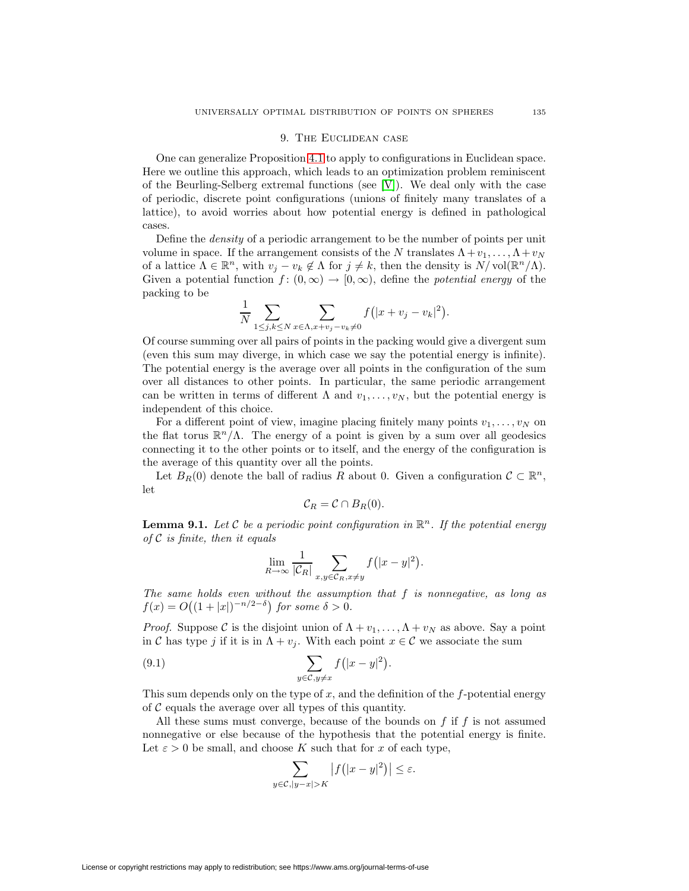#### 9. The Euclidean case

One can generalize Proposition [4.1](#page-20-0) to apply to configurations in Euclidean space. Here we outline this approach, which leads to an optimization problem reminiscent of the Beurling-Selberg extremal functions (see [\[V\]](#page-49-12)). We deal only with the case of periodic, discrete point configurations (unions of finitely many translates of a lattice), to avoid worries about how potential energy is defined in pathological cases.

Define the density of a periodic arrangement to be the number of points per unit volume in space. If the arrangement consists of the N translates  $\Lambda + v_1, \ldots, \Lambda + v_N$ of a lattice  $\Lambda \in \mathbb{R}^n$ , with  $v_j - v_k \notin \Lambda$  for  $j \neq k$ , then the density is  $N/\text{vol}(\mathbb{R}^n/\Lambda)$ . Given a potential function  $f: (0, \infty) \to [0, \infty)$ , define the *potential energy* of the packing to be

$$
\frac{1}{N} \sum_{1 \leq j,k \leq N} \sum_{x \in \Lambda, x+v_j-v_k \neq 0} f(|x+v_j-v_k|^2).
$$

Of course summing over all pairs of points in the packing would give a divergent sum (even this sum may diverge, in which case we say the potential energy is infinite). The potential energy is the average over all points in the configuration of the sum over all distances to other points. In particular, the same periodic arrangement can be written in terms of different  $\Lambda$  and  $v_1,\ldots,v_N$ , but the potential energy is independent of this choice.

For a different point of view, imagine placing finitely many points  $v_1, \ldots, v_N$  on the flat torus  $\mathbb{R}^n/\Lambda$ . The energy of a point is given by a sum over all geodesics connecting it to the other points or to itself, and the energy of the configuration is the average of this quantity over all the points.

Let  $B_R(0)$  denote the ball of radius R about 0. Given a configuration  $C \subset \mathbb{R}^n$ , let

<span id="page-36-0"></span>
$$
\mathcal{C}_R=\mathcal{C}\cap B_R(0).
$$

<span id="page-36-1"></span>**Lemma 9.1.** Let C be a periodic point configuration in  $\mathbb{R}^n$ . If the potential energy of  $C$  is finite, then it equals

$$
\lim_{R \to \infty} \frac{1}{|\mathcal{C}_R|} \sum_{x,y \in \mathcal{C}_R, x \neq y} f(|x-y|^2).
$$

The same holds even without the assumption that f is nonnegative, as long as  $f(x) = O((1+|x|)^{-n/2-\delta})$  for some  $\delta > 0$ .

*Proof.* Suppose C is the disjoint union of  $\Lambda + v_1, \ldots, \Lambda + v_N$  as above. Say a point in C has type j if it is in  $\Lambda + v_j$ . With each point  $x \in C$  we associate the sum

(9.1) 
$$
\sum_{y \in \mathcal{C}, y \neq x} f(|x - y|^2).
$$

This sum depends only on the type of x, and the definition of the  $f$ -potential energy of  $\mathcal C$  equals the average over all types of this quantity.

All these sums must converge, because of the bounds on  $f$  if  $f$  is not assumed nonnegative or else because of the hypothesis that the potential energy is finite. Let  $\varepsilon > 0$  be small, and choose K such that for x of each type,

$$
\sum_{y \in \mathcal{C}, |y-x| > K} |f(|x-y|^2)| \le \varepsilon.
$$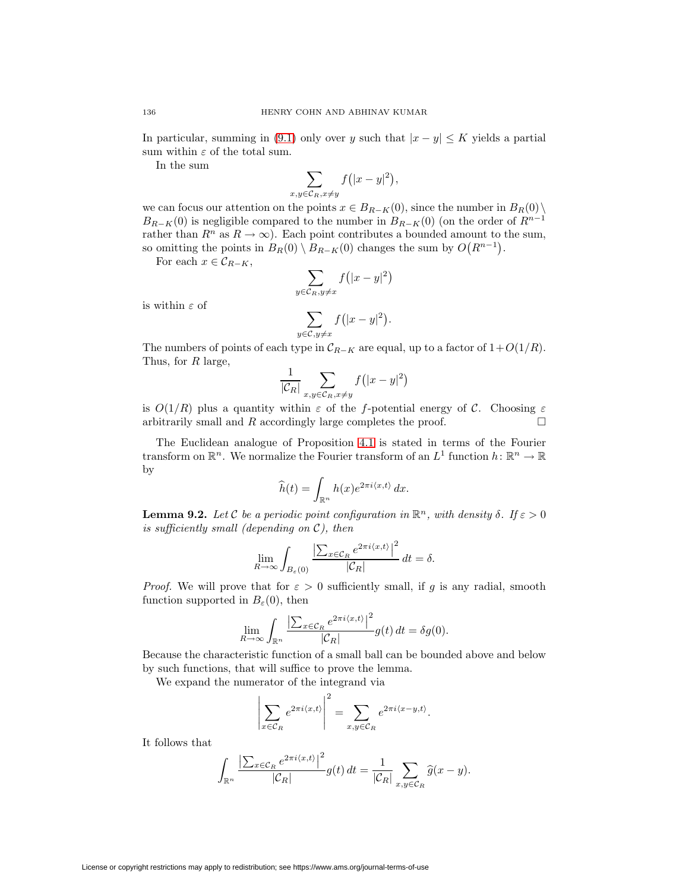In particular, summing in [\(9.1\)](#page-36-0) only over y such that  $|x - y| \leq K$  yields a partial sum within  $\varepsilon$  of the total sum.

In the sum

$$
\sum_{x,y \in \mathcal{C}_R, x \neq y} f(|x - y|^2),
$$

we can focus our attention on the points  $x \in B_{R-K}(0)$ , since the number in  $B_R(0)\setminus$  $B_{R-K}(0)$  is negligible compared to the number in  $B_{R-K}(0)$  (on the order of  $R^{n-1}$ ) rather than  $R^n$  as  $R \to \infty$ ). Each point contributes a bounded amount to the sum, so omitting the points in  $B_R(0) \setminus B_{R-K}(0)$  changes the sum by  $O(R^{n-1})$ .

For each  $x \in \mathcal{C}_{R-K}$ ,

$$
\sum_{y \in \mathcal{C}_R, y \neq x} f(|x - y|^2)
$$

is within  $\varepsilon$  of

$$
\sum_{y \in \mathcal{C}, y \neq x} f(|x - y|^2).
$$

The numbers of points of each type in  $C_{R-K}$  are equal, up to a factor of  $1+O(1/R)$ . Thus, for R large,

$$
\frac{1}{|\mathcal{C}_R|} \sum_{x,y \in \mathcal{C}_R, x \neq y} f(|x - y|^2)
$$

is  $O(1/R)$  plus a quantity within  $\varepsilon$  of the f-potential energy of C. Choosing  $\varepsilon$ arbitrarily small and R accordingly large completes the proof.  $\square$ 

The Euclidean analogue of Proposition [4.1](#page-20-0) is stated in terms of the Fourier transform on  $\mathbb{R}^n$ . We normalize the Fourier transform of an  $L^1$  function  $h: \mathbb{R}^n \to \mathbb{R}$ by

$$
\widehat{h}(t) = \int_{\mathbb{R}^n} h(x)e^{2\pi i \langle x, t \rangle} dx.
$$

<span id="page-37-0"></span>**Lemma 9.2.** Let C be a periodic point configuration in  $\mathbb{R}^n$ , with density  $\delta$ . If  $\varepsilon > 0$ is sufficiently small (depending on  $\mathcal{C}$ ), then

$$
\lim_{R \to \infty} \int_{B_{\varepsilon}(0)} \frac{\left| \sum_{x \in \mathcal{C}_R} e^{2\pi i \langle x, t \rangle} \right|^2}{|\mathcal{C}_R|} dt = \delta.
$$

*Proof.* We will prove that for  $\varepsilon > 0$  sufficiently small, if g is any radial, smooth function supported in  $B_{\varepsilon}(0)$ , then

$$
\lim_{R \to \infty} \int_{\mathbb{R}^n} \frac{\left| \sum_{x \in \mathcal{C}_R} e^{2\pi i \langle x, t \rangle} \right|^2}{|\mathcal{C}_R|} g(t) dt = \delta g(0).
$$

Because the characteristic function of a small ball can be bounded above and below by such functions, that will suffice to prove the lemma.

We expand the numerator of the integrand via

$$
\left|\sum_{x \in C_R} e^{2\pi i \langle x, t \rangle} \right|^2 = \sum_{x, y \in C_R} e^{2\pi i \langle x - y, t \rangle}.
$$

It follows that

$$
\int_{\mathbb{R}^n} \frac{\left|\sum_{x \in \mathcal{C}_R} e^{2\pi i \langle x, t \rangle}\right|^2}{|\mathcal{C}_R|} g(t) dt = \frac{1}{|\mathcal{C}_R|} \sum_{x, y \in \mathcal{C}_R} \widehat{g}(x - y).
$$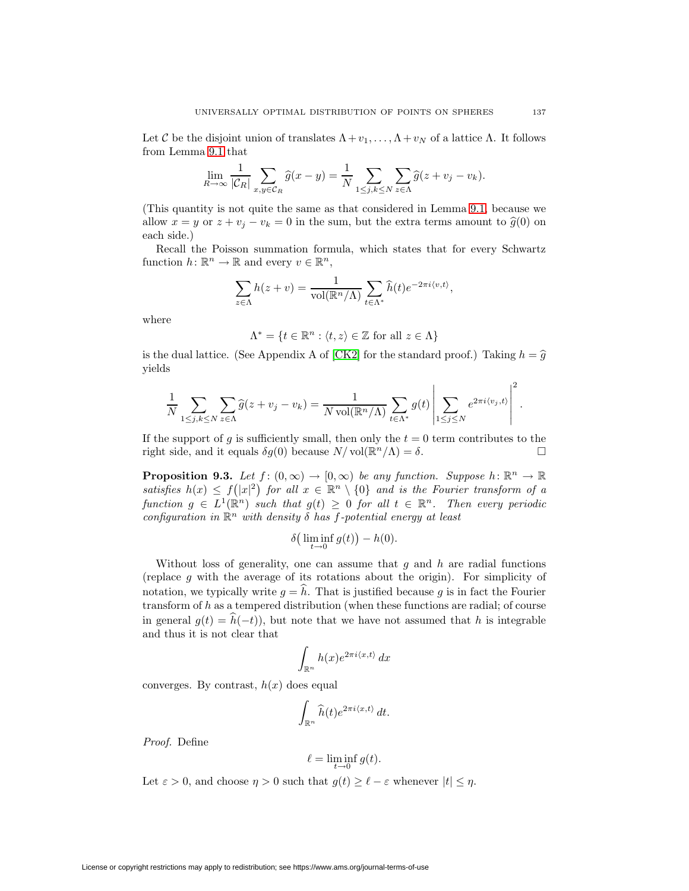Let C be the disjoint union of translates  $\Lambda + v_1, \ldots, \Lambda + v_N$  of a lattice  $\Lambda$ . It follows from Lemma [9.1](#page-36-1) that

$$
\lim_{R \to \infty} \frac{1}{|\mathcal{C}_R|} \sum_{x,y \in \mathcal{C}_R} \widehat{g}(x-y) = \frac{1}{N} \sum_{1 \le j,k \le N} \sum_{z \in \Lambda} \widehat{g}(z+v_j-v_k).
$$

(This quantity is not quite the same as that considered in Lemma [9.1,](#page-36-1) because we allow  $x = y$  or  $z + v_j - v_k = 0$  in the sum, but the extra terms amount to  $\hat{g}(0)$  on each side.)

Recall the Poisson summation formula, which states that for every Schwartz function  $h: \mathbb{R}^n \to \mathbb{R}$  and every  $v \in \mathbb{R}^n$ ,

$$
\sum_{z \in \Lambda} h(z + v) = \frac{1}{\text{vol}(\mathbb{R}^n/\Lambda)} \sum_{t \in \Lambda^*} \widehat{h}(t) e^{-2\pi i \langle v, t \rangle},
$$

where

$$
\Lambda^* = \{ t \in \mathbb{R}^n : \langle t, z \rangle \in \mathbb{Z} \text{ for all } z \in \Lambda \}
$$

is the dual lattice. (See Appendix A of [\[CK2\]](#page-47-14) for the standard proof.) Taking  $h = \hat{g}$ yields

$$
\frac{1}{N} \sum_{1 \leq j,k \leq N} \sum_{z \in \Lambda} \widehat{g}(z + v_j - v_k) = \frac{1}{N \operatorname{vol}(\mathbb{R}^n/\Lambda)} \sum_{t \in \Lambda^*} g(t) \left| \sum_{1 \leq j \leq N} e^{2\pi i \langle v_j, t \rangle} \right|^2.
$$

If the support of g is sufficiently small, then only the  $t = 0$  term contributes to the right side, and it equals  $\delta g(0)$  because  $N/\text{vol}(\mathbb{R}^n/\Lambda) = \delta$ .

<span id="page-38-0"></span>**Proposition 9.3.** Let  $f : (0, \infty) \to [0, \infty)$  be any function. Suppose  $h : \mathbb{R}^n \to \mathbb{R}$ satisfies  $h(x) \leq f(|x|^2)$  for all  $x \in \mathbb{R}^n \setminus \{0\}$  and is the Fourier transform of a function  $g \in L^1(\mathbb{R}^n)$  such that  $g(t) \geq 0$  for all  $t \in \mathbb{R}^n$ . Then every periodic configuration in  $\mathbb{R}^n$  with density  $\delta$  has f-potential energy at least

$$
\delta\big(\liminf_{t\to 0}g(t)\big)-h(0).
$$

Without loss of generality, one can assume that  $g$  and  $h$  are radial functions (replace  $g$  with the average of its rotations about the origin). For simplicity of notation, we typically write  $g = h$ . That is justified because g is in fact the Fourier transform of h as a tempered distribution (when these functions are radial; of course in general  $g(t) = h(-t)$ , but note that we have not assumed that h is integrable and thus it is not clear that

$$
\int_{\mathbb{R}^n} h(x)e^{2\pi i \langle x,t\rangle} dx
$$

converges. By contrast,  $h(x)$  does equal

$$
\int_{\mathbb{R}^n} \widehat{h}(t) e^{2\pi i \langle x, t \rangle} dt.
$$

Proof. Define

$$
\ell = \liminf_{t \to 0} g(t).
$$

Let  $\varepsilon > 0$ , and choose  $\eta > 0$  such that  $g(t) \geq \ell - \varepsilon$  whenever  $|t| \leq \eta$ .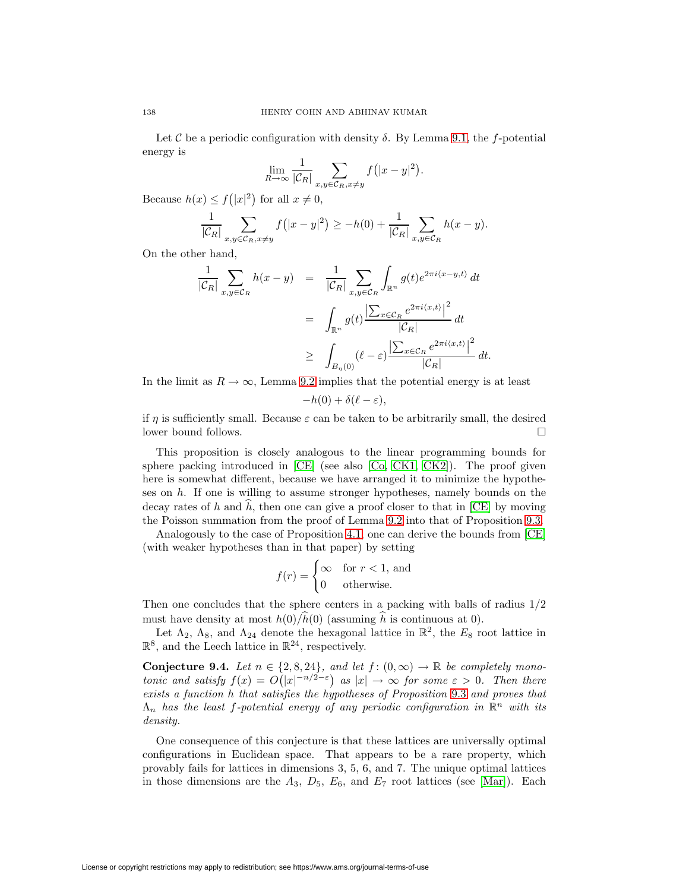Let C be a periodic configuration with density  $\delta$ . By Lemma [9.1,](#page-36-1) the f-potential energy is

$$
\lim_{R \to \infty} \frac{1}{|\mathcal{C}_R|} \sum_{x,y \in \mathcal{C}_R, x \neq y} f(|x-y|^2).
$$

Because  $h(x) \le f(|x|^2)$  for all  $x \neq 0$ ,

$$
\frac{1}{|\mathcal{C}_R|} \sum_{x,y \in \mathcal{C}_R, x \neq y} f(|x-y|^2) \geq -h(0) + \frac{1}{|\mathcal{C}_R|} \sum_{x,y \in \mathcal{C}_R} h(x-y).
$$

On the other hand,

$$
\frac{1}{|\mathcal{C}_R|} \sum_{x,y \in \mathcal{C}_R} h(x-y) = \frac{1}{|\mathcal{C}_R|} \sum_{x,y \in \mathcal{C}_R} \int_{\mathbb{R}^n} g(t) e^{2\pi i \langle x-y,t \rangle} dt
$$
  

$$
= \int_{\mathbb{R}^n} g(t) \frac{\left| \sum_{x \in \mathcal{C}_R} e^{2\pi i \langle x,t \rangle} \right|^2}{|\mathcal{C}_R|} dt
$$
  

$$
\geq \int_{B_{\eta}(0)} (\ell - \varepsilon) \frac{\left| \sum_{x \in \mathcal{C}_R} e^{2\pi i \langle x,t \rangle} \right|^2}{|\mathcal{C}_R|} dt.
$$

In the limit as  $R \to \infty$ , Lemma [9.2](#page-37-0) implies that the potential energy is at least

 $-h(0) + \delta(\ell - \varepsilon),$ 

if  $\eta$  is sufficiently small. Because  $\varepsilon$  can be taken to be arbitrarily small, the desired lower bound follows.

This proposition is closely analogous to the linear programming bounds for sphere packing introduced in  $[CE]$  (see also  $[Co, CK1, CK2]$  $[Co, CK1, CK2]$  $[Co, CK1, CK2]$ ). The proof given here is somewhat different, because we have arranged it to minimize the hypotheses on h. If one is willing to assume stronger hypotheses, namely bounds on the decay rates of  $h$  and  $h$ , then one can give a proof closer to that in [\[CE\]](#page-47-15) by moving the Poisson summation from the proof of Lemma [9.2](#page-37-0) into that of Proposition [9.3.](#page-38-0)

Analogously to the case of Proposition [4.1,](#page-20-0) one can derive the bounds from [\[CE\]](#page-47-15) (with weaker hypotheses than in that paper) by setting

$$
f(r) = \begin{cases} \infty & \text{for } r < 1 \text{, and} \\ 0 & \text{otherwise.} \end{cases}
$$

Then one concludes that the sphere centers in a packing with balls of radius 1/2 must have density at most  $h(0)/h(0)$  (assuming h is continuous at 0).

<span id="page-39-0"></span>Let  $\Lambda_2$ ,  $\Lambda_8$ , and  $\Lambda_{24}$  denote the hexagonal lattice in  $\mathbb{R}^2$ , the  $E_8$  root lattice in  $\mathbb{R}^8$ , and the Leech lattice in  $\mathbb{R}^{24}$ , respectively.

**Conjecture 9.4.** Let  $n \in \{2, 8, 24\}$ , and let  $f : (0, \infty) \to \mathbb{R}$  be completely monotonic and satisfy  $f(x) = O(|x|^{-n/2-\epsilon})$  as  $|x| \to \infty$  for some  $\varepsilon > 0$ . Then there exists a function h that satisfies the hypotheses of Proposition [9.3](#page-38-0) and proves that  $\Lambda_n$  has the least f-potential energy of any periodic configuration in  $\mathbb{R}^n$  with its density.

One consequence of this conjecture is that these lattices are universally optimal configurations in Euclidean space. That appears to be a rare property, which provably fails for lattices in dimensions 3, 5, 6, and 7. The unique optimal lattices in those dimensions are the  $A_3$ ,  $D_5$ ,  $E_6$ , and  $E_7$  root lattices (see [\[Mar\]](#page-48-19)). Each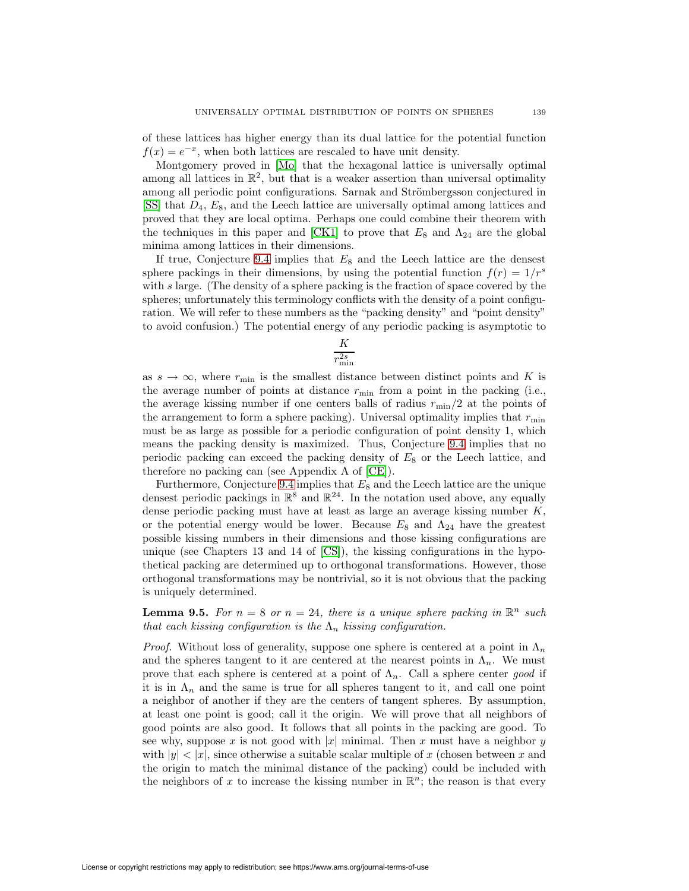of these lattices has higher energy than its dual lattice for the potential function  $f(x) = e^{-x}$ , when both lattices are rescaled to have unit density.

Montgomery proved in [\[Mo\]](#page-48-20) that the hexagonal lattice is universally optimal among all lattices in  $\mathbb{R}^2$ , but that is a weaker assertion than universal optimality among all periodic point configurations. Sarnak and Strömbergsson conjectured in  $[SS]$  that  $D_4$ ,  $E_8$ , and the Leech lattice are universally optimal among lattices and proved that they are local optima. Perhaps one could combine their theorem with the techniques in this paper and [\[CK1\]](#page-47-17) to prove that  $E_8$  and  $\Lambda_{24}$  are the global minima among lattices in their dimensions.

If true, Conjecture [9.4](#page-39-0) implies that  $E_8$  and the Leech lattice are the densest sphere packings in their dimensions, by using the potential function  $f(r)=1/r^s$ with s large. (The density of a sphere packing is the fraction of space covered by the spheres; unfortunately this terminology conflicts with the density of a point configuration. We will refer to these numbers as the "packing density" and "point density" to avoid confusion.) The potential energy of any periodic packing is asymptotic to

$$
\frac{K}{r_{\min}^{2s}}
$$

as  $s \to \infty$ , where  $r_{\min}$  is the smallest distance between distinct points and K is the average number of points at distance  $r_{\rm min}$  from a point in the packing (i.e., the average kissing number if one centers balls of radius  $r_{\rm min}/2$  at the points of the arrangement to form a sphere packing). Universal optimality implies that  $r_{\min}$ must be as large as possible for a periodic configuration of point density 1, which means the packing density is maximized. Thus, Conjecture [9.4](#page-39-0) implies that no periodic packing can exceed the packing density of  $E_8$  or the Leech lattice, and therefore no packing can (see Appendix A of [\[CE\]](#page-47-15)).

Furthermore, Conjecture [9.4](#page-39-0) implies that  $E_8$  and the Leech lattice are the unique densest periodic packings in  $\mathbb{R}^8$  and  $\mathbb{R}^{24}$ . In the notation used above, any equally dense periodic packing must have at least as large an average kissing number K, or the potential energy would be lower. Because  $E_8$  and  $\Lambda_{24}$  have the greatest possible kissing numbers in their dimensions and those kissing configurations are unique (see Chapters 13 and 14 of [\[CS\]](#page-47-2)), the kissing configurations in the hypothetical packing are determined up to orthogonal transformations. However, those orthogonal transformations may be nontrivial, so it is not obvious that the packing is uniquely determined.

**Lemma 9.5.** For  $n = 8$  or  $n = 24$ , there is a unique sphere packing in  $\mathbb{R}^n$  such that each kissing configuration is the  $\Lambda_n$  kissing configuration.

*Proof.* Without loss of generality, suppose one sphere is centered at a point in  $\Lambda_n$ and the spheres tangent to it are centered at the nearest points in  $\Lambda_n$ . We must prove that each sphere is centered at a point of  $\Lambda_n$ . Call a sphere center good if it is in  $\Lambda_n$  and the same is true for all spheres tangent to it, and call one point a neighbor of another if they are the centers of tangent spheres. By assumption, at least one point is good; call it the origin. We will prove that all neighbors of good points are also good. It follows that all points in the packing are good. To see why, suppose x is not good with  $|x|$  minimal. Then x must have a neighbor y with  $|y| < |x|$ , since otherwise a suitable scalar multiple of x (chosen between x and the origin to match the minimal distance of the packing) could be included with the neighbors of x to increase the kissing number in  $\mathbb{R}^n$ ; the reason is that every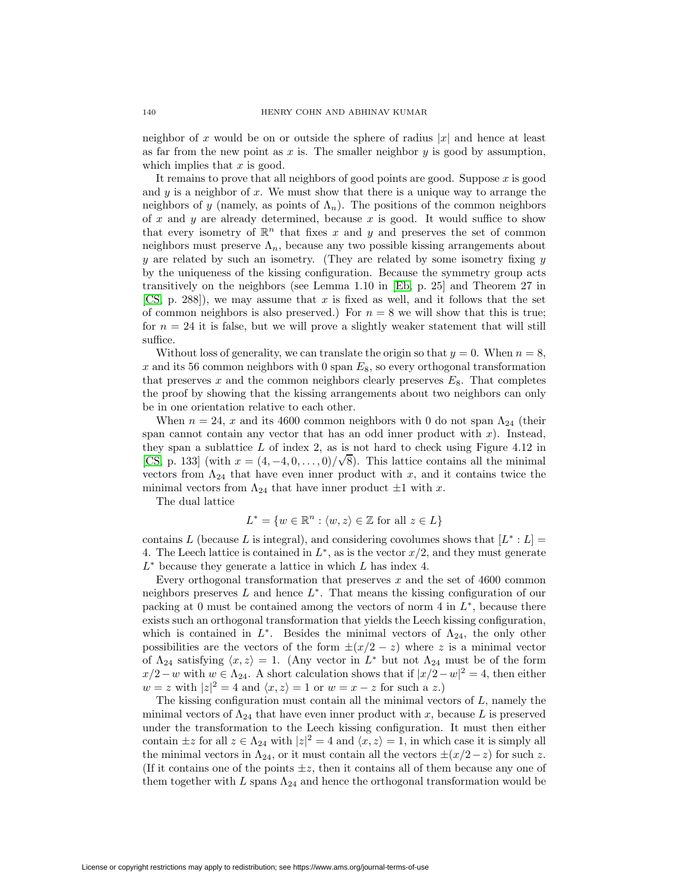neighbor of x would be on or outside the sphere of radius  $|x|$  and hence at least as far from the new point as x is. The smaller neighbor  $y$  is good by assumption, which implies that  $x$  is good.

It remains to prove that all neighbors of good points are good. Suppose  $x$  is good and  $y$  is a neighbor of  $x$ . We must show that there is a unique way to arrange the neighbors of y (namely, as points of  $\Lambda_n$ ). The positions of the common neighbors of x and y are already determined, because x is good. It would suffice to show that every isometry of  $\mathbb{R}^n$  that fixes x and y and preserves the set of common neighbors must preserve  $\Lambda_n$ , because any two possible kissing arrangements about  $y$  are related by such an isometry. (They are related by some isometry fixing  $y$ by the uniqueness of the kissing configuration. Because the symmetry group acts transitively on the neighbors (see Lemma 1.10 in [\[Eb,](#page-48-21) p. 25] and Theorem 27 in [\[CS,](#page-47-2) p. 288]), we may assume that x is fixed as well, and it follows that the set of common neighbors is also preserved.) For  $n = 8$  we will show that this is true; for  $n = 24$  it is false, but we will prove a slightly weaker statement that will still suffice.

Without loss of generality, we can translate the origin so that  $y = 0$ . When  $n = 8$ , x and its 56 common neighbors with 0 span  $E_8$ , so every orthogonal transformation that preserves x and the common neighbors clearly preserves  $E_8$ . That completes the proof by showing that the kissing arrangements about two neighbors can only be in one orientation relative to each other.

When  $n = 24$ , x and its 4600 common neighbors with 0 do not span  $\Lambda_{24}$  (their span cannot contain any vector that has an odd inner product with  $x$ ). Instead, they span a sublattice L of index 2, as is not hard to check using Figure 4.12 in [\[CS,](#page-47-2) p. 133] (with  $x = (4, -4, 0, \ldots, 0)/\sqrt{8}$ ). This lattice contains all the minimal vectors from  $\Lambda_{24}$  that have even inner product with x, and it contains twice the minimal vectors from  $\Lambda_{24}$  that have inner product  $\pm 1$  with x.

The dual lattice

$$
L^* = \{ w \in \mathbb{R}^n : \langle w, z \rangle \in \mathbb{Z} \text{ for all } z \in L \}
$$

contains L (because L is integral), and considering covolumes shows that  $[L^* : L] =$ 4. The Leech lattice is contained in  $L^*$ , as is the vector  $x/2$ , and they must generate  $L^*$  because they generate a lattice in which L has index 4.

Every orthogonal transformation that preserves  $x$  and the set of 4600 common neighbors preserves  $L$  and hence  $L^*$ . That means the kissing configuration of our packing at 0 must be contained among the vectors of norm 4 in  $L^*$ , because there exists such an orthogonal transformation that yields the Leech kissing configuration, which is contained in  $L^*$ . Besides the minimal vectors of  $\Lambda_{24}$ , the only other possibilities are the vectors of the form  $\pm(x/2-z)$  where z is a minimal vector of  $\Lambda_{24}$  satisfying  $\langle x, z \rangle = 1$ . (Any vector in  $L^*$  but not  $\Lambda_{24}$  must be of the form  $x/2-w$  with  $w \in \Lambda_{24}$ . A short calculation shows that if  $|x/2-w|^2 = 4$ , then either  $w = z$  with  $|z|^2 = 4$  and  $\langle x, z \rangle = 1$  or  $w = x - z$  for such a z.)

The kissing configuration must contain all the minimal vectors of  $L$ , namely the minimal vectors of  $\Lambda_{24}$  that have even inner product with x, because L is preserved under the transformation to the Leech kissing configuration. It must then either contain  $\pm z$  for all  $z \in \Lambda_{24}$  with  $|z|^2 = 4$  and  $\langle x, z \rangle = 1$ , in which case it is simply all the minimal vectors in  $\Lambda_{24}$ , or it must contain all the vectors  $\pm(x/2-z)$  for such z. (If it contains one of the points  $\pm z$ , then it contains all of them because any one of them together with L spans  $\Lambda_{24}$  and hence the orthogonal transformation would be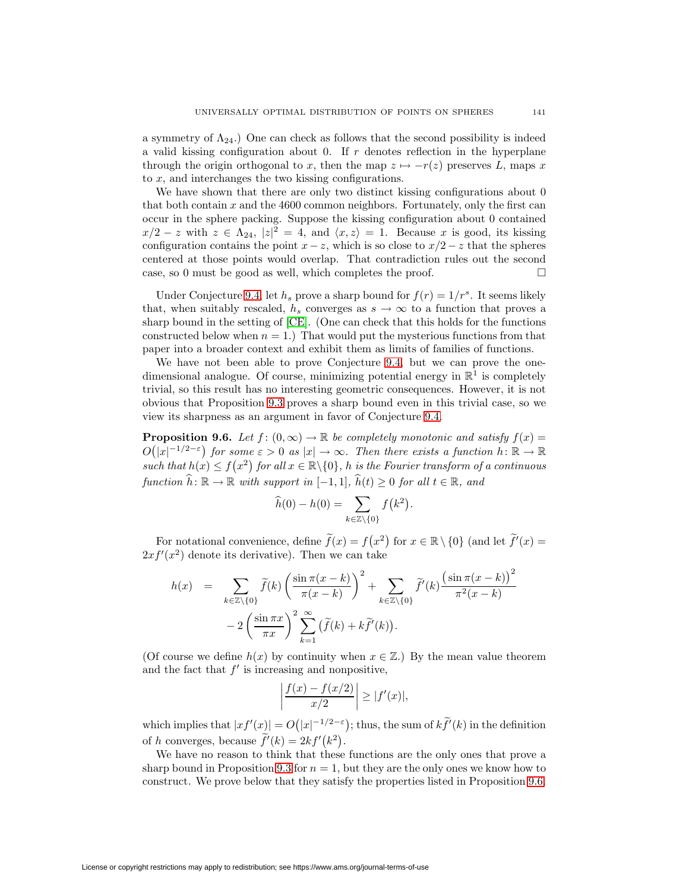a symmetry of  $\Lambda_{24}$ .) One can check as follows that the second possibility is indeed a valid kissing configuration about 0. If  $r$  denotes reflection in the hyperplane through the origin orthogonal to x, then the map  $z \mapsto -r(z)$  preserves L, maps x to x, and interchanges the two kissing configurations.

We have shown that there are only two distinct kissing configurations about 0 that both contain  $x$  and the 4600 common neighbors. Fortunately, only the first can occur in the sphere packing. Suppose the kissing configuration about 0 contained  $x/2 - z$  with  $z \in \Lambda_{24}$ ,  $|z|^2 = 4$ , and  $\langle x, z \rangle = 1$ . Because x is good, its kissing configuration contains the point  $x - z$ , which is so close to  $x/2 - z$  that the spheres centered at those points would overlap. That contradiction rules out the second case, so 0 must be good as well, which completes the proof.  $\Box$ 

Under Conjecture [9.4,](#page-39-0) let  $h_s$  prove a sharp bound for  $f(r)=1/r^s$ . It seems likely that, when suitably rescaled,  $h_s$  converges as  $s \to \infty$  to a function that proves a sharp bound in the setting of [\[CE\]](#page-47-15). (One can check that this holds for the functions constructed below when  $n = 1$ .) That would put the mysterious functions from that paper into a broader context and exhibit them as limits of families of functions.

We have not been able to prove Conjecture [9.4,](#page-39-0) but we can prove the onedimensional analogue. Of course, minimizing potential energy in  $\mathbb{R}^1$  is completely trivial, so this result has no interesting geometric consequences. However, it is not obvious that Proposition [9.3](#page-38-0) proves a sharp bound even in this trivial case, so we view its sharpness as an argument in favor of Conjecture [9.4.](#page-39-0)

<span id="page-42-0"></span>**Proposition 9.6.** Let  $f : (0, \infty) \to \mathbb{R}$  be completely monotonic and satisfy  $f(x) =$  $O(|x|^{-1/2-\varepsilon})$  for some  $\varepsilon > 0$  as  $|x| \to \infty$ . Then there exists a function  $h: \mathbb{R} \to \mathbb{R}$ such that  $h(x) \le f(x^2)$  for all  $x \in \mathbb{R} \setminus \{0\}$ , h is the Fourier transform of a continuous function  $h: \mathbb{R} \to \mathbb{R}$  with support in  $[-1, 1]$ ,  $h(t) \geq 0$  for all  $t \in \mathbb{R}$ , and

$$
\widehat{h}(0) - h(0) = \sum_{k \in \mathbb{Z} \setminus \{0\}} f(k^2).
$$

For notational convenience, define  $\tilde{f}(x) = f(x^2)$  for  $x \in \mathbb{R} \setminus \{0\}$  (and let  $\tilde{f}'(x) =$  $2xf'(x^2)$  denote its derivative). Then we can take

$$
h(x) = \sum_{k \in \mathbb{Z} \setminus \{0\}} \widetilde{f}(k) \left( \frac{\sin \pi (x - k)}{\pi (x - k)} \right)^2 + \sum_{k \in \mathbb{Z} \setminus \{0\}} \widetilde{f}'(k) \frac{\left(\sin \pi (x - k)\right)^2}{\pi^2 (x - k)}
$$

$$
-2 \left( \frac{\sin \pi x}{\pi x} \right)^2 \sum_{k=1}^{\infty} (\widetilde{f}(k) + k \widetilde{f}'(k)).
$$

(Of course we define  $h(x)$  by continuity when  $x \in \mathbb{Z}$ .) By the mean value theorem and the fact that  $f'$  is increasing and nonpositive,

$$
\left|\frac{f(x) - f(x/2)}{x/2}\right| \ge |f'(x)|,
$$

which implies that  $|xf'(x)| = O(|x|^{-1/2-\epsilon})$ ; thus, the sum of  $k \tilde{f}'(k)$  in the definition of h converges, because  $\tilde{f}'(k) = 2kf'(k^2)$ .

We have no reason to think that these functions are the only ones that prove a sharp bound in Proposition [9.3](#page-38-0) for  $n = 1$ , but they are the only ones we know how to construct. We prove below that they satisfy the properties listed in Proposition [9.6.](#page-42-0)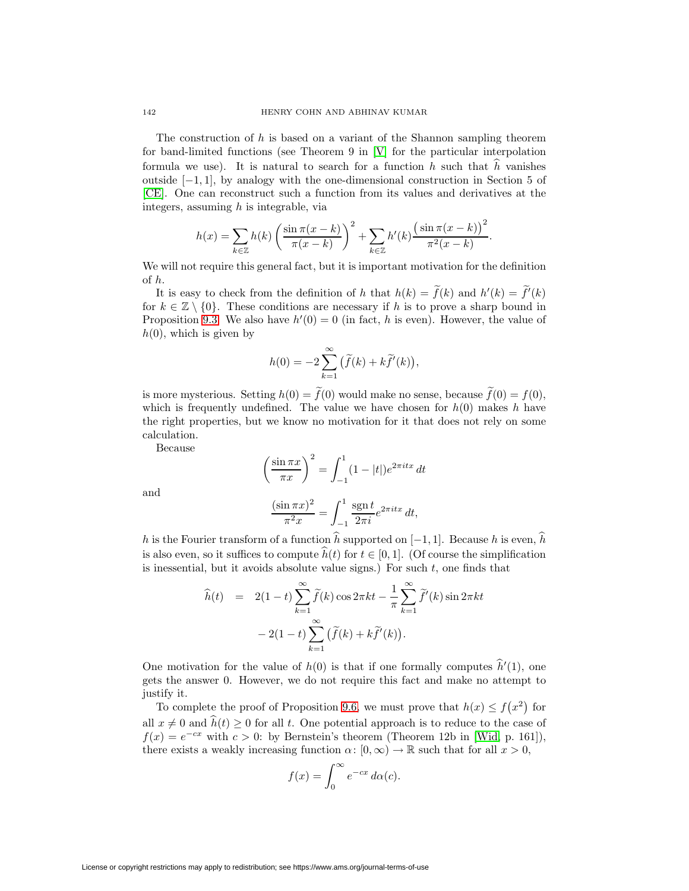The construction of  $h$  is based on a variant of the Shannon sampling theorem for band-limited functions (see Theorem 9 in [\[V\]](#page-49-12) for the particular interpolation formula we use). It is natural to search for a function  $h$  such that  $h$  vanishes outside [−1, 1], by analogy with the one-dimensional construction in Section 5 of [\[CE\]](#page-47-15). One can reconstruct such a function from its values and derivatives at the integers, assuming  $h$  is integrable, via

$$
h(x) = \sum_{k \in \mathbb{Z}} h(k) \left( \frac{\sin \pi (x - k)}{\pi (x - k)} \right)^2 + \sum_{k \in \mathbb{Z}} h'(k) \frac{\left(\sin \pi (x - k)\right)^2}{\pi^2 (x - k)}.
$$

We will not require this general fact, but it is important motivation for the definition of h.

It is easy to check from the definition of h that  $h(k) = \tilde{f}(k)$  and  $h'(k) = \tilde{f}'(k)$ for  $k \in \mathbb{Z} \setminus \{0\}$ . These conditions are necessary if h is to prove a sharp bound in Proposition [9.3.](#page-38-0) We also have  $h'(0) = 0$  (in fact, h is even). However, the value of  $h(0)$ , which is given by

$$
h(0) = -2\sum_{k=1}^{\infty} (\widetilde{f}(k) + k\widetilde{f}'(k)),
$$

is more mysterious. Setting  $h(0) = f(0)$  would make no sense, because  $f(0) = f(0)$ , which is frequently undefined. The value we have chosen for  $h(0)$  makes h have the right properties, but we know no motivation for it that does not rely on some calculation.

Because

$$
\left(\frac{\sin \pi x}{\pi x}\right)^2 = \int_{-1}^1 (1 - |t|) e^{2\pi i t x} dt
$$

and

$$
\frac{(\sin \pi x)^2}{\pi^2 x} = \int_{-1}^1 \frac{\operatorname{sgn} t}{2\pi i} e^{2\pi i t x} dt,
$$

h is the Fourier transform of a function h supported on  $[-1, 1]$ . Because h is even, h is also even, so it suffices to compute  $h(t)$  for  $t \in [0, 1]$ . (Of course the simplification is inessential, but it avoids absolute value signs.) For such  $t$ , one finds that

$$
\hat{h}(t) = 2(1-t) \sum_{k=1}^{\infty} \tilde{f}(k) \cos 2\pi kt - \frac{1}{\pi} \sum_{k=1}^{\infty} \tilde{f}'(k) \sin 2\pi kt \n- 2(1-t) \sum_{k=1}^{\infty} (\tilde{f}(k) + k\tilde{f}'(k)).
$$

One motivation for the value of  $h(0)$  is that if one formally computes  $\hat{h}'(1)$ , one gets the answer 0. However, we do not require this fact and make no attempt to justify it.

To complete the proof of Proposition [9.6,](#page-42-0) we must prove that  $h(x) \le f(x^2)$  for all  $x \neq 0$  and  $h(t) \geq 0$  for all t. One potential approach is to reduce to the case of  $f(x) = e^{-cx}$  with  $c > 0$ : by Bernstein's theorem (Theorem 12b in [\[Wid,](#page-49-1) p. 161]), there exists a weakly increasing function  $\alpha: [0, \infty) \to \mathbb{R}$  such that for all  $x > 0$ ,

$$
f(x) = \int_0^\infty e^{-cx} \, d\alpha(c).
$$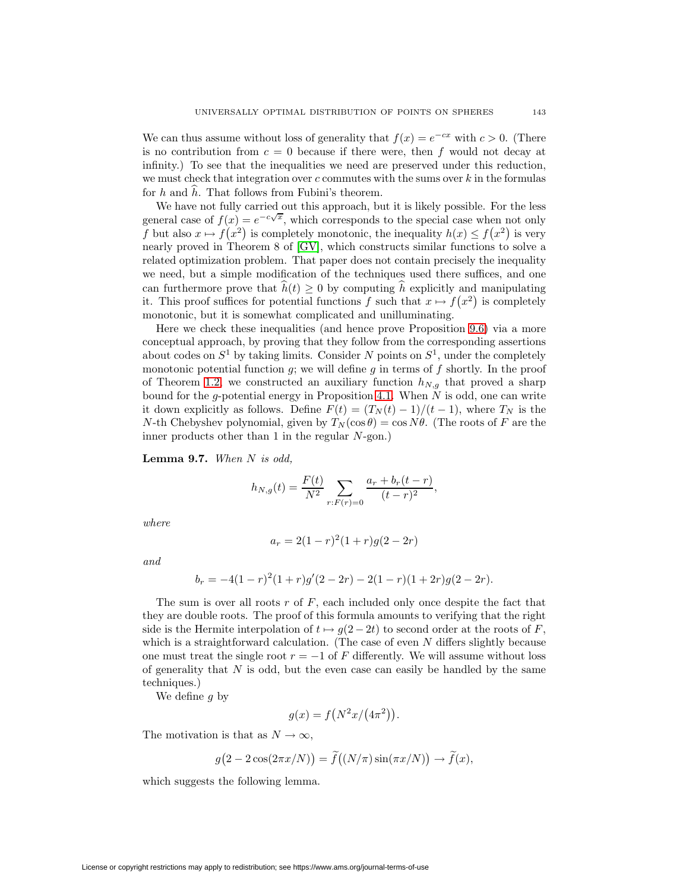We can thus assume without loss of generality that  $f(x) = e^{-cx}$  with  $c > 0$ . (There is no contribution from  $c = 0$  because if there were, then f would not decay at infinity.) To see that the inequalities we need are preserved under this reduction, we must check that integration over  $c$  commutes with the sums over  $k$  in the formulas for  $h$  and  $h$ . That follows from Fubini's theorem.

We have not fully carried out this approach, but it is likely possible. For the less we have not rany carried out this approach, but it is intery possible. For the ress<br>general case of  $f(x) = e^{-c\sqrt{x}}$ , which corresponds to the special case when not only f but also  $x \mapsto f(x^2)$  is completely monotonic, the inequality  $h(x) \le f(x^2)$  is very nearly proved in Theorem 8 of [\[GV\]](#page-48-22), which constructs similar functions to solve a related optimization problem. That paper does not contain precisely the inequality we need, but a simple modification of the techniques used there suffices, and one can furthermore prove that  $h(t) \geq 0$  by computing h explicitly and manipulating it. This proof suffices for potential functions f such that  $x \mapsto f(x^2)$  is completely monotonic, but it is somewhat complicated and unilluminating.

Here we check these inequalities (and hence prove Proposition [9.6\)](#page-42-0) via a more conceptual approach, by proving that they follow from the corresponding assertions about codes on  $S^1$  by taking limits. Consider N points on  $S^1$ , under the completely monotonic potential function  $g$ ; we will define  $g$  in terms of  $f$  shortly. In the proof of Theorem [1.2,](#page-5-1) we constructed an auxiliary function  $h_{N,g}$  that proved a sharp bound for the g-potential energy in Proposition [4.1.](#page-20-0) When  $N$  is odd, one can write it down explicitly as follows. Define  $F(t)=(T<sub>N</sub> (t) - 1)/(t - 1)$ , where  $T<sub>N</sub>$  is the N-th Chebyshev polynomial, given by  $T_N(\cos \theta) = \cos N\theta$ . (The roots of F are the inner products other than 1 in the regular N-gon.)

**Lemma 9.7.** When N is odd,

$$
h_{N,g}(t) = \frac{F(t)}{N^2} \sum_{r: F(r) = 0} \frac{a_r + b_r(t - r)}{(t - r)^2},
$$

where

$$
a_r = 2(1 - r)^2(1 + r)g(2 - 2r)
$$

and

$$
b_r = -4(1-r)^2(1+r)g'(2-2r) - 2(1-r)(1+2r)g(2-2r).
$$

The sum is over all roots  $r$  of  $F$ , each included only once despite the fact that they are double roots. The proof of this formula amounts to verifying that the right side is the Hermite interpolation of  $t \mapsto g(2-2t)$  to second order at the roots of F, which is a straightforward calculation. (The case of even N differs slightly because one must treat the single root  $r = -1$  of F differently. We will assume without loss of generality that  $N$  is odd, but the even case can easily be handled by the same techniques.)

We define  $q$  by

$$
g(x) = f\left(\frac{N^2x}{4\pi^2}\right).
$$

The motivation is that as  $N \to \infty$ ,

$$
g(2 - 2\cos(2\pi x/N)) = \widetilde{f}((N/\pi)\sin(\pi x/N)) \to \widetilde{f}(x),
$$

which suggests the following lemma.

License or copyright restrictions may apply to redistribution; see https://www.ams.org/journal-terms-of-use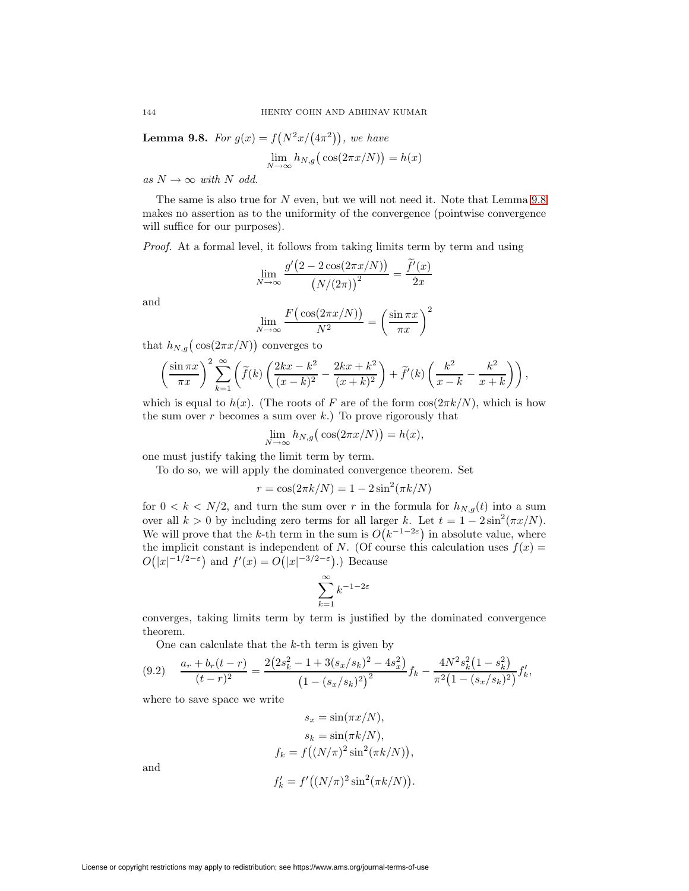<span id="page-45-0"></span>**Lemma 9.8.** For  $g(x) = f(N^2x/(4\pi^2))$ , we have

$$
\lim_{N \to \infty} h_{N,g} \big( \cos(2\pi x/N) \big) = h(x)
$$

as  $N \to \infty$  with N odd.

The same is also true for  $N$  even, but we will not need it. Note that Lemma  $9.8$ makes no assertion as to the uniformity of the convergence (pointwise convergence will suffice for our purposes).

Proof. At a formal level, it follows from taking limits term by term and using

$$
\lim_{N \to \infty} \frac{g'(2 - 2\cos(2\pi x/N))}{(N/(2\pi))^2} = \frac{\tilde{f}'(x)}{2x}
$$

and

$$
\lim_{N \to \infty} \frac{F\big(\cos(2\pi x/N)\big)}{N^2} = \left(\frac{\sin \pi x}{\pi x}\right)^2
$$

that  $h_{N,g}(\cos(2\pi x/N))$  converges to

$$
\left(\frac{\sin \pi x}{\pi x}\right)^2 \sum_{k=1}^{\infty} \left(\widetilde{f}(k) \left(\frac{2kx - k^2}{(x-k)^2} - \frac{2kx + k^2}{(x+k)^2}\right) + \widetilde{f}'(k) \left(\frac{k^2}{x-k} - \frac{k^2}{x+k}\right)\right),
$$

which is equal to  $h(x)$ . (The roots of F are of the form  $\cos(2\pi k/N)$ , which is how the sum over  $r$  becomes a sum over  $k$ .) To prove rigorously that

$$
\lim_{N \to \infty} h_{N,g} \big( \cos(2\pi x/N) \big) = h(x),
$$

one must justify taking the limit term by term.

To do so, we will apply the dominated convergence theorem. Set

$$
r = \cos(2\pi k/N) = 1 - 2\sin^2(\pi k/N)
$$

for  $0 < k < N/2$ , and turn the sum over r in the formula for  $h_{N,g}(t)$  into a sum over all  $k > 0$  by including zero terms for all larger k. Let  $t = 1 - 2 \sin^2(\pi x/N)$ . We will prove that the k-th term in the sum is  $O(k^{-1-2\varepsilon})$  in absolute value, where the implicit constant is independent of N. (Of course this calculation uses  $f(x) =$  $O(|x|^{-1/2-\varepsilon})$  and  $f'(x) = O(|x|^{-3/2-\varepsilon})$ .) Because

<span id="page-45-1"></span>
$$
\sum_{k=1}^{\infty} k^{-1-2\varepsilon}
$$

converges, taking limits term by term is justified by the dominated convergence theorem.

One can calculate that the  $k$ -th term is given by

$$
(9.2) \quad \frac{a_r + b_r(t-r)}{(t-r)^2} = \frac{2(2s_k^2 - 1 + 3(s_x/s_k)^2 - 4s_x^2)}{(1 - (s_x/s_k)^2)^2} f_k - \frac{4N^2 s_k^2 (1 - s_k^2)}{\pi^2 (1 - (s_x/s_k)^2)} f'_k,
$$

where to save space we write

$$
s_x = \sin(\pi x/N),
$$
  
\n
$$
s_k = \sin(\pi k/N),
$$
  
\n
$$
f_k = f((N/\pi)^2 \sin^2(\pi k/N)),
$$
  
\n
$$
s' = \frac{f((N/\sqrt{N})^2 + 2(-1/\sqrt{N}))}{N}
$$

and

$$
f'_{k} = f'((N/\pi)^{2} \sin^{2}(\pi k/N)).
$$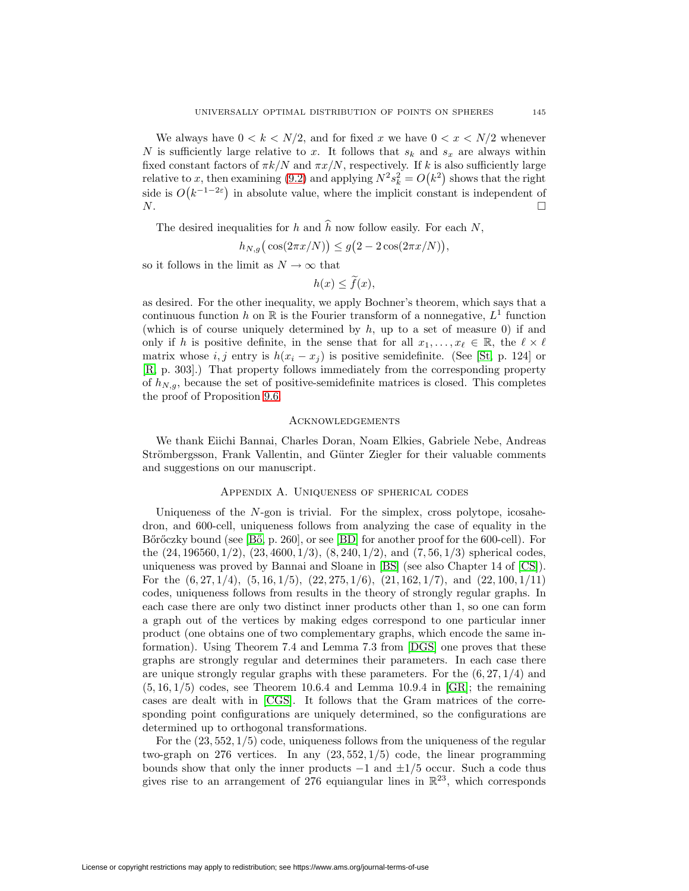We always have  $0 < k < N/2$ , and for fixed x we have  $0 < x < N/2$  whenever N is sufficiently large relative to x. It follows that  $s_k$  and  $s_x$  are always within fixed constant factors of  $\pi k/N$  and  $\pi x/N$ , respectively. If k is also sufficiently large relative to x, then examining [\(9.2\)](#page-45-1) and applying  $N^2 s_k^2 = O(k^2)$  shows that the right side is  $O(k^{-1-2\varepsilon})$  in absolute value, where the implicit constant is independent of  $N$ .

The desired inequalities for  $h$  and  $h$  now follow easily. For each  $N$ ,

$$
h_{N,g}(\cos(2\pi x/N)) \le g(2 - 2\cos(2\pi x/N)),
$$

so it follows in the limit as  $N\to\infty$  that

$$
h(x) \le \tilde{f}(x),
$$

as desired. For the other inequality, we apply Bochner's theorem, which says that a continuous function h on R is the Fourier transform of a nonnegative,  $L<sup>1</sup>$  function (which is of course uniquely determined by  $h$ , up to a set of measure 0) if and only if h is positive definite, in the sense that for all  $x_1, \ldots, x_\ell \in \mathbb{R}$ , the  $\ell \times \ell$ matrix whose i, j entry is  $h(x_i - x_j)$  is positive semidefinite. (See [\[St,](#page-49-14) p. 124] or [\[R,](#page-48-23) p. 303].) That property follows immediately from the corresponding property of  $h_{N,g}$ , because the set of positive-semidefinite matrices is closed. This completes the proof of Proposition [9.6.](#page-42-0)

#### Acknowledgements

We thank Eiichi Bannai, Charles Doran, Noam Elkies, Gabriele Nebe, Andreas Strömbergsson, Frank Vallentin, and Günter Ziegler for their valuable comments and suggestions on our manuscript.

#### Appendix A. Uniqueness of spherical codes

<span id="page-46-0"></span>Uniqueness of the N-gon is trivial. For the simplex, cross polytope, icosahedron, and 600-cell, uniqueness follows from analyzing the case of equality in the Bőrőczky bound (see [Bő, p. 260], or see [\[BD\]](#page-47-10) for another proof for the 600-cell). For the  $(24, 196560, 1/2), (23, 4600, 1/3), (8, 240, 1/2),$  and  $(7, 56, 1/3)$  spherical codes, uniqueness was proved by Bannai and Sloane in [\[BS\]](#page-47-18) (see also Chapter 14 of [\[CS\]](#page-47-2)). For the  $(6, 27, 1/4)$ ,  $(5, 16, 1/5)$ ,  $(22, 275, 1/6)$ ,  $(21, 162, 1/7)$ , and  $(22, 100, 1/11)$ codes, uniqueness follows from results in the theory of strongly regular graphs. In each case there are only two distinct inner products other than 1, so one can form a graph out of the vertices by making edges correspond to one particular inner product (one obtains one of two complementary graphs, which encode the same information). Using Theorem 7.4 and Lemma 7.3 from [\[DGS\]](#page-48-6) one proves that these graphs are strongly regular and determines their parameters. In each case there are unique strongly regular graphs with these parameters. For the  $(6, 27, 1/4)$  and  $(5, 16, 1/5)$  codes, see Theorem 10.6.4 and Lemma 10.9.4 in [\[GR\]](#page-48-5); the remaining cases are dealt with in [\[CGS\]](#page-47-3). It follows that the Gram matrices of the corresponding point configurations are uniquely determined, so the configurations are determined up to orthogonal transformations.

For the  $(23, 552, 1/5)$  code, uniqueness follows from the uniqueness of the regular two-graph on 276 vertices. In any  $(23, 552, 1/5)$  code, the linear programming bounds show that only the inner products  $-1$  and  $\pm 1/5$  occur. Such a code thus gives rise to an arrangement of 276 equiangular lines in  $\mathbb{R}^{23}$ , which corresponds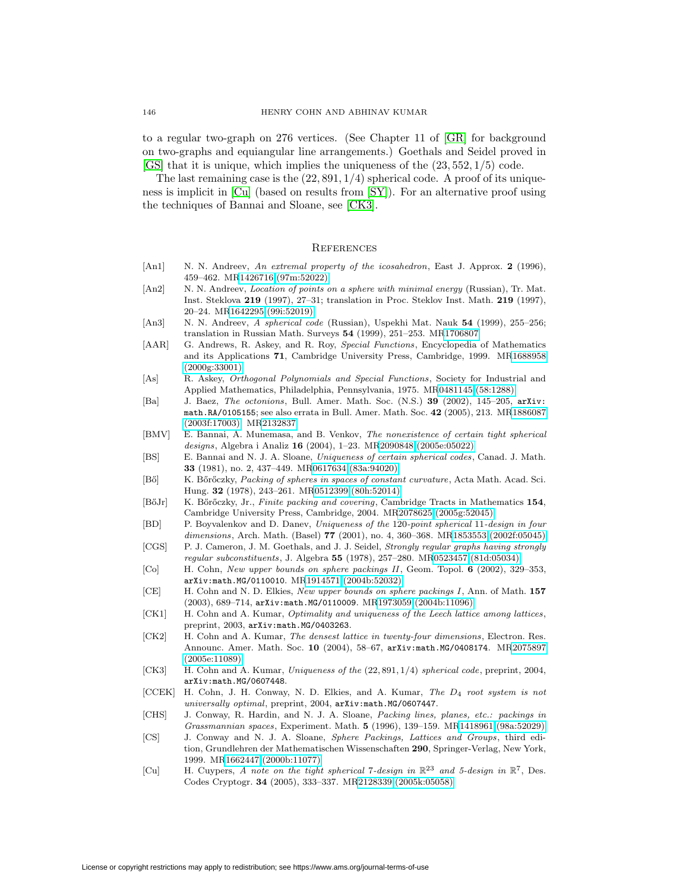to a regular two-graph on 276 vertices. (See Chapter 11 of [\[GR\]](#page-48-5) for background on two-graphs and equiangular line arrangements.) Goethals and Seidel proved in [\[GS\]](#page-48-24) that it is unique, which implies the uniqueness of the (23, 552, 1/5) code.

The last remaining case is the  $(22, 891, 1/4)$  spherical code. A proof of its uniqueness is implicit in [\[Cu\]](#page-47-19) (based on results from [\[SY\]](#page-49-15)). For an alternative proof using the techniques of Bannai and Sloane, see [\[CK3\]](#page-47-20).

#### **REFERENCES**

- <span id="page-47-0"></span>[An1] N. N. Andreev, An extremal property of the icosahedron, East J. Approx. 2 (1996), 459–462. M[R1426716 \(97m:52022\)](http://www.ams.org/mathscinet-getitem?mr=1426716)
- <span id="page-47-1"></span>[An2] N. N. Andreev, *Location of points on a sphere with minimal energy* (Russian), Tr. Mat. Inst. Steklova **219** (1997), 27–31; translation in Proc. Steklov Inst. Math. **219** (1997), 20–24. M[R1642295 \(99i:52019\)](http://www.ams.org/mathscinet-getitem?mr=1642295)
- <span id="page-47-5"></span>[An3] N. N. Andreev, A spherical code (Russian), Uspekhi Mat. Nauk **54** (1999), 255–256; translation in Russian Math. Surveys **54** (1999), 251–253. M[R1706807](http://www.ams.org/mathscinet-getitem?mr=1706807)
- <span id="page-47-9"></span>[AAR] G. Andrews, R. Askey, and R. Roy, Special Functions, Encyclopedia of Mathematics and its Applications **71**, Cambridge University Press, Cambridge, 1999. M[R1688958](http://www.ams.org/mathscinet-getitem?mr=1688958) [\(2000g:33001\)](http://www.ams.org/mathscinet-getitem?mr=1688958)
- <span id="page-47-13"></span>[As] R. Askey, Orthogonal Polynomials and Special Functions, Society for Industrial and Applied Mathematics, Philadelphia, Pennsylvania, 1975. M[R0481145 \(58:1288\)](http://www.ams.org/mathscinet-getitem?mr=0481145)
- <span id="page-47-11"></span>[Ba] J. Baez, The octonions, Bull. Amer. Math. Soc. (N.S.) **39** (2002), 145–205, arXiv: math.RA/0105155; see also errata in Bull. Amer. Math. Soc. **42** (2005), 213. M[R1886087](http://www.ams.org/mathscinet-getitem?mr=1886087) [\(2003f:17003\);](http://www.ams.org/mathscinet-getitem?mr=1886087) M[R2132837](http://www.ams.org/mathscinet-getitem?mr=2132837)
- <span id="page-47-4"></span>[BMV] E. Bannai, A. Munemasa, and B. Venkov, The nonexistence of certain tight spherical designs, Algebra i Analiz **16** (2004), 1–23. M[R2090848 \(2005e:05022\)](http://www.ams.org/mathscinet-getitem?mr=2090848)
- <span id="page-47-18"></span>[BS] E. Bannai and N. J. A. Sloane, Uniqueness of certain spherical codes, Canad. J. Math. **33** (1981), no. 2, 437–449. M[R0617634 \(83a:94020\)](http://www.ams.org/mathscinet-getitem?mr=0617634)
- <span id="page-47-6"></span>[Bő] K. Bőrőczky, Packing of spheres in spaces of constant curvature, Acta Math. Acad. Sci. Hung. **32** (1978), 243–261. M[R0512399 \(80h:52014\)](http://www.ams.org/mathscinet-getitem?mr=0512399)
- <span id="page-47-8"></span>[B˝oJr] K. B˝or˝oczky, Jr., Finite packing and covering, Cambridge Tracts in Mathematics **154**, Cambridge University Press, Cambridge, 2004. M[R2078625 \(2005g:52045\)](http://www.ams.org/mathscinet-getitem?mr=2078625)
- <span id="page-47-10"></span>[BD] P. Boyvalenkov and D. Danev, Uniqueness of the 120-point spherical 11-design in four dimensions, Arch. Math. (Basel) **77** (2001), no. 4, 360–368. M[R1853553 \(2002f:05045\)](http://www.ams.org/mathscinet-getitem?mr=1853553)
- <span id="page-47-3"></span>[CGS] P. J. Cameron, J. M. Goethals, and J. J. Seidel, Strongly regular graphs having strongly regular subconstituents, J. Algebra **55** (1978), 257–280. M[R0523457 \(81d:05034\)](http://www.ams.org/mathscinet-getitem?mr=0523457)
- <span id="page-47-16"></span>[Co] H. Cohn, New upper bounds on sphere packings II , Geom. Topol. **6** (2002), 329–353, arXiv:math.MG/0110010. M[R1914571 \(2004b:52032\)](http://www.ams.org/mathscinet-getitem?mr=1914571)
- <span id="page-47-15"></span>[CE] H. Cohn and N. D. Elkies, New upper bounds on sphere packings I , Ann. of Math. **157** (2003), 689–714, arXiv:math.MG/0110009. M[R1973059 \(2004b:11096\)](http://www.ams.org/mathscinet-getitem?mr=1973059)
- <span id="page-47-17"></span>[CK1] H. Cohn and A. Kumar, Optimality and uniqueness of the Leech lattice among lattices, preprint, 2003, arXiv:math.MG/0403263.
- <span id="page-47-14"></span>[CK2] H. Cohn and A. Kumar, The densest lattice in twenty-four dimensions, Electron. Res. Announc. Amer. Math. Soc. **10** (2004), 58–67, arXiv:math.MG/0408174. M[R2075897](http://www.ams.org/mathscinet-getitem?mr=2075897) [\(2005e:11089\)](http://www.ams.org/mathscinet-getitem?mr=2075897)
- <span id="page-47-20"></span>[CK3] H. Cohn and A. Kumar, Uniqueness of the (22, 891, 1/4) spherical code, preprint, 2004, arXiv:math.MG/0607448.
- <span id="page-47-7"></span>[CCEK] H. Cohn, J. H. Conway, N. D. Elkies, and A. Kumar, The D<sub>4</sub> root system is not universally optimal, preprint, 2004, arXiv:math.MG/0607447.
- <span id="page-47-12"></span>[CHS] J. Conway, R. Hardin, and N. J. A. Sloane, Packing lines, planes, etc.: packings in Grassmannian spaces, Experiment. Math. **5** (1996), 139–159. M[R1418961 \(98a:52029\)](http://www.ams.org/mathscinet-getitem?mr=1418961)
- <span id="page-47-2"></span>[CS] J. Conway and N. J. A. Sloane, Sphere Packings, Lattices and Groups, third edition, Grundlehren der Mathematischen Wissenschaften **290**, Springer-Verlag, New York, 1999. M[R1662447 \(2000b:11077\)](http://www.ams.org/mathscinet-getitem?mr=1662447)
- <span id="page-47-19"></span>[Cu] H. Cuypers, A note on the tight spherical 7-design in  $\mathbb{R}^{23}$  and 5-design in  $\mathbb{R}^{7}$ , Des. Codes Cryptogr. **34** (2005), 333–337. M[R2128339 \(2005k:05058\)](http://www.ams.org/mathscinet-getitem?mr=2128339)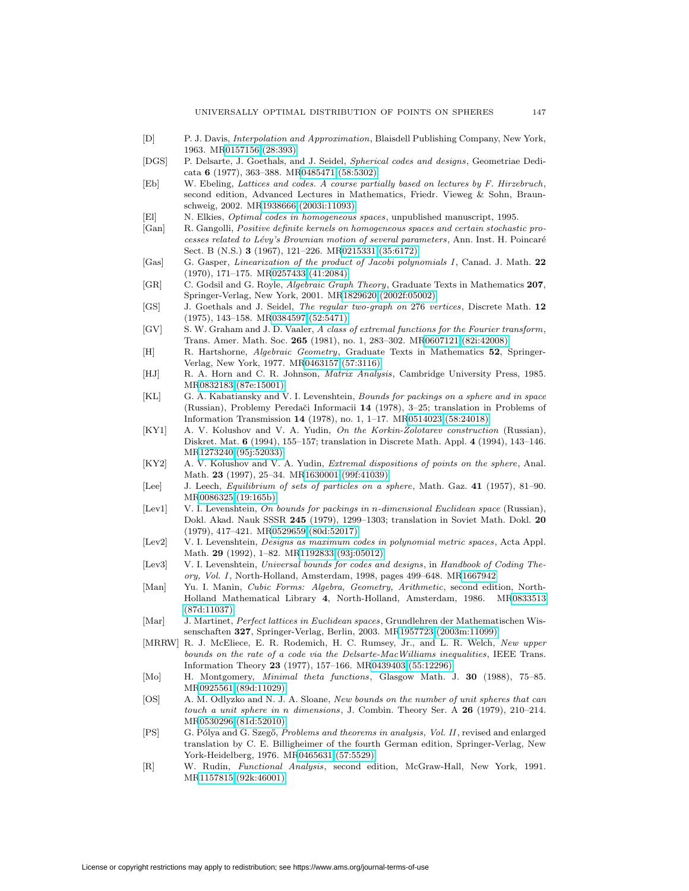- <span id="page-48-12"></span>[D] P. J. Davis, Interpolation and Approximation, Blaisdell Publishing Company, New York, 1963. M[R0157156 \(28:393\)](http://www.ams.org/mathscinet-getitem?mr=0157156)
- <span id="page-48-6"></span>[DGS] P. Delsarte, J. Goethals, and J. Seidel, Spherical codes and designs, Geometriae Dedicata **6** (1977), 363–388. M[R0485471 \(58:5302\)](http://www.ams.org/mathscinet-getitem?mr=0485471)
- <span id="page-48-21"></span>[Eb] W. Ebeling, Lattices and codes. A course partially based on lectures by F. Hirzebruch, second edition, Advanced Lectures in Mathematics, Friedr. Vieweg & Sohn, Braunschweig, 2002. M[R1938666 \(2003i:11093\)](http://www.ams.org/mathscinet-getitem?mr=1938666)
- <span id="page-48-8"></span>[El] N. Elkies, Optimal codes in homogeneous spaces, unpublished manuscript, 1995.
- <span id="page-48-17"></span>[Gan] R. Gangolli, Positive definite kernels on homogeneous spaces and certain stochastic processes related to Lévy's Brownian motion of several parameters, Ann. Inst. H. Poincaré Sect. B (N.S.) **3** (1967), 121–226. M[R0215331 \(35:6172\)](http://www.ams.org/mathscinet-getitem?mr=0215331)
- <span id="page-48-18"></span>[Gas] G. Gasper, Linearization of the product of Jacobi polynomials I , Canad. J. Math. **22** (1970), 171–175. M[R0257433 \(41:2084\)](http://www.ams.org/mathscinet-getitem?mr=0257433)
- <span id="page-48-5"></span>[GR] C. Godsil and G. Royle, Algebraic Graph Theory, Graduate Texts in Mathematics **207**, Springer-Verlag, New York, 2001. M[R1829620 \(2002f:05002\)](http://www.ams.org/mathscinet-getitem?mr=1829620)
- <span id="page-48-24"></span>[GS] J. Goethals and J. Seidel, The regular two-graph on 276 vertices, Discrete Math. **12** (1975), 143–158. M[R0384597 \(52:5471\)](http://www.ams.org/mathscinet-getitem?mr=0384597)
- <span id="page-48-22"></span>[GV] S. W. Graham and J. D. Vaaler, A class of extremal functions for the Fourier transform, Trans. Amer. Math. Soc. **265** (1981), no. 1, 283–302. M[R0607121 \(82i:42008\)](http://www.ams.org/mathscinet-getitem?mr=0607121)
- <span id="page-48-3"></span>[H] R. Hartshorne, Algebraic Geometry, Graduate Texts in Mathematics **52**, Springer-Verlag, New York, 1977. M[R0463157 \(57:3116\)](http://www.ams.org/mathscinet-getitem?mr=0463157)
- <span id="page-48-13"></span>[HJ] R. A. Horn and C. R. Johnson, Matrix Analysis, Cambridge University Press, 1985. M[R0832183 \(87e:15001\)](http://www.ams.org/mathscinet-getitem?mr=0832183)
- <span id="page-48-15"></span>[KL] G. A. Kabatiansky and V. I. Levenshtein, Bounds for packings on a sphere and in space (Russian), Problemy Peredaˇci Informacii **14** (1978), 3–25; translation in Problems of Information Transmission **14** (1978), no. 1, 1–17. M[R0514023 \(58:24018\)](http://www.ams.org/mathscinet-getitem?mr=0514023)
- <span id="page-48-0"></span>[KY1] A. V. Kolushov and V. A. Yudin, On the Korkin-Zolotarev construction (Russian), Diskret. Mat. **6** (1994), 155–157; translation in Discrete Math. Appl. **4** (1994), 143–146. M[R1273240 \(95j:52033\)](http://www.ams.org/mathscinet-getitem?mr=1273240)
- <span id="page-48-1"></span>[KY2] A. V. Kolushov and V. A. Yudin, Extremal dispositions of points on the sphere, Anal. Math. **23** (1997), 25–34. M[R1630001 \(99f:41039\)](http://www.ams.org/mathscinet-getitem?mr=1630001)
- <span id="page-48-11"></span>[Lee] J. Leech, Equilibrium of sets of particles on a sphere, Math. Gaz. **41** (1957), 81–90. M[R0086325 \(19:165b\)](http://www.ams.org/mathscinet-getitem?mr=0086325)
- <span id="page-48-9"></span>[Lev1] V. I. Levenshtein, On bounds for packings in n-dimensional Euclidean space (Russian), Dokl. Akad. Nauk SSSR **245** (1979), 1299–1303; translation in Soviet Math. Dokl. **20** (1979), 417–421. M[R0529659 \(80d:52017\)](http://www.ams.org/mathscinet-getitem?mr=0529659)
- <span id="page-48-2"></span>[Lev2] V. I. Levenshtein, Designs as maximum codes in polynomial metric spaces, Acta Appl. Math. **29** (1992), 1–82. M[R1192833 \(93j:05012\)](http://www.ams.org/mathscinet-getitem?mr=1192833)
- <span id="page-48-7"></span>[Lev3] V. I. Levenshtein, Universal bounds for codes and designs, in Handbook of Coding The-ory, Vol. I, North-Holland, Amsterdam, 1998, pages 499-648. M[R1667942](http://www.ams.org/mathscinet-getitem?mr=1667942)
- <span id="page-48-4"></span>[Man] Yu. I. Manin, Cubic Forms: Algebra, Geometry, Arithmetic, second edition, North-Holland Mathematical Library **4**, North-Holland, Amsterdam, 1986. M[R0833513](http://www.ams.org/mathscinet-getitem?mr=0833513) [\(87d:11037\)](http://www.ams.org/mathscinet-getitem?mr=0833513)
- <span id="page-48-19"></span>[Mar] J. Martinet, Perfect lattices in Euclidean spaces, Grundlehren der Mathematischen Wissenschaften **327**, Springer-Verlag, Berlin, 2003. M[R1957723 \(2003m:11099\)](http://www.ams.org/mathscinet-getitem?mr=1957723)
- <span id="page-48-16"></span>[MRRW] R. J. McEliece, E. R. Rodemich, H. C. Rumsey, Jr., and L. R. Welch, New upper bounds on the rate of a code via the Delsarte-MacWilliams inequalities, IEEE Trans. Information Theory **23** (1977), 157–166. M[R0439403 \(55:12296\)](http://www.ams.org/mathscinet-getitem?mr=0439403)
- <span id="page-48-20"></span>[Mo] H. Montgomery, Minimal theta functions, Glasgow Math. J. **30** (1988), 75–85. M[R0925561 \(89d:11029\)](http://www.ams.org/mathscinet-getitem?mr=0925561)
- <span id="page-48-10"></span>[OS] A. M. Odlyzko and N. J. A. Sloane, New bounds on the number of unit spheres that can touch a unit sphere in n dimensions, J. Combin. Theory Ser. A **26** (1979), 210–214. M[R0530296 \(81d:52010\)](http://www.ams.org/mathscinet-getitem?mr=0530296)
- <span id="page-48-14"></span>[PS] G. Pólya and G. Szegő, Problems and theorems in analysis, Vol. II, revised and enlarged translation by C. E. Billigheimer of the fourth German edition, Springer-Verlag, New York-Heidelberg, 1976. M[R0465631 \(57:5529\)](http://www.ams.org/mathscinet-getitem?mr=0465631)
- <span id="page-48-23"></span>[R] W. Rudin, Functional Analysis, second edition, McGraw-Hall, New York, 1991. M[R1157815 \(92k:46001\)](http://www.ams.org/mathscinet-getitem?mr=1157815)